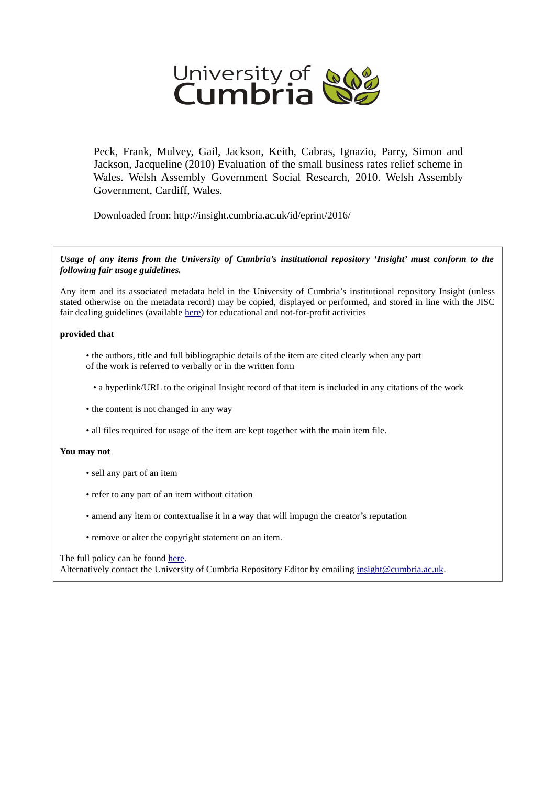

Peck, Frank, Mulvey, Gail, Jackson, Keith, Cabras, Ignazio, Parry, Simon and Jackson, Jacqueline (2010) Evaluation of the small business rates relief scheme in Wales. Welsh Assembly Government Social Research, 2010. Welsh Assembly Government, Cardiff, Wales.

Downloaded from: http://insight.cumbria.ac.uk/id/eprint/2016/

*Usage of any items from the University of Cumbria's institutional repository 'Insight' must conform to the following fair usage guidelines.*

Any item and its associated metadata held in the University of Cumbria's institutional repository Insight (unless stated otherwise on the metadata record) may be copied, displayed or performed, and stored in line with the JISC fair dealing guidelines (available [here\)](http://www.ukoln.ac.uk/services/elib/papers/pa/fair/) for educational and not-for-profit activities

#### **provided that**

• the authors, title and full bibliographic details of the item are cited clearly when any part of the work is referred to verbally or in the written form

• a hyperlink/URL to the original Insight record of that item is included in any citations of the work

- the content is not changed in any way
- all files required for usage of the item are kept together with the main item file.

#### **You may not**

- sell any part of an item
- refer to any part of an item without citation
- amend any item or contextualise it in a way that will impugn the creator's reputation
- remove or alter the copyright statement on an item.

#### The full policy can be found [here.](http://insight.cumbria.ac.uk/legal.html#section5)

Alternatively contact the University of Cumbria Repository Editor by emailing [insight@cumbria.ac.uk.](mailto:insight@cumbria.ac.uk)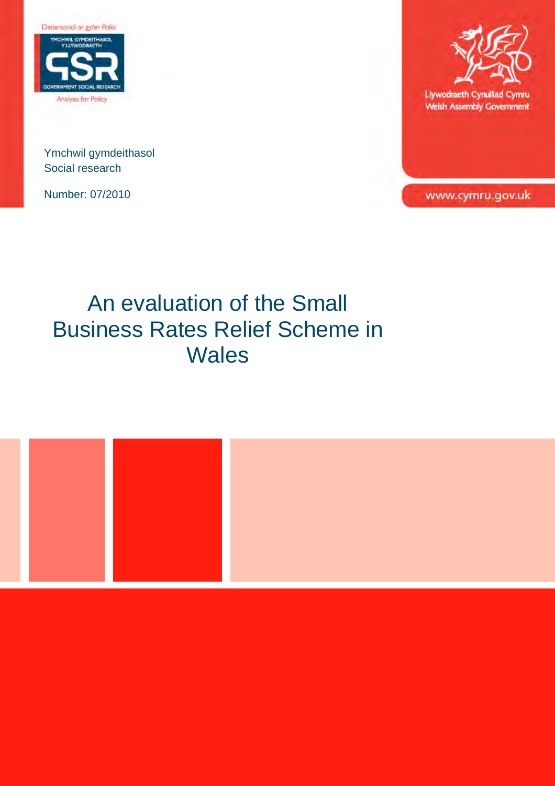

Ymchwil gymdeithasol Social research

Number: 07/2010



Llywodraeth Cynulliad Cymru **Welsh Assembly Government** 

www.cymru.gov.uk

# An evaluation of the Small Business Rates Relief Scheme in **Wales**

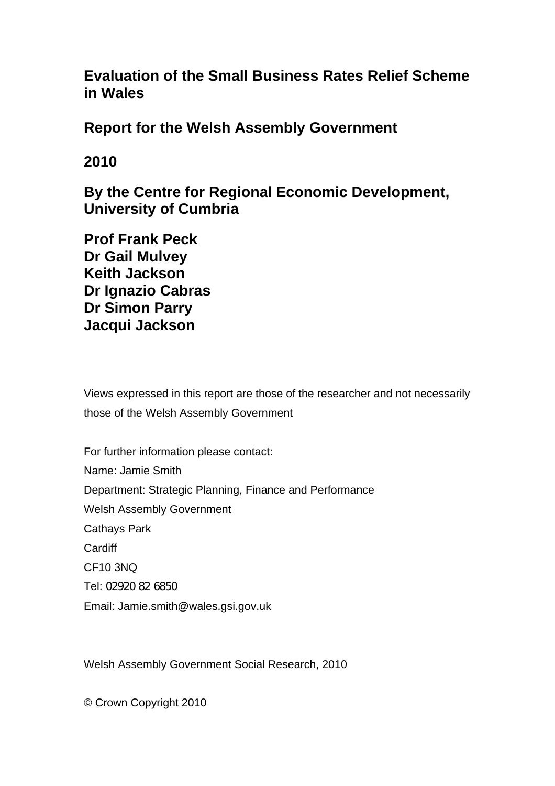**Evaluation of the Small Business Rates Relief Scheme in Wales** 

**Report for the Welsh Assembly Government** 

# **2010**

**By the Centre for Regional Economic Development, University of Cumbria** 

**Prof Frank Peck Dr Gail Mulvey Keith Jackson Dr Ignazio Cabras Dr Simon Parry Jacqui Jackson** 

Views expressed in this report are those of the researcher and not necessarily those of the Welsh Assembly Government

For further information please contact: Name: Jamie Smith Department: [Strategic](http://businessdir/bdweb/main.aspx?t=o&m=v&id=5) Planning, Finance and Performance Welsh Assembly Government Cathays Park **Cardiff** CF10 3NQ Tel: 02920 82 6850 Email: Jamie.smith@wales.gsi.gov.uk

Welsh Assembly Government Social Research, 2010

© Crown Copyright 2010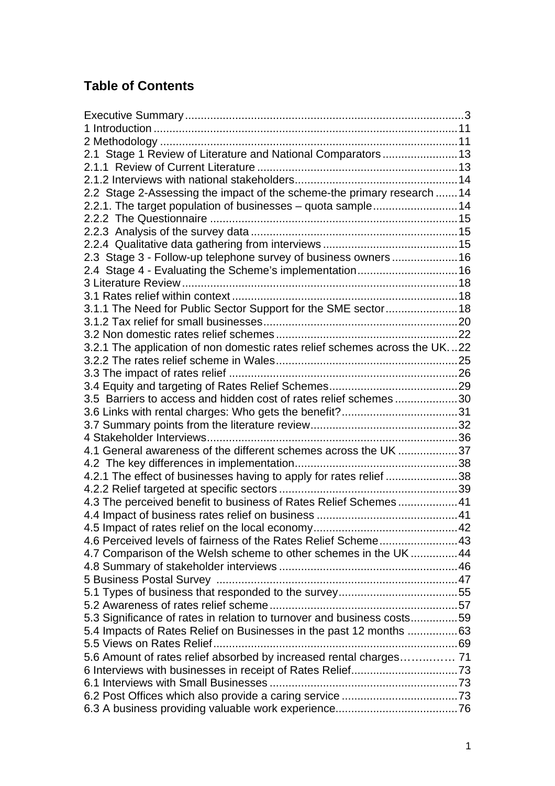# **Table of Contents**

| 2.1 Stage 1 Review of Literature and National Comparators 13               |  |
|----------------------------------------------------------------------------|--|
|                                                                            |  |
|                                                                            |  |
| 2.2 Stage 2-Assessing the impact of the scheme-the primary research 14     |  |
| 2.2.1. The target population of businesses - quota sample14                |  |
|                                                                            |  |
|                                                                            |  |
|                                                                            |  |
| 2.3 Stage 3 - Follow-up telephone survey of business owners 16             |  |
| 2.4 Stage 4 - Evaluating the Scheme's implementation 16                    |  |
|                                                                            |  |
|                                                                            |  |
| 3.1.1 The Need for Public Sector Support for the SME sector 18             |  |
|                                                                            |  |
|                                                                            |  |
| 3.2.1 The application of non domestic rates relief schemes across the UK22 |  |
|                                                                            |  |
|                                                                            |  |
|                                                                            |  |
| 3.5 Barriers to access and hidden cost of rates relief schemes30           |  |
|                                                                            |  |
|                                                                            |  |
| 4.1 General awareness of the different schemes across the UK 37            |  |
|                                                                            |  |
|                                                                            |  |
| 4.2.1 The effect of businesses having to apply for rates relief 38         |  |
| 4.3 The perceived benefit to business of Rates Relief Schemes41            |  |
|                                                                            |  |
|                                                                            |  |
|                                                                            |  |
| 4.7 Comparison of the Welsh scheme to other schemes in the UK44            |  |
|                                                                            |  |
|                                                                            |  |
|                                                                            |  |
|                                                                            |  |
| 5.3 Significance of rates in relation to turnover and business costs59     |  |
| 5.4 Impacts of Rates Relief on Businesses in the past 12 months 63         |  |
|                                                                            |  |
| 5.6 Amount of rates relief absorbed by increased rental charges 71         |  |
|                                                                            |  |
|                                                                            |  |
|                                                                            |  |
|                                                                            |  |
|                                                                            |  |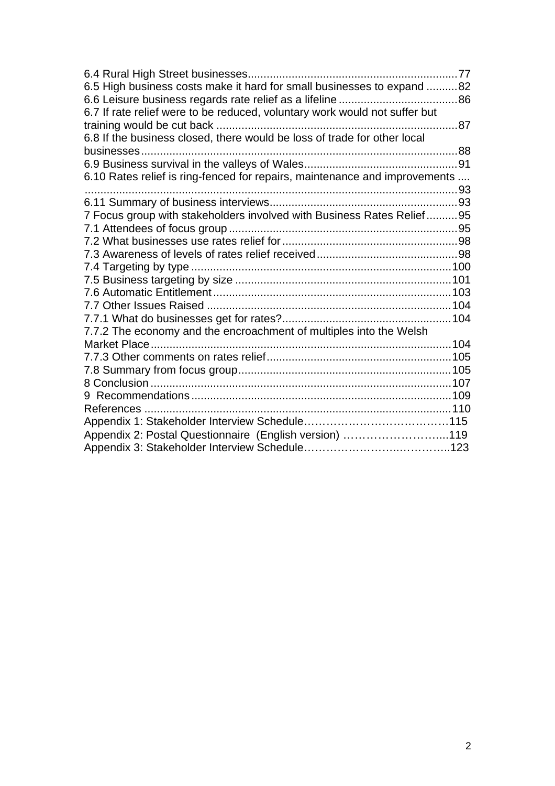| 6.5 High business costs make it hard for small businesses to expand 82     |  |
|----------------------------------------------------------------------------|--|
| 6.7 If rate relief were to be reduced, voluntary work would not suffer but |  |
|                                                                            |  |
| 6.8 If the business closed, there would be loss of trade for other local   |  |
|                                                                            |  |
|                                                                            |  |
| 6.10 Rates relief is ring-fenced for repairs, maintenance and improvements |  |
|                                                                            |  |
| 7 Focus group with stakeholders involved with Business Rates Relief95      |  |
|                                                                            |  |
|                                                                            |  |
|                                                                            |  |
|                                                                            |  |
|                                                                            |  |
|                                                                            |  |
|                                                                            |  |
|                                                                            |  |
| 7.7.2 The economy and the encroachment of multiples into the Welsh         |  |
|                                                                            |  |
|                                                                            |  |
|                                                                            |  |
|                                                                            |  |
|                                                                            |  |
|                                                                            |  |
|                                                                            |  |
| Appendix 2: Postal Questionnaire (English version) 119                     |  |
|                                                                            |  |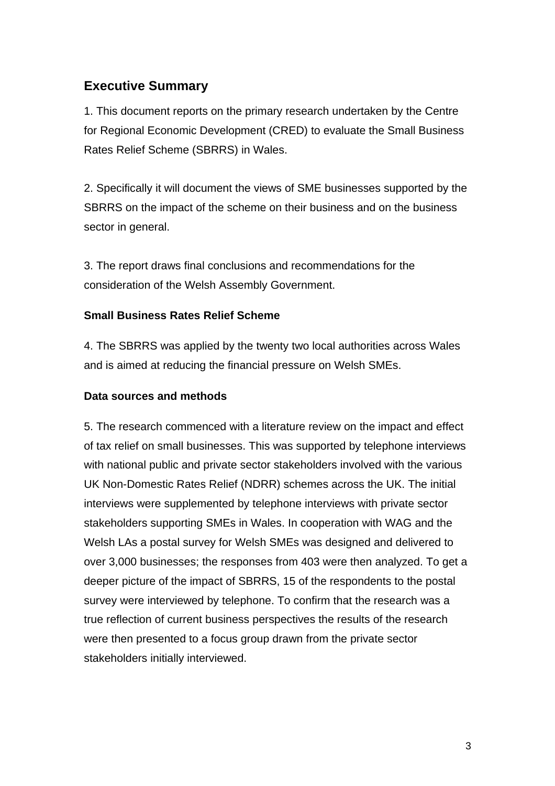## <span id="page-5-0"></span>**Executive Summary**

1. This document reports on the primary research undertaken by the Centre for Regional Economic Development (CRED) to evaluate the Small Business Rates Relief Scheme (SBRRS) in Wales.

2. Specifically it will document the views of SME businesses supported by the SBRRS on the impact of the scheme on their business and on the business sector in general.

3. The report draws final conclusions and recommendations for the consideration of the Welsh Assembly Government.

## **Small Business Rates Relief Scheme**

4. The SBRRS was applied by the twenty two local authorities across Wales and is aimed at reducing the financial pressure on Welsh SMEs.

#### **Data sources and methods**

5. The research commenced with a literature review on the impact and effect of tax relief on small businesses. This was supported by telephone interviews with national public and private sector stakeholders involved with the various UK Non-Domestic Rates Relief (NDRR) schemes across the UK. The initial interviews were supplemented by telephone interviews with private sector stakeholders supporting SMEs in Wales. In cooperation with WAG and the Welsh LAs a postal survey for Welsh SMEs was designed and delivered to over 3,000 businesses; the responses from 403 were then analyzed. To get a deeper picture of the impact of SBRRS, 15 of the respondents to the postal survey were interviewed by telephone. To confirm that the research was a true reflection of current business perspectives the results of the research were then presented to a focus group drawn from the private sector stakeholders initially interviewed.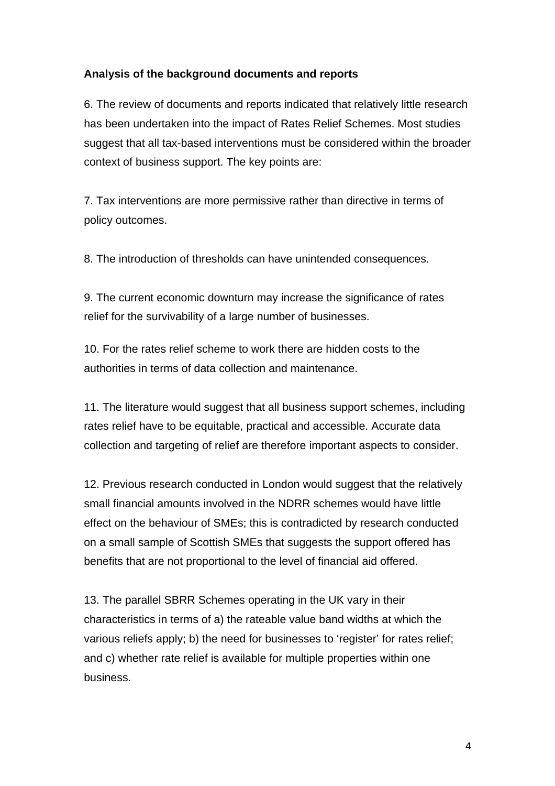### **Analysis of the background documents and reports**

6. The review of documents and reports indicated that relatively little research has been undertaken into the impact of Rates Relief Schemes. Most studies suggest that all tax-based interventions must be considered within the broader context of business support. The key points are:

7. Tax interventions are more permissive rather than directive in terms of policy outcomes.

8. The introduction of thresholds can have unintended consequences.

9. The current economic downturn may increase the significance of rates relief for the survivability of a large number of businesses.

10. For the rates relief scheme to work there are hidden costs to the authorities in terms of data collection and maintenance.

11. The literature would suggest that all business support schemes, including rates relief have to be equitable, practical and accessible. Accurate data collection and targeting of relief are therefore important aspects to consider.

12. Previous research conducted in London would suggest that the relatively small financial amounts involved in the NDRR schemes would have little effect on the behaviour of SMEs; this is contradicted by research conducted on a small sample of Scottish SMEs that suggests the support offered has benefits that are not proportional to the level of financial aid offered.

13. The parallel SBRR Schemes operating in the UK vary in their characteristics in terms of a) the rateable value band widths at which the various reliefs apply; b) the need for businesses to 'register' for rates relief; and c) whether rate relief is available for multiple properties within one business.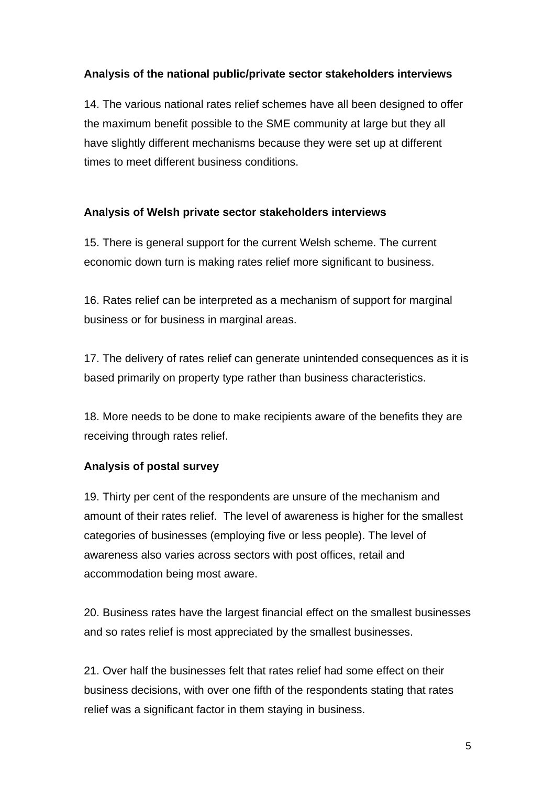### **Analysis of the national public/private sector stakeholders interviews**

14. The various national rates relief schemes have all been designed to offer the maximum benefit possible to the SME community at large but they all have slightly different mechanisms because they were set up at different times to meet different business conditions.

#### **Analysis of Welsh private sector stakeholders interviews**

15. There is general support for the current Welsh scheme. The current economic down turn is making rates relief more significant to business.

16. Rates relief can be interpreted as a mechanism of support for marginal business or for business in marginal areas.

17. The delivery of rates relief can generate unintended consequences as it is based primarily on property type rather than business characteristics.

18. More needs to be done to make recipients aware of the benefits they are receiving through rates relief.

## **Analysis of postal survey**

19. Thirty per cent of the respondents are unsure of the mechanism and amount of their rates relief. The level of awareness is higher for the smallest categories of businesses (employing five or less people). The level of awareness also varies across sectors with post offices, retail and accommodation being most aware.

20. Business rates have the largest financial effect on the smallest businesses and so rates relief is most appreciated by the smallest businesses.

21. Over half the businesses felt that rates relief had some effect on their business decisions, with over one fifth of the respondents stating that rates relief was a significant factor in them staying in business.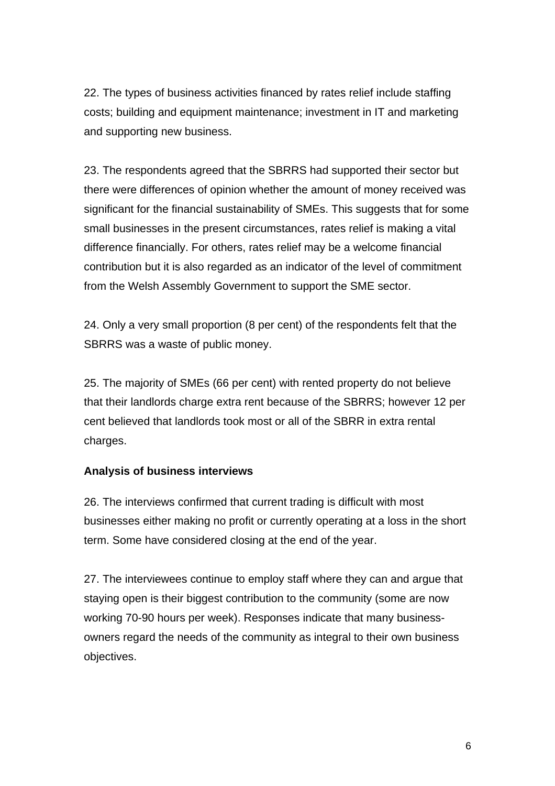22. The types of business activities financed by rates relief include staffing costs; building and equipment maintenance; investment in IT and marketing and supporting new business.

23. The respondents agreed that the SBRRS had supported their sector but there were differences of opinion whether the amount of money received was significant for the financial sustainability of SMEs. This suggests that for some small businesses in the present circumstances, rates relief is making a vital difference financially. For others, rates relief may be a welcome financial contribution but it is also regarded as an indicator of the level of commitment from the Welsh Assembly Government to support the SME sector.

24. Only a very small proportion (8 per cent) of the respondents felt that the SBRRS was a waste of public money.

25. The majority of SMEs (66 per cent) with rented property do not believe that their landlords charge extra rent because of the SBRRS; however 12 per cent believed that landlords took most or all of the SBRR in extra rental charges.

#### **Analysis of business interviews**

26. The interviews confirmed that current trading is difficult with most businesses either making no profit or currently operating at a loss in the short term. Some have considered closing at the end of the year.

27. The interviewees continue to employ staff where they can and argue that staying open is their biggest contribution to the community (some are now working 70-90 hours per week). Responses indicate that many businessowners regard the needs of the community as integral to their own business objectives.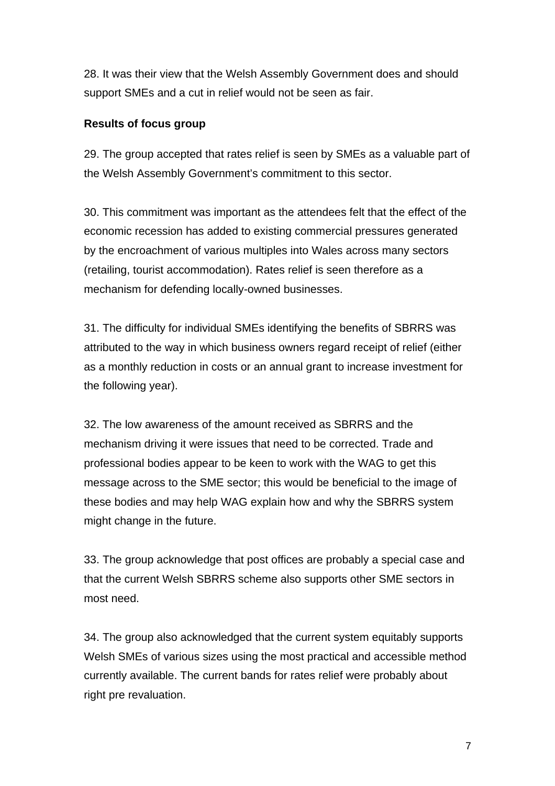28. It was their view that the Welsh Assembly Government does and should support SMEs and a cut in relief would not be seen as fair.

#### **Results of focus group**

29. The group accepted that rates relief is seen by SMEs as a valuable part of the Welsh Assembly Government's commitment to this sector.

30. This commitment was important as the attendees felt that the effect of the economic recession has added to existing commercial pressures generated by the encroachment of various multiples into Wales across many sectors (retailing, tourist accommodation). Rates relief is seen therefore as a mechanism for defending locally-owned businesses.

31. The difficulty for individual SMEs identifying the benefits of SBRRS was attributed to the way in which business owners regard receipt of relief (either as a monthly reduction in costs or an annual grant to increase investment for the following year).

32. The low awareness of the amount received as SBRRS and the mechanism driving it were issues that need to be corrected. Trade and professional bodies appear to be keen to work with the WAG to get this message across to the SME sector; this would be beneficial to the image of these bodies and may help WAG explain how and why the SBRRS system might change in the future.

33. The group acknowledge that post offices are probably a special case and that the current Welsh SBRRS scheme also supports other SME sectors in most need.

34. The group also acknowledged that the current system equitably supports Welsh SMEs of various sizes using the most practical and accessible method currently available. The current bands for rates relief were probably about right pre revaluation.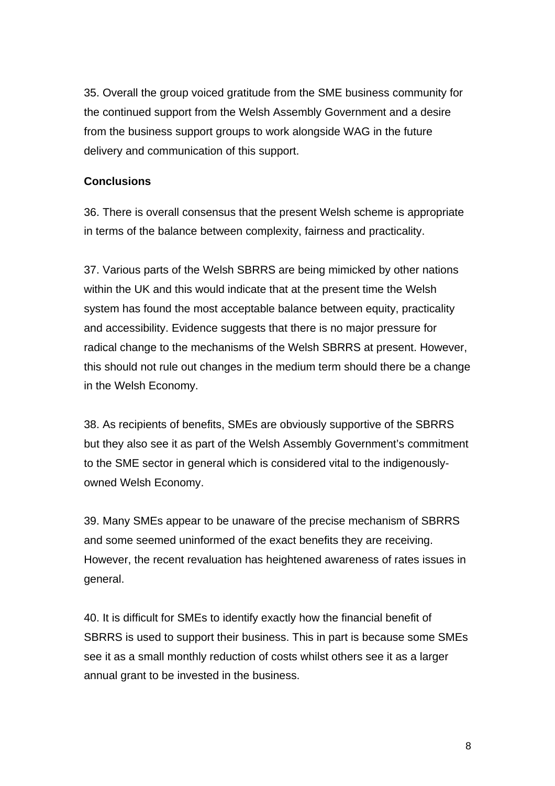35. Overall the group voiced gratitude from the SME business community for the continued support from the Welsh Assembly Government and a desire from the business support groups to work alongside WAG in the future delivery and communication of this support.

#### **Conclusions**

36. There is overall consensus that the present Welsh scheme is appropriate in terms of the balance between complexity, fairness and practicality.

37. Various parts of the Welsh SBRRS are being mimicked by other nations within the UK and this would indicate that at the present time the Welsh system has found the most acceptable balance between equity, practicality and accessibility. Evidence suggests that there is no major pressure for radical change to the mechanisms of the Welsh SBRRS at present. However, this should not rule out changes in the medium term should there be a change in the Welsh Economy.

38. As recipients of benefits, SMEs are obviously supportive of the SBRRS but they also see it as part of the Welsh Assembly Government's commitment to the SME sector in general which is considered vital to the indigenouslyowned Welsh Economy.

39. Many SMEs appear to be unaware of the precise mechanism of SBRRS and some seemed uninformed of the exact benefits they are receiving. However, the recent revaluation has heightened awareness of rates issues in general.

40. It is difficult for SMEs to identify exactly how the financial benefit of SBRRS is used to support their business. This in part is because some SMEs see it as a small monthly reduction of costs whilst others see it as a larger annual grant to be invested in the business.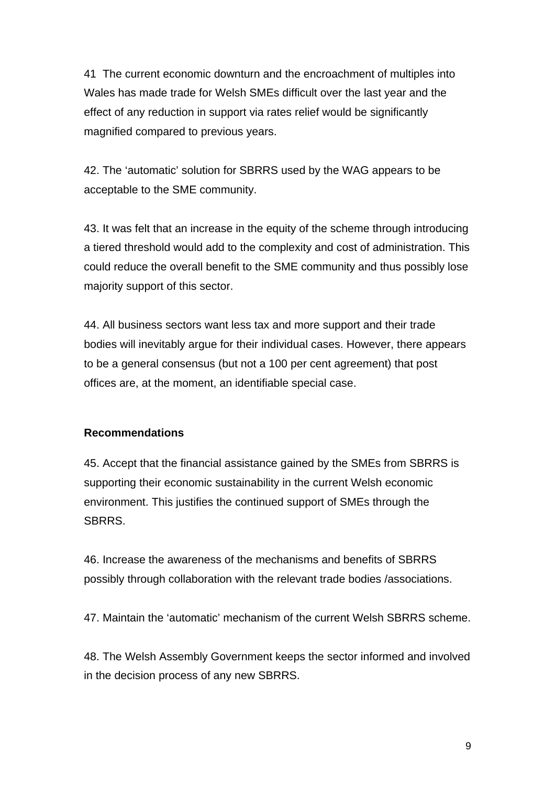41 The current economic downturn and the encroachment of multiples into Wales has made trade for Welsh SMEs difficult over the last year and the effect of any reduction in support via rates relief would be significantly magnified compared to previous years.

42. The 'automatic' solution for SBRRS used by the WAG appears to be acceptable to the SME community.

43. It was felt that an increase in the equity of the scheme through introducing a tiered threshold would add to the complexity and cost of administration. This could reduce the overall benefit to the SME community and thus possibly lose majority support of this sector.

44. All business sectors want less tax and more support and their trade bodies will inevitably argue for their individual cases. However, there appears to be a general consensus (but not a 100 per cent agreement) that post offices are, at the moment, an identifiable special case.

#### **Recommendations**

45. Accept that the financial assistance gained by the SMEs from SBRRS is supporting their economic sustainability in the current Welsh economic environment. This justifies the continued support of SMEs through the SBRRS.

46. Increase the awareness of the mechanisms and benefits of SBRRS possibly through collaboration with the relevant trade bodies /associations.

47. Maintain the 'automatic' mechanism of the current Welsh SBRRS scheme.

48. The Welsh Assembly Government keeps the sector informed and involved in the decision process of any new SBRRS.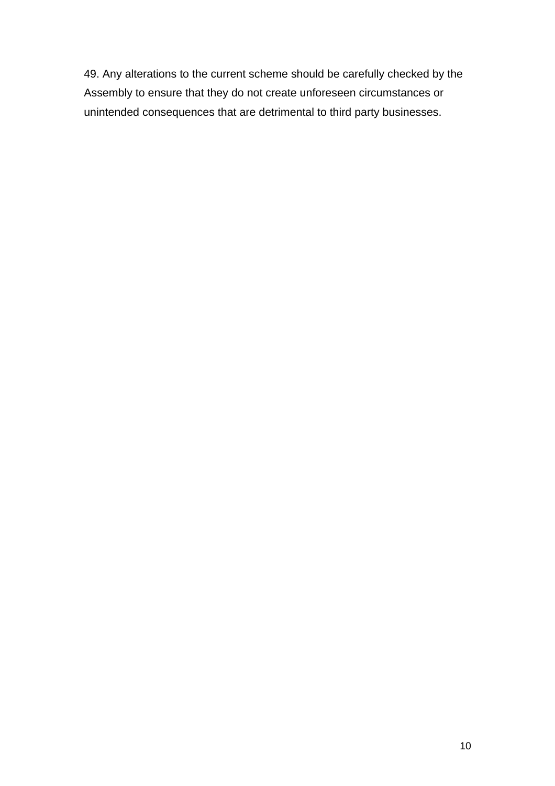49. Any alterations to the current scheme should be carefully checked by the Assembly to ensure that they do not create unforeseen circumstances or unintended consequences that are detrimental to third party businesses.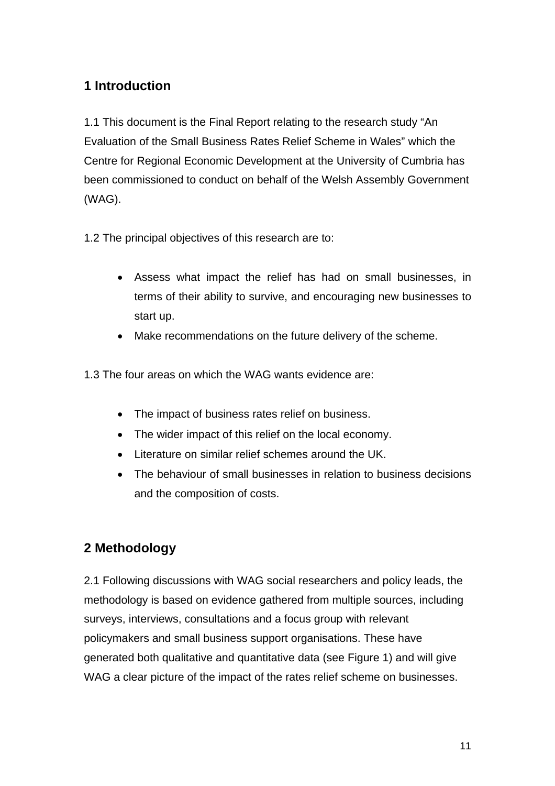## <span id="page-13-0"></span>**1 Introduction**

1.1 This document is the Final Report relating to the research study "An Evaluation of the Small Business Rates Relief Scheme in Wales" which the Centre for Regional Economic Development at the University of Cumbria has been commissioned to conduct on behalf of the Welsh Assembly Government (WAG).

1.2 The principal objectives of this research are to:

- Assess what impact the relief has had on small businesses, in terms of their ability to survive, and encouraging new businesses to start up.
- Make recommendations on the future delivery of the scheme.

1.3 The four areas on which the WAG wants evidence are:

- The impact of business rates relief on business.
- The wider impact of this relief on the local economy.
- Literature on similar relief schemes around the UK.
- The behaviour of small businesses in relation to business decisions and the composition of costs.

## **2 Methodology**

2.1 Following discussions with WAG social researchers and policy leads, the methodology is based on evidence gathered from multiple sources, including surveys, interviews, consultations and a focus group with relevant policymakers and small business support organisations. These have generated both qualitative and quantitative data (see Figure 1) and will give WAG a clear picture of the impact of the rates relief scheme on businesses.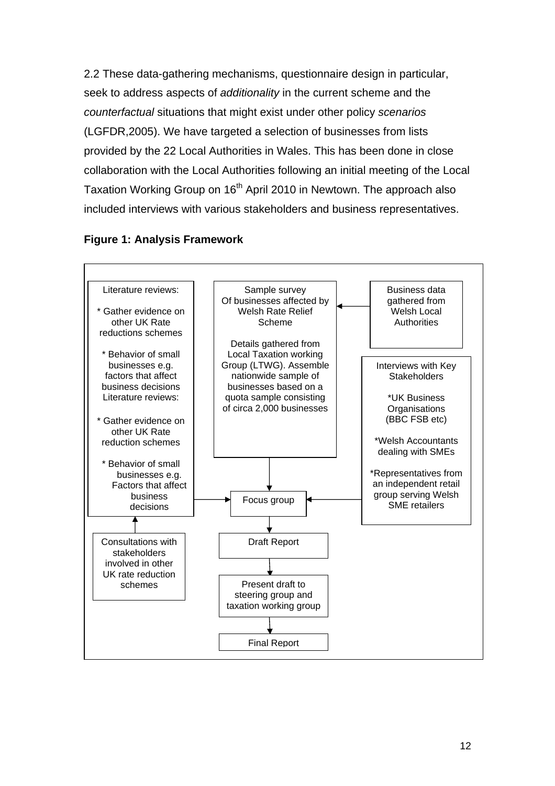2.2 These data-gathering mechanisms, questionnaire design in particular, seek to address aspects of *additionality* in the current scheme and the *counterfactual* situations that might exist under other policy *scenarios*  (LGFDR,2005). We have targeted a selection of businesses from lists provided by the 22 Local Authorities in Wales. This has been done in close collaboration with the Local Authorities following an initial meeting of the Local Taxation Working Group on 16<sup>th</sup> April 2010 in Newtown. The approach also included interviews with various stakeholders and business representatives.



Final Report

#### **Figure 1: Analysis Framework**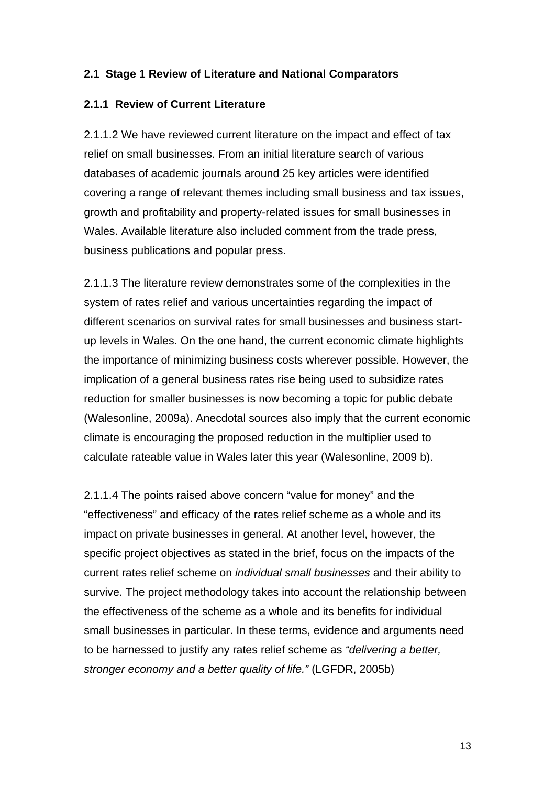#### <span id="page-15-0"></span>**2.1 Stage 1 Review of Literature and National Comparators**

#### **2.1.1 Review of Current Literature**

2.1.1.2 We have reviewed current literature on the impact and effect of tax relief on small businesses. From an initial literature search of various databases of academic journals around 25 key articles were identified covering a range of relevant themes including small business and tax issues, growth and profitability and property-related issues for small businesses in Wales. Available literature also included comment from the trade press, business publications and popular press.

2.1.1.3 The literature review demonstrates some of the complexities in the system of rates relief and various uncertainties regarding the impact of different scenarios on survival rates for small businesses and business startup levels in Wales. On the one hand, the current economic climate highlights the importance of minimizing business costs wherever possible. However, the implication of a general business rates rise being used to subsidize rates reduction for smaller businesses is now becoming a topic for public debate (Walesonline, 2009a). Anecdotal sources also imply that the current economic climate is encouraging the proposed reduction in the multiplier used to calculate rateable value in Wales later this year (Walesonline, 2009 b).

2.1.1.4 The points raised above concern "value for money" and the "effectiveness" and efficacy of the rates relief scheme as a whole and its impact on private businesses in general. At another level, however, the specific project objectives as stated in the brief, focus on the impacts of the current rates relief scheme on *individual small businesses* and their ability to survive. The project methodology takes into account the relationship between the effectiveness of the scheme as a whole and its benefits for individual small businesses in particular. In these terms, evidence and arguments need to be harnessed to justify any rates relief scheme as *"delivering a better, stronger economy and a better quality of life."* (LGFDR, 2005b)

13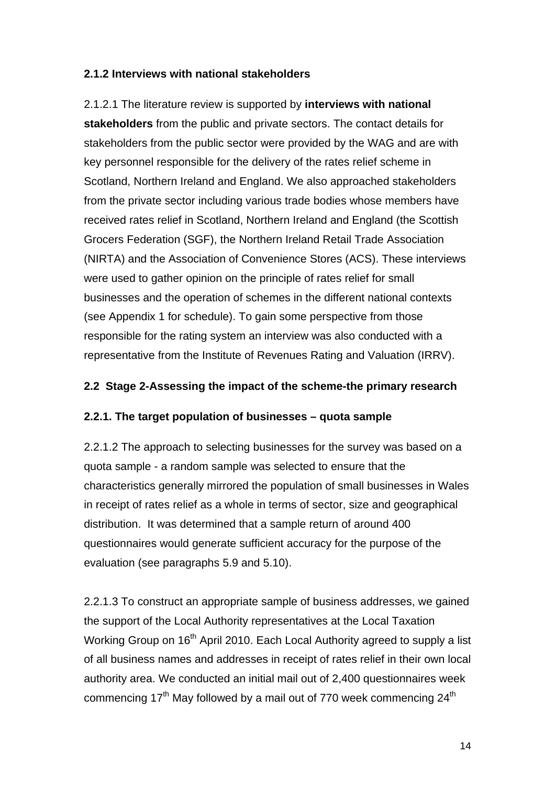### <span id="page-16-0"></span>**2.1.2 Interviews with national stakeholders**

2.1.2.1 The literature review is supported by **interviews with national stakeholders** from the public and private sectors. The contact details for stakeholders from the public sector were provided by the WAG and are with key personnel responsible for the delivery of the rates relief scheme in Scotland, Northern Ireland and England. We also approached stakeholders from the private sector including various trade bodies whose members have received rates relief in Scotland, Northern Ireland and England (the Scottish Grocers Federation (SGF), the Northern Ireland Retail Trade Association (NIRTA) and the Association of Convenience Stores (ACS). These interviews were used to gather opinion on the principle of rates relief for small businesses and the operation of schemes in the different national contexts (see Appendix 1 for schedule). To gain some perspective from those responsible for the rating system an interview was also conducted with a representative from the Institute of Revenues Rating and Valuation (IRRV).

#### **2.2 Stage 2-Assessing the impact of the scheme-the primary research**

#### **2.2.1. The target population of businesses – quota sample**

2.2.1.2 The approach to selecting businesses for the survey was based on a quota sample - a random sample was selected to ensure that the characteristics generally mirrored the population of small businesses in Wales in receipt of rates relief as a whole in terms of sector, size and geographical distribution. It was determined that a sample return of around 400 questionnaires would generate sufficient accuracy for the purpose of the evaluation (see paragraphs 5.9 and 5.10).

2.2.1.3 To construct an appropriate sample of business addresses, we gained the support of the Local Authority representatives at the Local Taxation Working Group on 16<sup>th</sup> April 2010. Each Local Authority agreed to supply a list of all business names and addresses in receipt of rates relief in their own local authority area. We conducted an initial mail out of 2,400 questionnaires week commencing  $17<sup>th</sup>$  May followed by a mail out of 770 week commencing  $24<sup>th</sup>$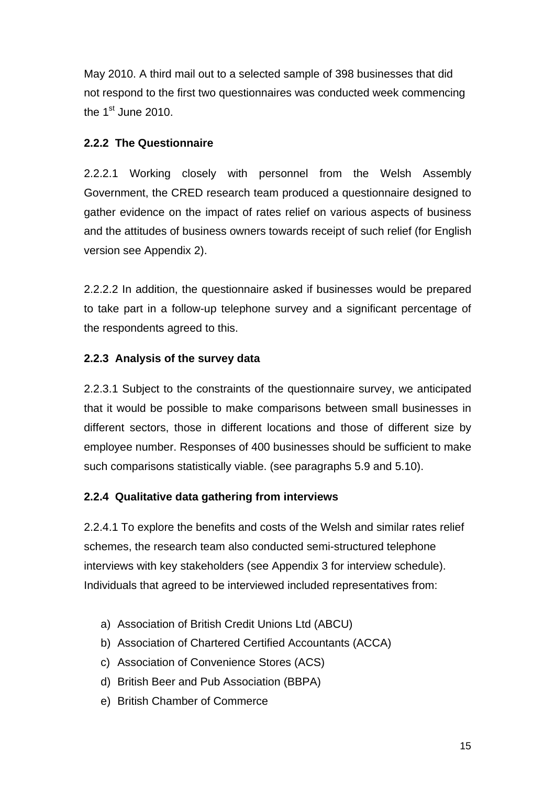<span id="page-17-0"></span>May 2010. A third mail out to a selected sample of 398 businesses that did not respond to the first two questionnaires was conducted week commencing the  $1<sup>st</sup>$  June 2010.

#### **2.2.2 The Questionnaire**

2.2.2.1 Working closely with personnel from the Welsh Assembly Government, the CRED research team produced a questionnaire designed to gather evidence on the impact of rates relief on various aspects of business and the attitudes of business owners towards receipt of such relief (for English version see Appendix 2).

2.2.2.2 In addition, the questionnaire asked if businesses would be prepared to take part in a follow-up telephone survey and a significant percentage of the respondents agreed to this.

#### **2.2.3 Analysis of the survey data**

2.2.3.1 Subject to the constraints of the questionnaire survey, we anticipated that it would be possible to make comparisons between small businesses in different sectors, those in different locations and those of different size by employee number. Responses of 400 businesses should be sufficient to make such comparisons statistically viable. (see paragraphs 5.9 and 5.10).

#### **2.2.4 Qualitative data gathering from interviews**

2.2.4.1 To explore the benefits and costs of the Welsh and similar rates relief schemes, the research team also conducted semi-structured telephone interviews with key stakeholders (see Appendix 3 for interview schedule). Individuals that agreed to be interviewed included representatives from:

- a) Association of British Credit Unions Ltd (ABCU)
- b) Association of Chartered Certified Accountants (ACCA)
- c) Association of Convenience Stores (ACS)
- d) British Beer and Pub Association (BBPA)
- e) British Chamber of Commerce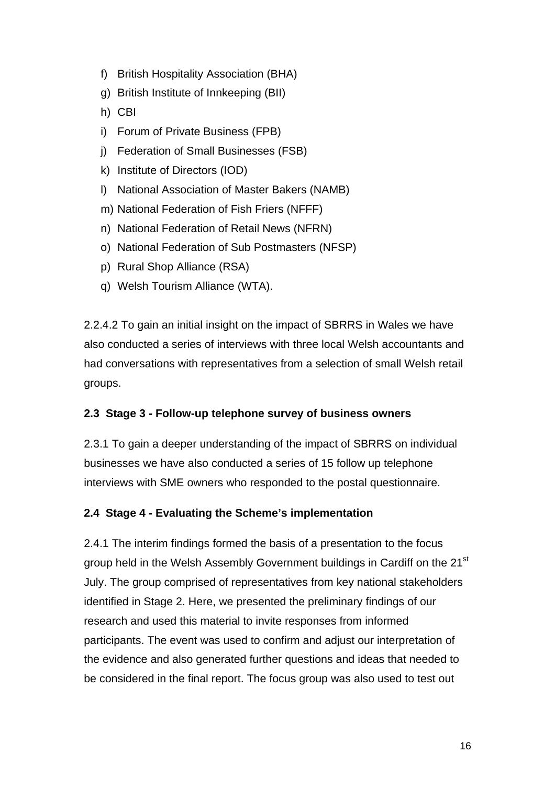- <span id="page-18-0"></span>f) British Hospitality Association (BHA)
- g) British Institute of Innkeeping (BII)
- h) CBI
- i) Forum of Private Business (FPB)
- j) Federation of Small Businesses (FSB)
- k) Institute of Directors (IOD)
- l) National Association of Master Bakers (NAMB)
- m) National Federation of Fish Friers (NFFF)
- n) National Federation of Retail News (NFRN)
- o) National Federation of Sub Postmasters (NFSP)
- p) Rural Shop Alliance (RSA)
- q) Welsh Tourism Alliance (WTA).

2.2.4.2 To gain an initial insight on the impact of SBRRS in Wales we have also conducted a series of interviews with three local Welsh accountants and had conversations with representatives from a selection of small Welsh retail groups.

#### **2.3 Stage 3 - Follow-up telephone survey of business owners**

2.3.1 To gain a deeper understanding of the impact of SBRRS on individual businesses we have also conducted a series of 15 follow up telephone interviews with SME owners who responded to the postal questionnaire.

#### **2.4 Stage 4 - Evaluating the Scheme's implementation**

2.4.1 The interim findings formed the basis of a presentation to the focus group held in the Welsh Assembly Government buildings in Cardiff on the 21<sup>st</sup> July. The group comprised of representatives from key national stakeholders identified in Stage 2. Here, we presented the preliminary findings of our research and used this material to invite responses from informed participants. The event was used to confirm and adjust our interpretation of the evidence and also generated further questions and ideas that needed to be considered in the final report. The focus group was also used to test out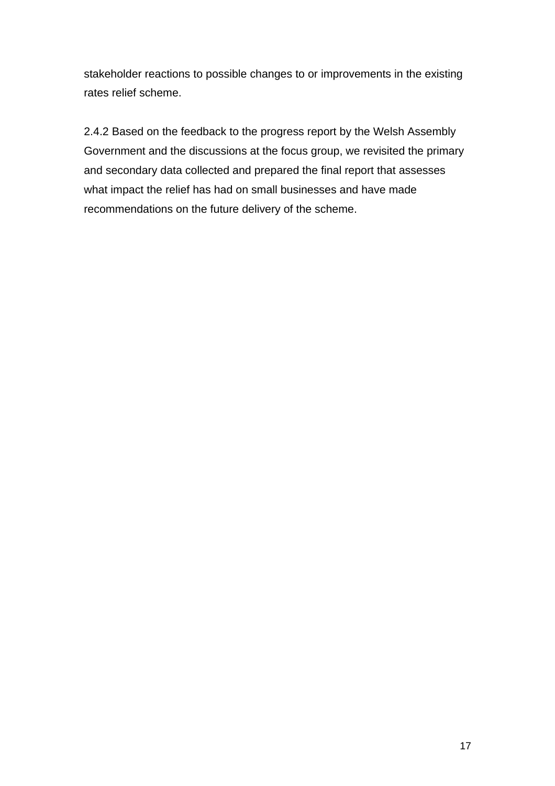stakeholder reactions to possible changes to or improvements in the existing rates relief scheme.

2.4.2 Based on the feedback to the progress report by the Welsh Assembly Government and the discussions at the focus group, we revisited the primary and secondary data collected and prepared the final report that assesses what impact the relief has had on small businesses and have made recommendations on the future delivery of the scheme.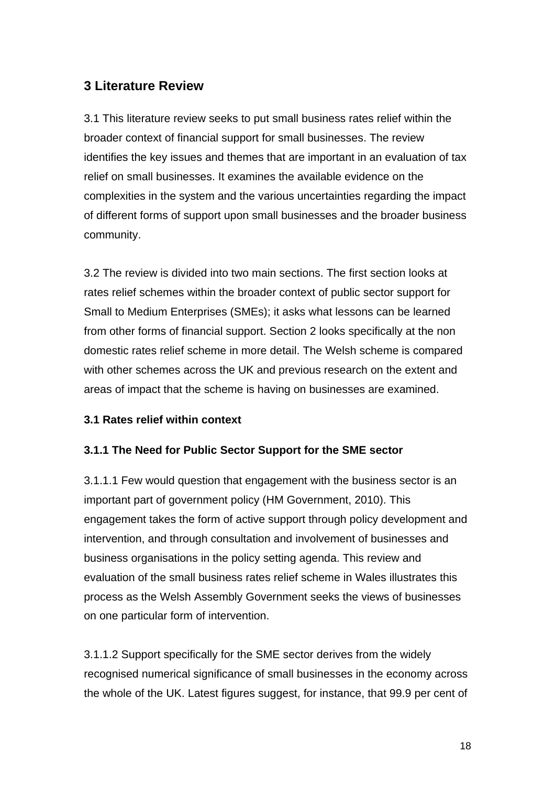## <span id="page-20-0"></span>**3 Literature Review**

3.1 This literature review seeks to put small business rates relief within the broader context of financial support for small businesses. The review identifies the key issues and themes that are important in an evaluation of tax relief on small businesses. It examines the available evidence on the complexities in the system and the various uncertainties regarding the impact of different forms of support upon small businesses and the broader business community.

3.2 The review is divided into two main sections. The first section looks at rates relief schemes within the broader context of public sector support for Small to Medium Enterprises (SMEs); it asks what lessons can be learned from other forms of financial support. Section 2 looks specifically at the non domestic rates relief scheme in more detail. The Welsh scheme is compared with other schemes across the UK and previous research on the extent and areas of impact that the scheme is having on businesses are examined.

#### **3.1 Rates relief within context**

#### **3.1.1 The Need for Public Sector Support for the SME sector**

3.1.1.1 Few would question that engagement with the business sector is an important part of government policy (HM Government, 2010). This engagement takes the form of active support through policy development and intervention, and through consultation and involvement of businesses and business organisations in the policy setting agenda. This review and evaluation of the small business rates relief scheme in Wales illustrates this process as the Welsh Assembly Government seeks the views of businesses on one particular form of intervention.

3.1.1.2 Support specifically for the SME sector derives from the widely recognised numerical significance of small businesses in the economy across the whole of the UK. Latest figures suggest, for instance, that 99.9 per cent of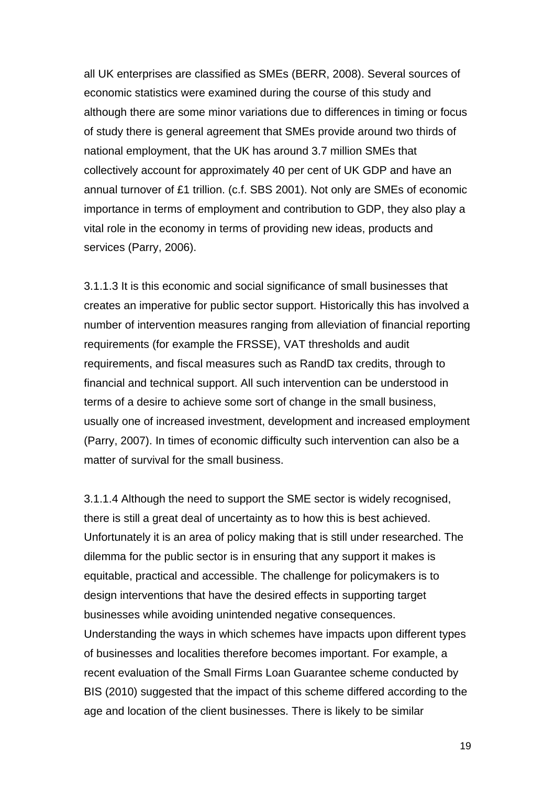all UK enterprises are classified as SMEs (BERR, 2008). Several sources of economic statistics were examined during the course of this study and although there are some minor variations due to differences in timing or focus of study there is general agreement that SMEs provide around two thirds of national employment, that the UK has around 3.7 million SMEs that collectively account for approximately 40 per cent of UK GDP and have an annual turnover of £1 trillion. (c.f. SBS 2001). Not only are SMEs of economic importance in terms of employment and contribution to GDP, they also play a vital role in the economy in terms of providing new ideas, products and services (Parry, 2006).

3.1.1.3 It is this economic and social significance of small businesses that creates an imperative for public sector support. Historically this has involved a number of intervention measures ranging from alleviation of financial reporting requirements (for example the FRSSE), VAT thresholds and audit requirements, and fiscal measures such as RandD tax credits, through to financial and technical support. All such intervention can be understood in terms of a desire to achieve some sort of change in the small business, usually one of increased investment, development and increased employment (Parry, 2007). In times of economic difficulty such intervention can also be a matter of survival for the small business.

3.1.1.4 Although the need to support the SME sector is widely recognised, there is still a great deal of uncertainty as to how this is best achieved. Unfortunately it is an area of policy making that is still under researched. The dilemma for the public sector is in ensuring that any support it makes is equitable, practical and accessible. The challenge for policymakers is to design interventions that have the desired effects in supporting target businesses while avoiding unintended negative consequences. Understanding the ways in which schemes have impacts upon different types of businesses and localities therefore becomes important. For example, a recent evaluation of the Small Firms Loan Guarantee scheme conducted by BIS (2010) suggested that the impact of this scheme differed according to the age and location of the client businesses. There is likely to be similar

19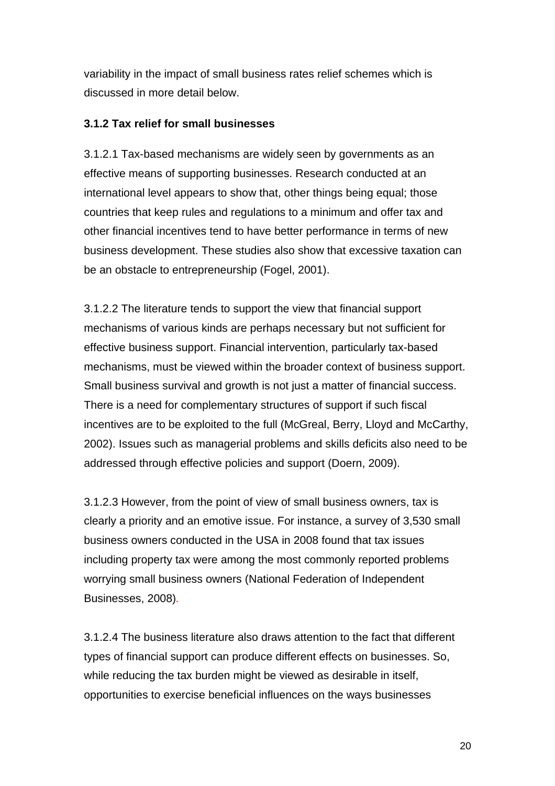<span id="page-22-0"></span>variability in the impact of small business rates relief schemes which is discussed in more detail below.

#### **3.1.2 Tax relief for small businesses**

3.1.2.1 Tax-based mechanisms are widely seen by governments as an effective means of supporting businesses. Research conducted at an international level appears to show that, other things being equal; those countries that keep rules and regulations to a minimum and offer tax and other financial incentives tend to have better performance in terms of new business development. These studies also show that excessive taxation can be an obstacle to entrepreneurship (Fogel, 2001).

3.1.2.2 The literature tends to support the view that financial support mechanisms of various kinds are perhaps necessary but not sufficient for effective business support. Financial intervention, particularly tax-based mechanisms, must be viewed within the broader context of business support. Small business survival and growth is not just a matter of financial success. There is a need for complementary structures of support if such fiscal incentives are to be exploited to the full (McGreal, Berry, Lloyd and McCarthy, 2002). Issues such as managerial problems and skills deficits also need to be addressed through effective policies and support (Doern, 2009).

3.1.2.3 However, from the point of view of small business owners, tax is clearly a priority and an emotive issue. For instance, a survey of 3,530 small business owners conducted in the USA in 2008 found that tax issues including property tax were among the most commonly reported problems worrying small business owners (National Federation of Independent Businesses, 2008)*.*

3.1.2.4 The business literature also draws attention to the fact that different types of financial support can produce different effects on businesses. So, while reducing the tax burden might be viewed as desirable in itself, opportunities to exercise beneficial influences on the ways businesses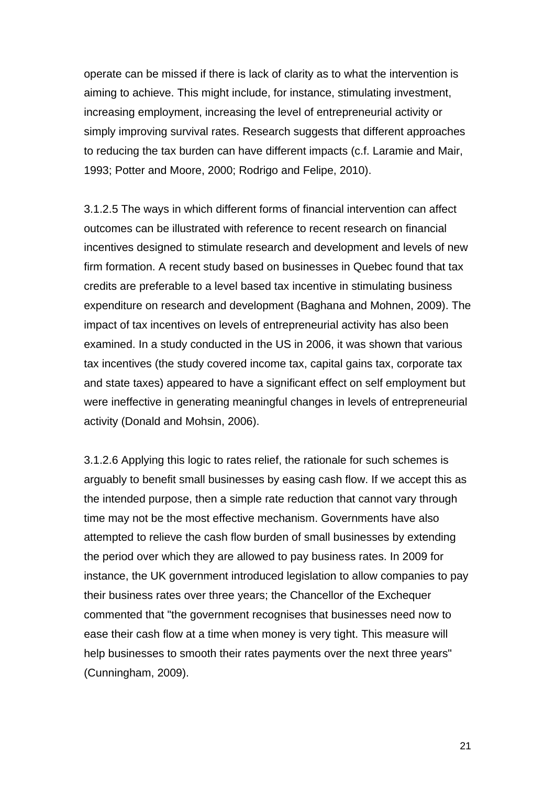operate can be missed if there is lack of clarity as to what the intervention is aiming to achieve. This might include, for instance, stimulating investment, increasing employment, increasing the level of entrepreneurial activity or simply improving survival rates. Research suggests that different approaches to reducing the tax burden can have different impacts (c.f. Laramie and Mair, 1993; Potter and Moore, 2000; Rodrigo and Felipe, 2010).

3.1.2.5 The ways in which different forms of financial intervention can affect outcomes can be illustrated with reference to recent research on financial incentives designed to stimulate research and development and levels of new firm formation. A recent study based on businesses in Quebec found that tax credits are preferable to a level based tax incentive in stimulating business expenditure on research and development (Baghana and Mohnen, 2009). The impact of tax incentives on levels of entrepreneurial activity has also been examined. In a study conducted in the US in 2006, it was shown that various tax incentives (the study covered income tax, capital gains tax, corporate tax and state taxes) appeared to have a significant effect on self employment but were ineffective in generating meaningful changes in levels of entrepreneurial activity (Donald and Mohsin, 2006).

3.1.2.6 Applying this logic to rates relief, the rationale for such schemes is arguably to benefit small businesses by easing cash flow. If we accept this as the intended purpose, then a simple rate reduction that cannot vary through time may not be the most effective mechanism. Governments have also attempted to relieve the cash flow burden of small businesses by extending the period over which they are allowed to pay business rates. In 2009 for instance, the UK government introduced legislation to allow companies to pay their business rates over three years; the Chancellor of the Exchequer commented that "the government recognises that businesses need now to ease their cash flow at a time when money is very tight. This measure will help businesses to smooth their rates payments over the next three years" (Cunningham, 2009).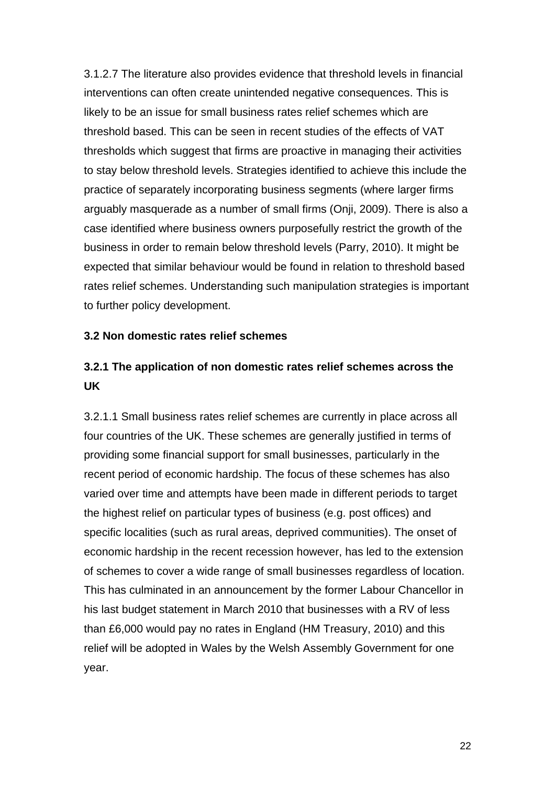<span id="page-24-0"></span>3.1.2.7 The literature also provides evidence that threshold levels in financial interventions can often create unintended negative consequences. This is likely to be an issue for small business rates relief schemes which are threshold based. This can be seen in recent studies of the effects of VAT thresholds which suggest that firms are proactive in managing their activities to stay below threshold levels. Strategies identified to achieve this include the practice of separately incorporating business segments (where larger firms arguably masquerade as a number of small firms (Onji, 2009). There is also a case identified where business owners purposefully restrict the growth of the business in order to remain below threshold levels (Parry, 2010). It might be expected that similar behaviour would be found in relation to threshold based rates relief schemes. Understanding such manipulation strategies is important to further policy development.

#### **3.2 Non domestic rates relief schemes**

## **3.2.1 The application of non domestic rates relief schemes across the UK**

3.2.1.1 Small business rates relief schemes are currently in place across all four countries of the UK. These schemes are generally justified in terms of providing some financial support for small businesses, particularly in the recent period of economic hardship. The focus of these schemes has also varied over time and attempts have been made in different periods to target the highest relief on particular types of business (e.g. post offices) and specific localities (such as rural areas, deprived communities). The onset of economic hardship in the recent recession however, has led to the extension of schemes to cover a wide range of small businesses regardless of location. This has culminated in an announcement by the former Labour Chancellor in his last budget statement in March 2010 that businesses with a RV of less than £6,000 would pay no rates in England (HM Treasury, 2010) and this relief will be adopted in Wales by the Welsh Assembly Government for one year.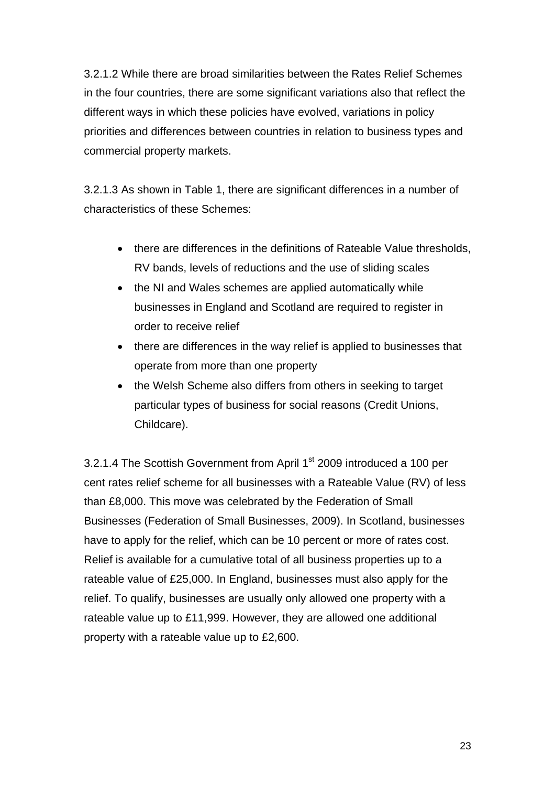3.2.1.2 While there are broad similarities between the Rates Relief Schemes in the four countries, there are some significant variations also that reflect the different ways in which these policies have evolved, variations in policy priorities and differences between countries in relation to business types and commercial property markets.

3.2.1.3 As shown in Table 1, there are significant differences in a number of characteristics of these Schemes:

- there are differences in the definitions of Rateable Value thresholds, RV bands, levels of reductions and the use of sliding scales
- the NI and Wales schemes are applied automatically while businesses in England and Scotland are required to register in order to receive relief
- there are differences in the way relief is applied to businesses that operate from more than one property
- the Welsh Scheme also differs from others in seeking to target particular types of business for social reasons (Credit Unions, Childcare).

3.2.1.4 The Scottish Government from April 1<sup>st</sup> 2009 introduced a 100 per cent rates relief scheme for all businesses with a Rateable Value (RV) of less than £8,000. This move was celebrated by the Federation of Small Businesses (Federation of Small Businesses, 2009). In Scotland, businesses have to apply for the relief, which can be 10 percent or more of rates cost. Relief is available for a cumulative total of all business properties up to a rateable value of £25,000. In England, businesses must also apply for the relief. To qualify, businesses are usually only allowed one property with a rateable value up to £11,999. However, they are allowed one additional property with a rateable value up to £2,600.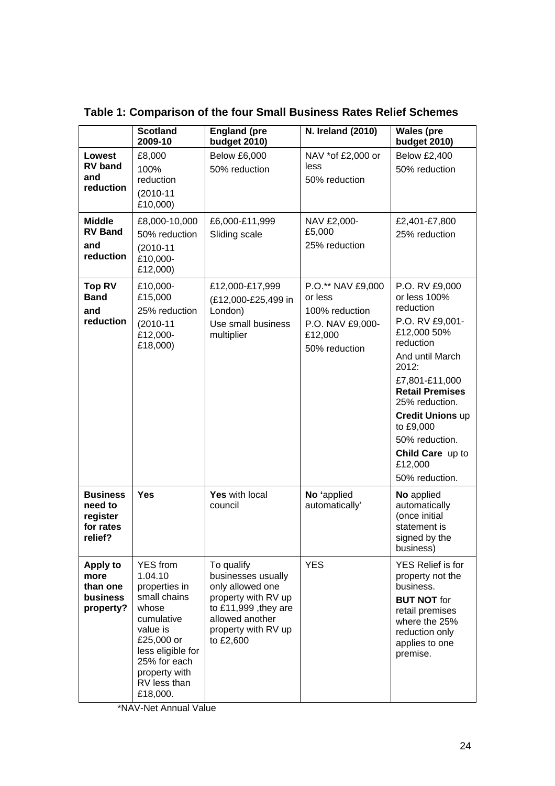|                                                                | <b>Scotland</b><br>2009-10                                                                                                                                                                     | <b>England (pre</b><br>budget 2010)                                                                                                                           | N. Ireland (2010)                                                                              | <b>Wales (pre</b><br><b>budget 2010)</b>                                                                                                                                                                                                                                                        |
|----------------------------------------------------------------|------------------------------------------------------------------------------------------------------------------------------------------------------------------------------------------------|---------------------------------------------------------------------------------------------------------------------------------------------------------------|------------------------------------------------------------------------------------------------|-------------------------------------------------------------------------------------------------------------------------------------------------------------------------------------------------------------------------------------------------------------------------------------------------|
| Lowest<br><b>RV</b> band<br>and<br>reduction                   | £8,000<br>100%<br>reduction<br>$(2010 - 11)$<br>£10,000)                                                                                                                                       | <b>Below £6,000</b><br>50% reduction                                                                                                                          | NAV *of £2,000 or<br>less<br>50% reduction                                                     | <b>Below £2,400</b><br>50% reduction                                                                                                                                                                                                                                                            |
| <b>Middle</b><br><b>RV Band</b><br>and<br>reduction            | £8,000-10,000<br>50% reduction<br>$(2010 - 11)$<br>£10,000-<br>£12,000)                                                                                                                        | £6,000-£11,999<br>Sliding scale                                                                                                                               | NAV £2,000-<br>£5,000<br>25% reduction                                                         | £2,401-£7,800<br>25% reduction                                                                                                                                                                                                                                                                  |
| <b>Top RV</b><br><b>Band</b><br>and<br>reduction               | £10,000-<br>£15,000<br>25% reduction<br>$(2010-11)$<br>£12,000-<br>£18,000)                                                                                                                    | £12,000-£17,999<br>(£12,000-£25,499 in<br>London)<br>Use small business<br>multiplier                                                                         | P.O.** NAV £9,000<br>or less<br>100% reduction<br>P.O. NAV £9,000-<br>£12,000<br>50% reduction | P.O. RV £9,000<br>or less 100%<br>reduction<br>P.O. RV £9,001-<br>£12,000 50%<br>reduction<br>And until March<br>2012:<br>£7,801-£11,000<br><b>Retail Premises</b><br>25% reduction.<br><b>Credit Unions up</b><br>to £9,000<br>50% reduction.<br>Child Care up to<br>£12,000<br>50% reduction. |
| <b>Business</b><br>need to<br>register<br>for rates<br>relief? | <b>Yes</b>                                                                                                                                                                                     | Yes with local<br>council                                                                                                                                     | No 'applied<br>automatically'                                                                  | No applied<br>automatically<br>(once initial<br>statement is<br>signed by the<br>business)                                                                                                                                                                                                      |
| Apply to<br>more<br>than one<br>business<br>property?          | <b>YES</b> from<br>1.04.10<br>properties in<br>small chains<br>whose<br>cumulative<br>value is<br>£25,000 or<br>less eligible for<br>25% for each<br>property with<br>RV less than<br>£18,000. | To qualify<br>businesses usually<br>only allowed one<br>property with RV up<br>to $£11,999$ , they are<br>allowed another<br>property with RV up<br>to £2,600 | <b>YES</b>                                                                                     | YES Relief is for<br>property not the<br>business.<br><b>BUT NOT for</b><br>retail premises<br>where the 25%<br>reduction only<br>applies to one<br>premise.                                                                                                                                    |

**Table 1: Comparison of the four Small Business Rates Relief Schemes** 

\*NAV-Net Annual Value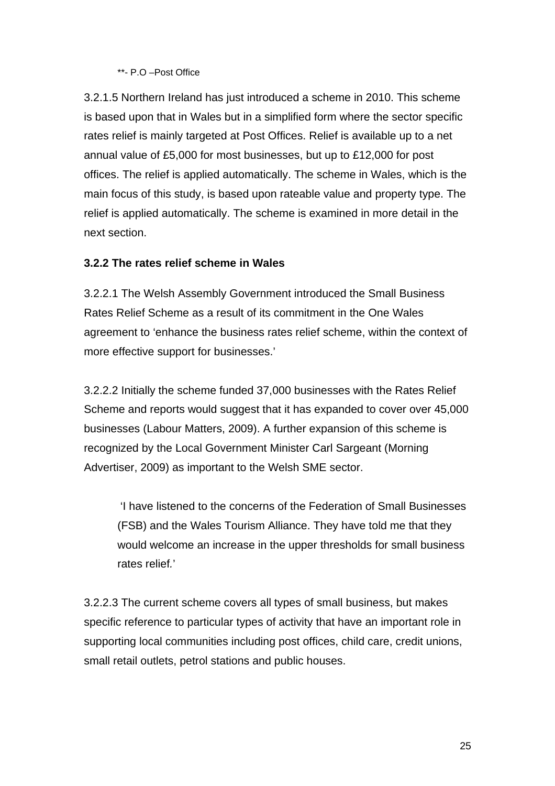#### \*\*- P.O –Post Office

3.2.1.5 Northern Ireland has just introduced a scheme in 2010. This scheme is based upon that in Wales but in a simplified form where the sector specific rates relief is mainly targeted at Post Offices. Relief is available up to a net annual value of £5,000 for most businesses, but up to £12,000 for post offices. The relief is applied automatically. The scheme in Wales, which is the main focus of this study, is based upon rateable value and property type. The relief is applied automatically. The scheme is examined in more detail in the next section.

#### **3.2.2 The rates relief scheme in Wales**

3.2.2.1 The Welsh Assembly Government introduced the Small Business Rates Relief Scheme as a result of its commitment in the One Wales agreement to 'enhance the business rates relief scheme, within the context of more effective support for businesses.'

3.2.2.2 Initially the scheme funded 37,000 businesses with the Rates Relief Scheme and reports would suggest that it has expanded to cover over 45,000 businesses (Labour Matters, 2009). A further expansion of this scheme is recognized by the Local Government Minister Carl Sargeant (Morning Advertiser, 2009) as important to the Welsh SME sector.

'I have listened to the concerns of the Federation of Small Businesses (FSB) and the Wales Tourism Alliance. They have told me that they would welcome an increase in the upper thresholds for small business rates relief*.*'

3.2.2.3 The current scheme covers all types of small business, but makes specific reference to particular types of activity that have an important role in supporting local communities including post offices, child care, credit unions, small retail outlets, petrol stations and public houses.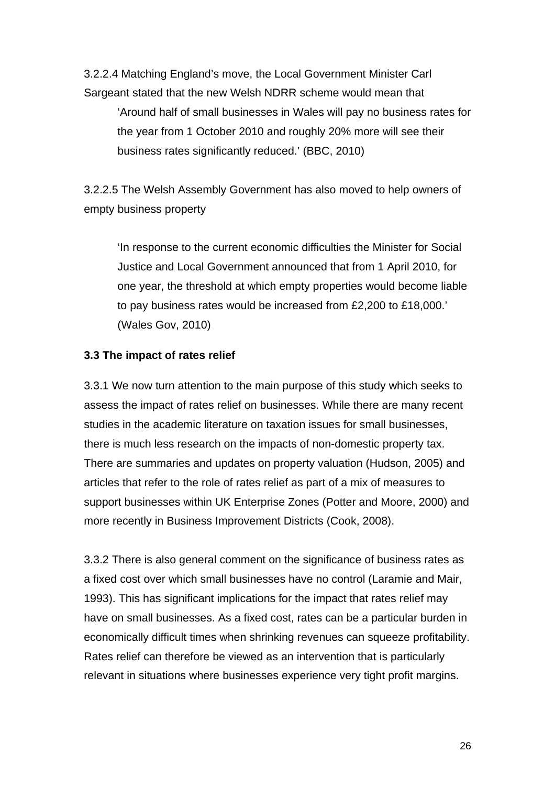3.2.2.4 Matching England's move, the Local Government Minister Carl Sargeant stated that the new Welsh NDRR scheme would mean that 'Around half of small businesses in Wales will pay no business rates for the year from 1 October 2010 and roughly 20% more will see their business rates significantly reduced.' (BBC, 2010)

3.2.2.5 The Welsh Assembly Government has also moved to help owners of empty business property

'In response to the current economic difficulties the Minister for Social Justice and Local Government announced that from 1 April 2010, for one year, the threshold at which empty properties would become liable to pay business rates would be increased from £2,200 to £18,000.' (Wales Gov, 2010)

#### **3.3 The impact of rates relief**

3.3.1 We now turn attention to the main purpose of this study which seeks to assess the impact of rates relief on businesses. While there are many recent studies in the academic literature on taxation issues for small businesses, there is much less research on the impacts of non-domestic property tax. There are summaries and updates on property valuation (Hudson, 2005) and articles that refer to the role of rates relief as part of a mix of measures to support businesses within UK Enterprise Zones (Potter and Moore, 2000) and more recently in Business Improvement Districts (Cook, 2008).

3.3.2 There is also general comment on the significance of business rates as a fixed cost over which small businesses have no control (Laramie and Mair, 1993). This has significant implications for the impact that rates relief may have on small businesses. As a fixed cost, rates can be a particular burden in economically difficult times when shrinking revenues can squeeze profitability. Rates relief can therefore be viewed as an intervention that is particularly relevant in situations where businesses experience very tight profit margins.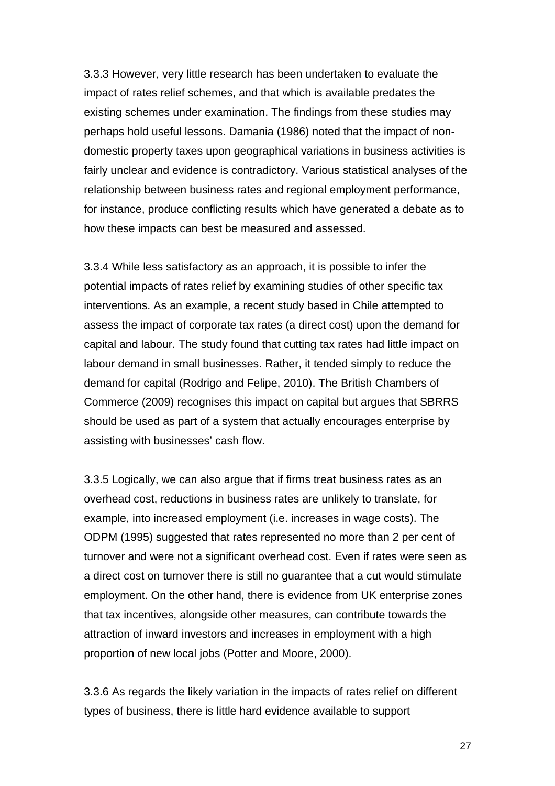3.3.3 However, very little research has been undertaken to evaluate the impact of rates relief schemes, and that which is available predates the existing schemes under examination. The findings from these studies may perhaps hold useful lessons. Damania (1986) noted that the impact of nondomestic property taxes upon geographical variations in business activities is fairly unclear and evidence is contradictory. Various statistical analyses of the relationship between business rates and regional employment performance, for instance, produce conflicting results which have generated a debate as to how these impacts can best be measured and assessed.

3.3.4 While less satisfactory as an approach, it is possible to infer the potential impacts of rates relief by examining studies of other specific tax interventions. As an example, a recent study based in Chile attempted to assess the impact of corporate tax rates (a direct cost) upon the demand for capital and labour. The study found that cutting tax rates had little impact on labour demand in small businesses. Rather, it tended simply to reduce the demand for capital (Rodrigo and Felipe, 2010). The British Chambers of Commerce (2009) recognises this impact on capital but argues that SBRRS should be used as part of a system that actually encourages enterprise by assisting with businesses' cash flow.

3.3.5 Logically, we can also argue that if firms treat business rates as an overhead cost, reductions in business rates are unlikely to translate, for example, into increased employment (i.e. increases in wage costs). The ODPM (1995) suggested that rates represented no more than 2 per cent of turnover and were not a significant overhead cost. Even if rates were seen as a direct cost on turnover there is still no guarantee that a cut would stimulate employment. On the other hand, there is evidence from UK enterprise zones that tax incentives, alongside other measures, can contribute towards the attraction of inward investors and increases in employment with a high proportion of new local jobs (Potter and Moore, 2000).

3.3.6 As regards the likely variation in the impacts of rates relief on different types of business, there is little hard evidence available to support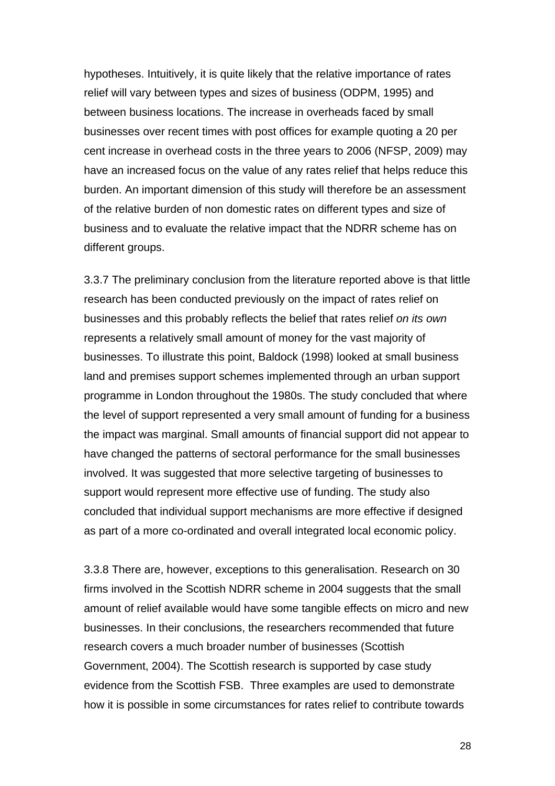hypotheses. Intuitively, it is quite likely that the relative importance of rates relief will vary between types and sizes of business (ODPM, 1995) and between business locations. The increase in overheads faced by small businesses over recent times with post offices for example quoting a 20 per cent increase in overhead costs in the three years to 2006 (NFSP, 2009) may have an increased focus on the value of any rates relief that helps reduce this burden. An important dimension of this study will therefore be an assessment of the relative burden of non domestic rates on different types and size of business and to evaluate the relative impact that the NDRR scheme has on different groups.

3.3.7 The preliminary conclusion from the literature reported above is that little research has been conducted previously on the impact of rates relief on businesses and this probably reflects the belief that rates relief *on its own* represents a relatively small amount of money for the vast majority of businesses. To illustrate this point, Baldock (1998) looked at small business land and premises support schemes implemented through an urban support programme in London throughout the 1980s. The study concluded that where the level of support represented a very small amount of funding for a business the impact was marginal. Small amounts of financial support did not appear to have changed the patterns of sectoral performance for the small businesses involved. It was suggested that more selective targeting of businesses to support would represent more effective use of funding. The study also concluded that individual support mechanisms are more effective if designed as part of a more co-ordinated and overall integrated local economic policy.

3.3.8 There are, however, exceptions to this generalisation. Research on 30 firms involved in the Scottish NDRR scheme in 2004 suggests that the small amount of relief available would have some tangible effects on micro and new businesses. In their conclusions, the researchers recommended that future research covers a much broader number of businesses (Scottish Government, 2004). The Scottish research is supported by case study evidence from the Scottish FSB. Three examples are used to demonstrate how it is possible in some circumstances for rates relief to contribute towards

28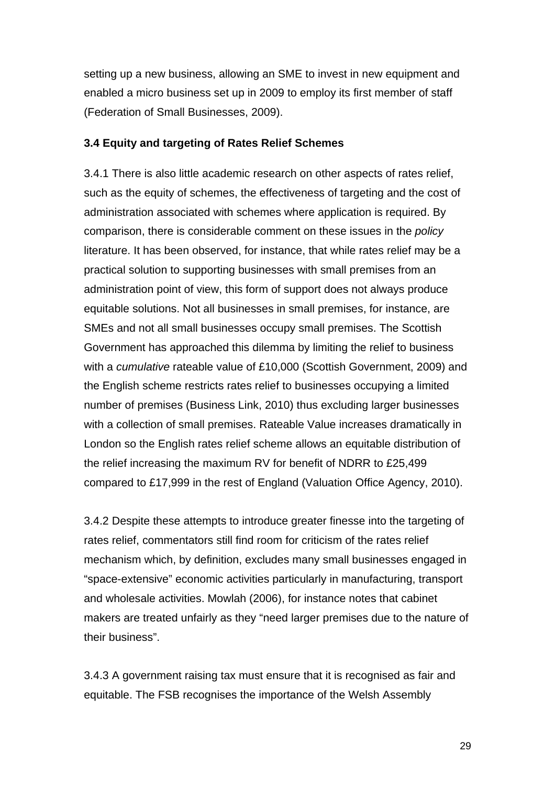setting up a new business, allowing an SME to invest in new equipment and enabled a micro business set up in 2009 to employ its first member of staff (Federation of Small Businesses, 2009).

#### **3.4 Equity and targeting of Rates Relief Schemes**

3.4.1 There is also little academic research on other aspects of rates relief, such as the equity of schemes, the effectiveness of targeting and the cost of administration associated with schemes where application is required. By comparison, there is considerable comment on these issues in the *policy* literature. It has been observed, for instance, that while rates relief may be a practical solution to supporting businesses with small premises from an administration point of view, this form of support does not always produce equitable solutions. Not all businesses in small premises, for instance, are SMEs and not all small businesses occupy small premises. The Scottish Government has approached this dilemma by limiting the relief to business with a *cumulative* rateable value of £10,000 (Scottish Government, 2009) and the English scheme restricts rates relief to businesses occupying a limited number of premises (Business Link, 2010) thus excluding larger businesses with a collection of small premises. Rateable Value increases dramatically in London so the English rates relief scheme allows an equitable distribution of the relief increasing the maximum RV for benefit of NDRR to £25,499 compared to £17,999 in the rest of England (Valuation Office Agency, 2010).

3.4.2 Despite these attempts to introduce greater finesse into the targeting of rates relief, commentators still find room for criticism of the rates relief mechanism which, by definition, excludes many small businesses engaged in "space-extensive" economic activities particularly in manufacturing, transport and wholesale activities. Mowlah (2006), for instance notes that cabinet makers are treated unfairly as they "need larger premises due to the nature of their business".

3.4.3 A government raising tax must ensure that it is recognised as fair and equitable. The FSB recognises the importance of the Welsh Assembly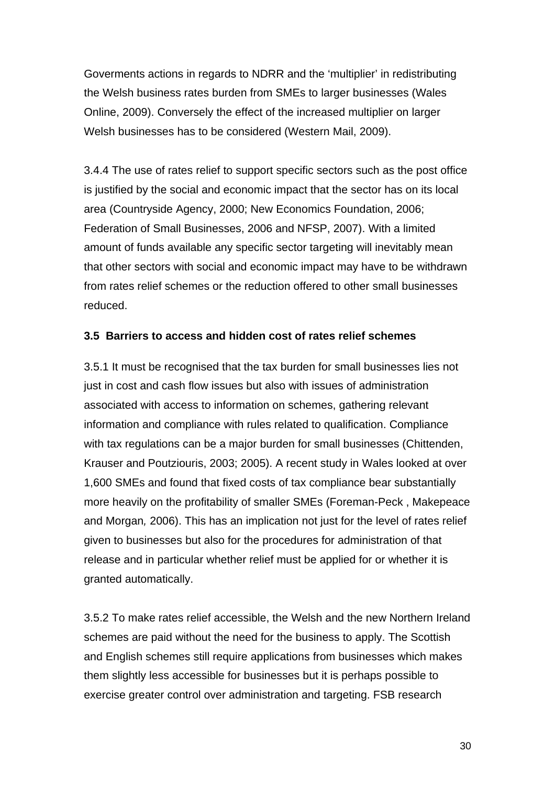Goverments actions in regards to NDRR and the 'multiplier' in redistributing the Welsh business rates burden from SMEs to larger businesses (Wales Online, 2009). Conversely the effect of the increased multiplier on larger Welsh businesses has to be considered (Western Mail, 2009).

3.4.4 The use of rates relief to support specific sectors such as the post office is justified by the social and economic impact that the sector has on its local area (Countryside Agency, 2000; New Economics Foundation, 2006; Federation of Small Businesses, 2006 and NFSP, 2007). With a limited amount of funds available any specific sector targeting will inevitably mean that other sectors with social and economic impact may have to be withdrawn from rates relief schemes or the reduction offered to other small businesses reduced.

#### **3.5 Barriers to access and hidden cost of rates relief schemes**

3.5.1 It must be recognised that the tax burden for small businesses lies not just in cost and cash flow issues but also with issues of administration associated with access to information on schemes, gathering relevant information and compliance with rules related to qualification. Compliance with tax regulations can be a major burden for small businesses (Chittenden, Krauser and Poutziouris, 2003; 2005). A recent study in Wales looked at over 1,600 SMEs and found that fixed costs of tax compliance bear substantially more heavily on the profitability of smaller SMEs (Foreman-Peck , Makepeace and Morgan*,* 2006). This has an implication not just for the level of rates relief given to businesses but also for the procedures for administration of that release and in particular whether relief must be applied for or whether it is granted automatically.

3.5.2 To make rates relief accessible, the Welsh and the new Northern Ireland schemes are paid without the need for the business to apply. The Scottish and English schemes still require applications from businesses which makes them slightly less accessible for businesses but it is perhaps possible to exercise greater control over administration and targeting. FSB research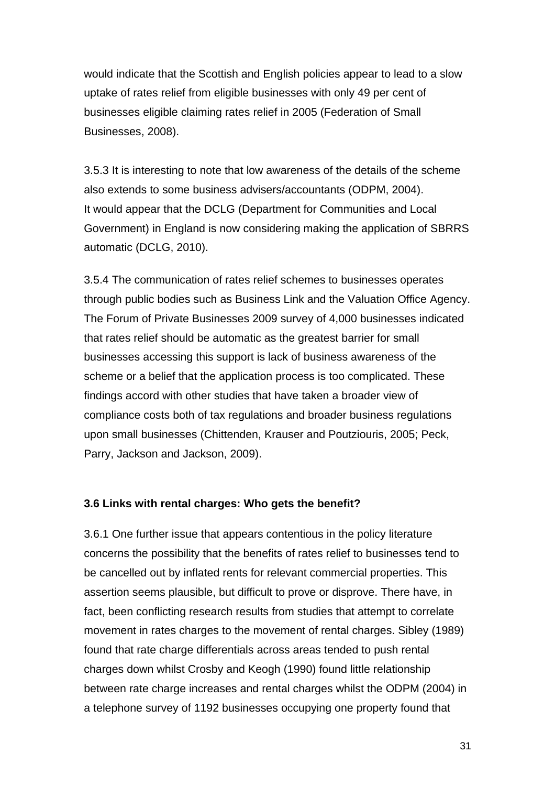would indicate that the Scottish and English policies appear to lead to a slow uptake of rates relief from eligible businesses with only 49 per cent of businesses eligible claiming rates relief in 2005 (Federation of Small Businesses, 2008).

3.5.3 It is interesting to note that low awareness of the details of the scheme also extends to some business advisers/accountants (ODPM, 2004). It would appear that the DCLG (Department for Communities and Local Government) in England is now considering making the application of SBRRS automatic (DCLG, 2010).

3.5.4 The communication of rates relief schemes to businesses operates through public bodies such as Business Link and the Valuation Office Agency. The Forum of Private Businesses 2009 survey of 4,000 businesses indicated that rates relief should be automatic as the greatest barrier for small businesses accessing this support is lack of business awareness of the scheme or a belief that the application process is too complicated. These findings accord with other studies that have taken a broader view of compliance costs both of tax regulations and broader business regulations upon small businesses (Chittenden, Krauser and Poutziouris, 2005; Peck, Parry, Jackson and Jackson, 2009).

#### **3.6 Links with rental charges: Who gets the benefit?**

3.6.1 One further issue that appears contentious in the policy literature concerns the possibility that the benefits of rates relief to businesses tend to be cancelled out by inflated rents for relevant commercial properties. This assertion seems plausible, but difficult to prove or disprove. There have, in fact, been conflicting research results from studies that attempt to correlate movement in rates charges to the movement of rental charges. Sibley (1989) found that rate charge differentials across areas tended to push rental charges down whilst Crosby and Keogh (1990) found little relationship between rate charge increases and rental charges whilst the ODPM (2004) in a telephone survey of 1192 businesses occupying one property found that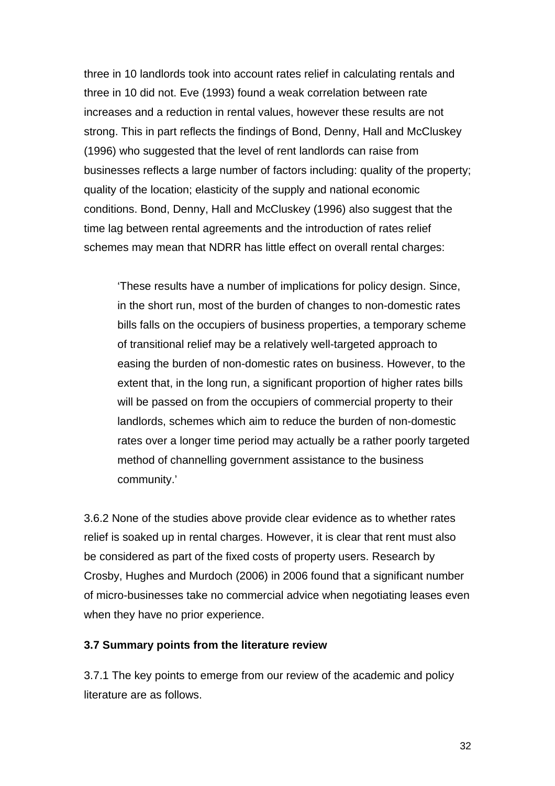three in 10 landlords took into account rates relief in calculating rentals and three in 10 did not. Eve (1993) found a weak correlation between rate increases and a reduction in rental values, however these results are not strong. This in part reflects the findings of Bond, Denny, Hall and McCluskey (1996) who suggested that the level of rent landlords can raise from businesses reflects a large number of factors including: quality of the property; quality of the location; elasticity of the supply and national economic conditions. Bond, Denny, Hall and McCluskey (1996) also suggest that the time lag between rental agreements and the introduction of rates relief schemes may mean that NDRR has little effect on overall rental charges:

'These results have a number of implications for policy design. Since, in the short run, most of the burden of changes to non-domestic rates bills falls on the occupiers of business properties, a temporary scheme of transitional relief may be a relatively well-targeted approach to easing the burden of non-domestic rates on business. However, to the extent that, in the long run, a significant proportion of higher rates bills will be passed on from the occupiers of commercial property to their landlords, schemes which aim to reduce the burden of non-domestic rates over a longer time period may actually be a rather poorly targeted method of channelling government assistance to the business community.'

3.6.2 None of the studies above provide clear evidence as to whether rates relief is soaked up in rental charges. However, it is clear that rent must also be considered as part of the fixed costs of property users. Research by Crosby, Hughes and Murdoch (2006) in 2006 found that a significant number of micro-businesses take no commercial advice when negotiating leases even when they have no prior experience.

#### **3.7 Summary points from the literature review**

3.7.1 The key points to emerge from our review of the academic and policy literature are as follows.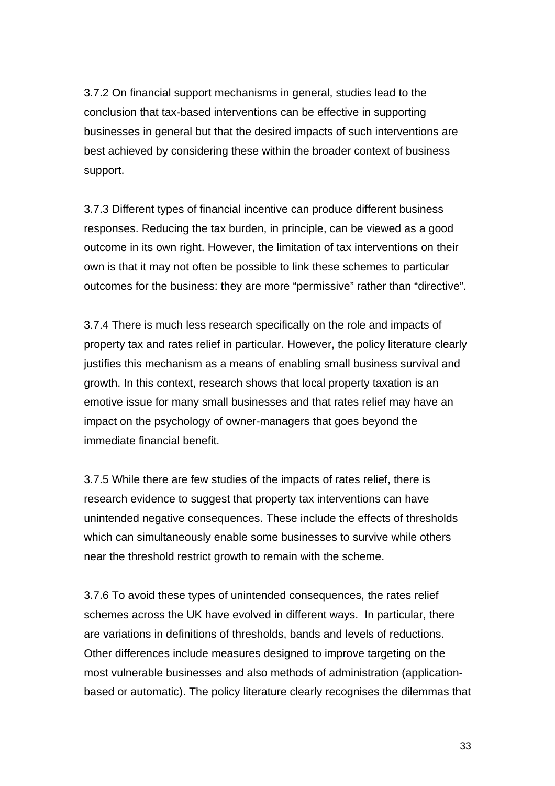3.7.2 On financial support mechanisms in general, studies lead to the conclusion that tax-based interventions can be effective in supporting businesses in general but that the desired impacts of such interventions are best achieved by considering these within the broader context of business support.

3.7.3 Different types of financial incentive can produce different business responses. Reducing the tax burden, in principle, can be viewed as a good outcome in its own right. However, the limitation of tax interventions on their own is that it may not often be possible to link these schemes to particular outcomes for the business: they are more "permissive" rather than "directive".

3.7.4 There is much less research specifically on the role and impacts of property tax and rates relief in particular. However, the policy literature clearly justifies this mechanism as a means of enabling small business survival and growth. In this context, research shows that local property taxation is an emotive issue for many small businesses and that rates relief may have an impact on the psychology of owner-managers that goes beyond the immediate financial benefit.

3.7.5 While there are few studies of the impacts of rates relief, there is research evidence to suggest that property tax interventions can have unintended negative consequences. These include the effects of thresholds which can simultaneously enable some businesses to survive while others near the threshold restrict growth to remain with the scheme.

3.7.6 To avoid these types of unintended consequences, the rates relief schemes across the UK have evolved in different ways. In particular, there are variations in definitions of thresholds, bands and levels of reductions. Other differences include measures designed to improve targeting on the most vulnerable businesses and also methods of administration (applicationbased or automatic). The policy literature clearly recognises the dilemmas that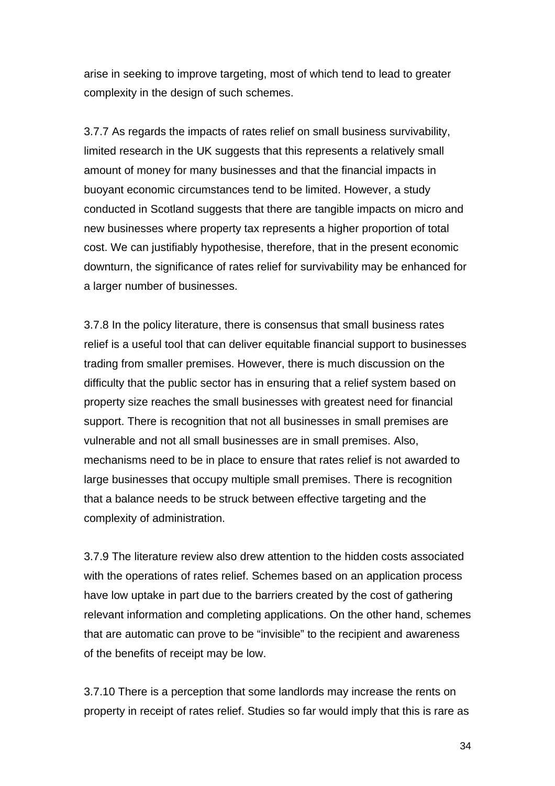arise in seeking to improve targeting, most of which tend to lead to greater complexity in the design of such schemes.

3.7.7 As regards the impacts of rates relief on small business survivability, limited research in the UK suggests that this represents a relatively small amount of money for many businesses and that the financial impacts in buoyant economic circumstances tend to be limited. However, a study conducted in Scotland suggests that there are tangible impacts on micro and new businesses where property tax represents a higher proportion of total cost. We can justifiably hypothesise, therefore, that in the present economic downturn, the significance of rates relief for survivability may be enhanced for a larger number of businesses.

3.7.8 In the policy literature, there is consensus that small business rates relief is a useful tool that can deliver equitable financial support to businesses trading from smaller premises. However, there is much discussion on the difficulty that the public sector has in ensuring that a relief system based on property size reaches the small businesses with greatest need for financial support. There is recognition that not all businesses in small premises are vulnerable and not all small businesses are in small premises. Also, mechanisms need to be in place to ensure that rates relief is not awarded to large businesses that occupy multiple small premises. There is recognition that a balance needs to be struck between effective targeting and the complexity of administration.

3.7.9 The literature review also drew attention to the hidden costs associated with the operations of rates relief. Schemes based on an application process have low uptake in part due to the barriers created by the cost of gathering relevant information and completing applications. On the other hand, schemes that are automatic can prove to be "invisible" to the recipient and awareness of the benefits of receipt may be low.

3.7.10 There is a perception that some landlords may increase the rents on property in receipt of rates relief. Studies so far would imply that this is rare as

34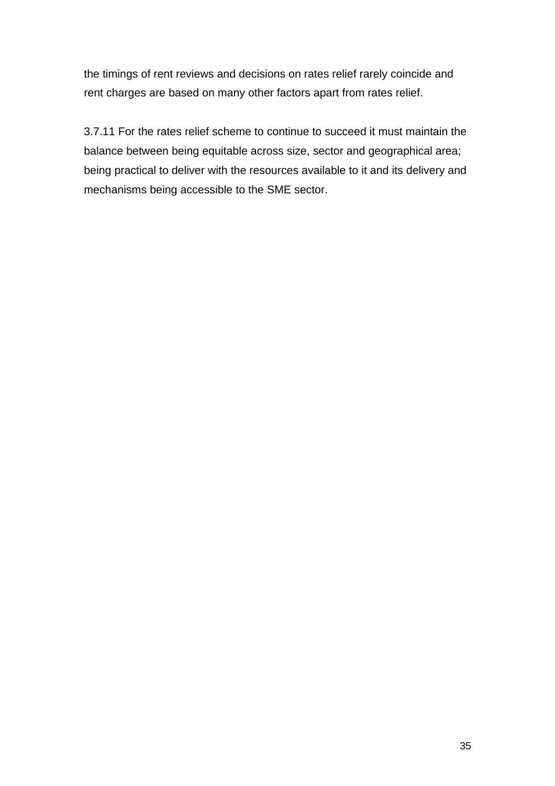the timings of rent reviews and decisions on rates relief rarely coincide and rent charges are based on many other factors apart from rates relief.

3.7.11 For the rates relief scheme to continue to succeed it must maintain the balance between being equitable across size, sector and geographical area; being practical to deliver with the resources available to it and its delivery and mechanisms being accessible to the SME sector.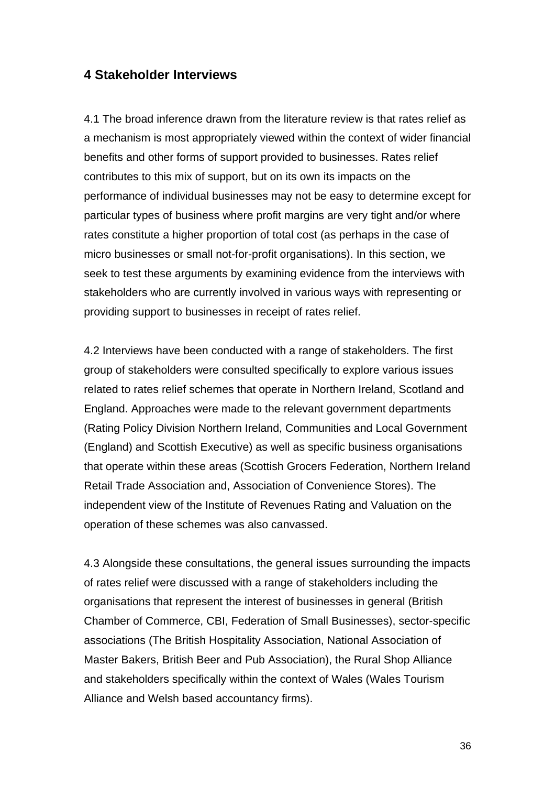## **4 Stakeholder Interviews**

4.1 The broad inference drawn from the literature review is that rates relief as a mechanism is most appropriately viewed within the context of wider financial benefits and other forms of support provided to businesses. Rates relief contributes to this mix of support, but on its own its impacts on the performance of individual businesses may not be easy to determine except for particular types of business where profit margins are very tight and/or where rates constitute a higher proportion of total cost (as perhaps in the case of micro businesses or small not-for-profit organisations). In this section, we seek to test these arguments by examining evidence from the interviews with stakeholders who are currently involved in various ways with representing or providing support to businesses in receipt of rates relief.

4.2 Interviews have been conducted with a range of stakeholders. The first group of stakeholders were consulted specifically to explore various issues related to rates relief schemes that operate in Northern Ireland, Scotland and England. Approaches were made to the relevant government departments (Rating Policy Division Northern Ireland, Communities and Local Government (England) and Scottish Executive) as well as specific business organisations that operate within these areas (Scottish Grocers Federation, Northern Ireland Retail Trade Association and, Association of Convenience Stores). The independent view of the Institute of Revenues Rating and Valuation on the operation of these schemes was also canvassed.

4.3 Alongside these consultations, the general issues surrounding the impacts of rates relief were discussed with a range of stakeholders including the organisations that represent the interest of businesses in general (British Chamber of Commerce, CBI, Federation of Small Businesses), sector-specific associations (The British Hospitality Association, National Association of Master Bakers, British Beer and Pub Association), the Rural Shop Alliance and stakeholders specifically within the context of Wales (Wales Tourism Alliance and Welsh based accountancy firms).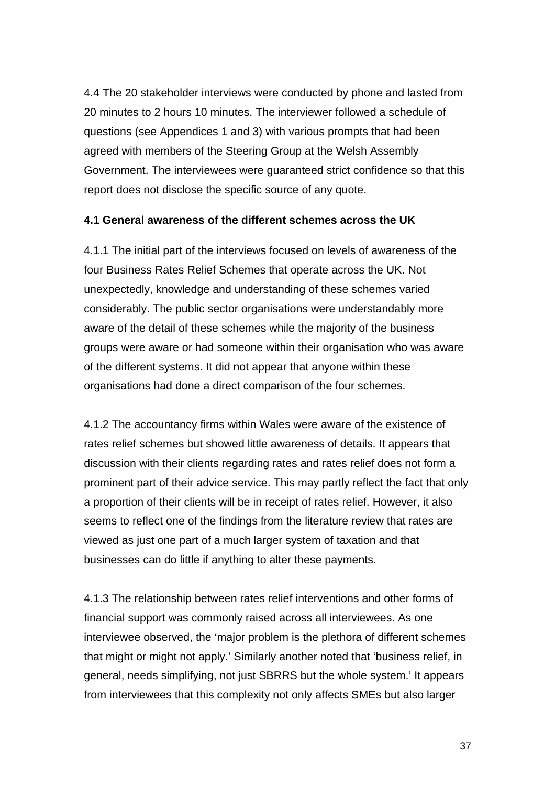4.4 The 20 stakeholder interviews were conducted by phone and lasted from 20 minutes to 2 hours 10 minutes. The interviewer followed a schedule of questions (see Appendices 1 and 3) with various prompts that had been agreed with members of the Steering Group at the Welsh Assembly Government. The interviewees were guaranteed strict confidence so that this report does not disclose the specific source of any quote.

#### **4.1 General awareness of the different schemes across the UK**

4.1.1 The initial part of the interviews focused on levels of awareness of the four Business Rates Relief Schemes that operate across the UK. Not unexpectedly, knowledge and understanding of these schemes varied considerably. The public sector organisations were understandably more aware of the detail of these schemes while the majority of the business groups were aware or had someone within their organisation who was aware of the different systems. It did not appear that anyone within these organisations had done a direct comparison of the four schemes.

4.1.2 The accountancy firms within Wales were aware of the existence of rates relief schemes but showed little awareness of details. It appears that discussion with their clients regarding rates and rates relief does not form a prominent part of their advice service. This may partly reflect the fact that only a proportion of their clients will be in receipt of rates relief. However, it also seems to reflect one of the findings from the literature review that rates are viewed as just one part of a much larger system of taxation and that businesses can do little if anything to alter these payments.

4.1.3 The relationship between rates relief interventions and other forms of financial support was commonly raised across all interviewees. As one interviewee observed, the 'major problem is the plethora of different schemes that might or might not apply.' Similarly another noted that 'business relief, in general, needs simplifying, not just SBRRS but the whole system.' It appears from interviewees that this complexity not only affects SMEs but also larger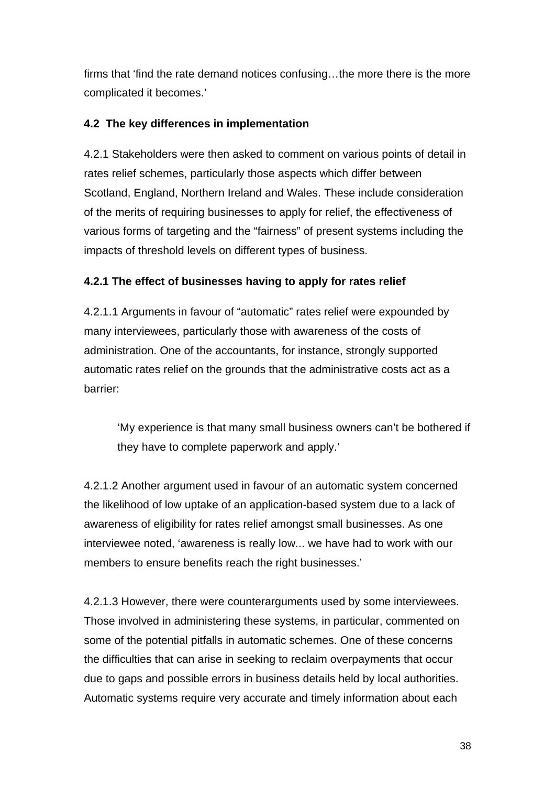firms that 'find the rate demand notices confusing…the more there is the more complicated it becomes.'

## **4.2 The key differences in implementation**

4.2.1 Stakeholders were then asked to comment on various points of detail in rates relief schemes, particularly those aspects which differ between Scotland, England, Northern Ireland and Wales. These include consideration of the merits of requiring businesses to apply for relief, the effectiveness of various forms of targeting and the "fairness" of present systems including the impacts of threshold levels on different types of business.

## **4.2.1 The effect of businesses having to apply for rates relief**

4.2.1.1 Arguments in favour of "automatic" rates relief were expounded by many interviewees, particularly those with awareness of the costs of administration. One of the accountants, for instance, strongly supported automatic rates relief on the grounds that the administrative costs act as a barrier:

'My experience is that many small business owners can't be bothered if they have to complete paperwork and apply.'

4.2.1.2 Another argument used in favour of an automatic system concerned the likelihood of low uptake of an application-based system due to a lack of awareness of eligibility for rates relief amongst small businesses. As one interviewee noted, 'awareness is really low... we have had to work with our members to ensure benefits reach the right businesses.'

4.2.1.3 However, there were counterarguments used by some interviewees. Those involved in administering these systems, in particular, commented on some of the potential pitfalls in automatic schemes. One of these concerns the difficulties that can arise in seeking to reclaim overpayments that occur due to gaps and possible errors in business details held by local authorities. Automatic systems require very accurate and timely information about each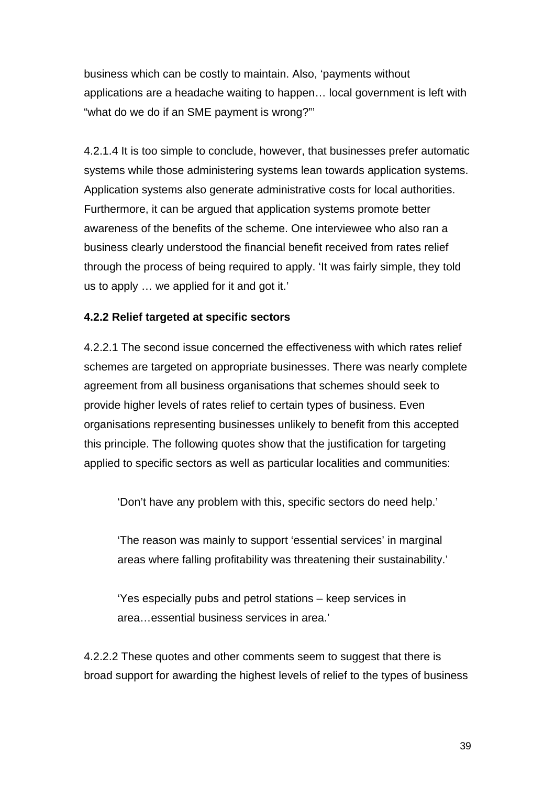business which can be costly to maintain. Also, 'payments without applications are a headache waiting to happen… local government is left with "what do we do if an SME payment is wrong?"'

4.2.1.4 It is too simple to conclude, however, that businesses prefer automatic systems while those administering systems lean towards application systems. Application systems also generate administrative costs for local authorities. Furthermore, it can be argued that application systems promote better awareness of the benefits of the scheme. One interviewee who also ran a business clearly understood the financial benefit received from rates relief through the process of being required to apply. 'It was fairly simple, they told us to apply … we applied for it and got it.'

### **4.2.2 Relief targeted at specific sectors**

4.2.2.1 The second issue concerned the effectiveness with which rates relief schemes are targeted on appropriate businesses. There was nearly complete agreement from all business organisations that schemes should seek to provide higher levels of rates relief to certain types of business. Even organisations representing businesses unlikely to benefit from this accepted this principle. The following quotes show that the justification for targeting applied to specific sectors as well as particular localities and communities:

'Don't have any problem with this, specific sectors do need help.'

'The reason was mainly to support 'essential services' in marginal areas where falling profitability was threatening their sustainability.'

'Yes especially pubs and petrol stations – keep services in area…essential business services in area.'

4.2.2.2 These quotes and other comments seem to suggest that there is broad support for awarding the highest levels of relief to the types of business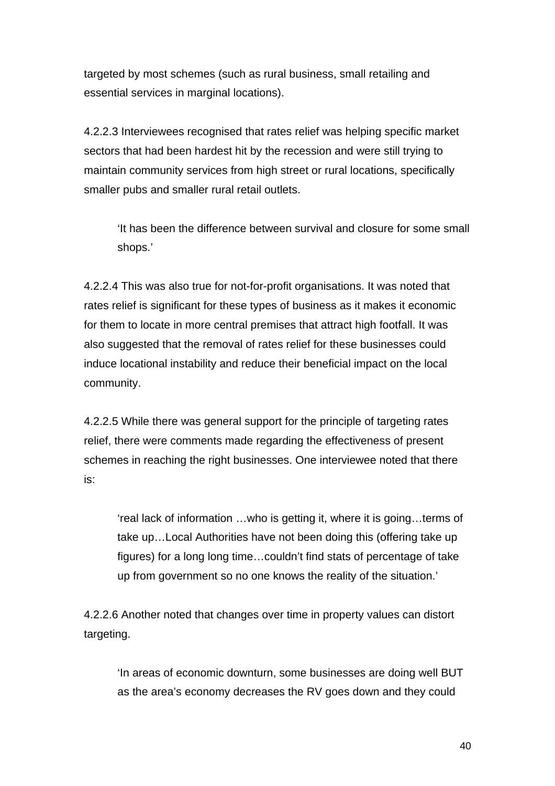targeted by most schemes (such as rural business, small retailing and essential services in marginal locations).

4.2.2.3 Interviewees recognised that rates relief was helping specific market sectors that had been hardest hit by the recession and were still trying to maintain community services from high street or rural locations, specifically smaller pubs and smaller rural retail outlets.

'It has been the difference between survival and closure for some small shops.'

4.2.2.4 This was also true for not-for-profit organisations. It was noted that rates relief is significant for these types of business as it makes it economic for them to locate in more central premises that attract high footfall. It was also suggested that the removal of rates relief for these businesses could induce locational instability and reduce their beneficial impact on the local community.

4.2.2.5 While there was general support for the principle of targeting rates relief, there were comments made regarding the effectiveness of present schemes in reaching the right businesses. One interviewee noted that there is:

'real lack of information …who is getting it, where it is going…terms of take up…Local Authorities have not been doing this (offering take up figures) for a long long time…couldn't find stats of percentage of take up from government so no one knows the reality of the situation.'

4.2.2.6 Another noted that changes over time in property values can distort targeting.

'In areas of economic downturn, some businesses are doing well BUT as the area's economy decreases the RV goes down and they could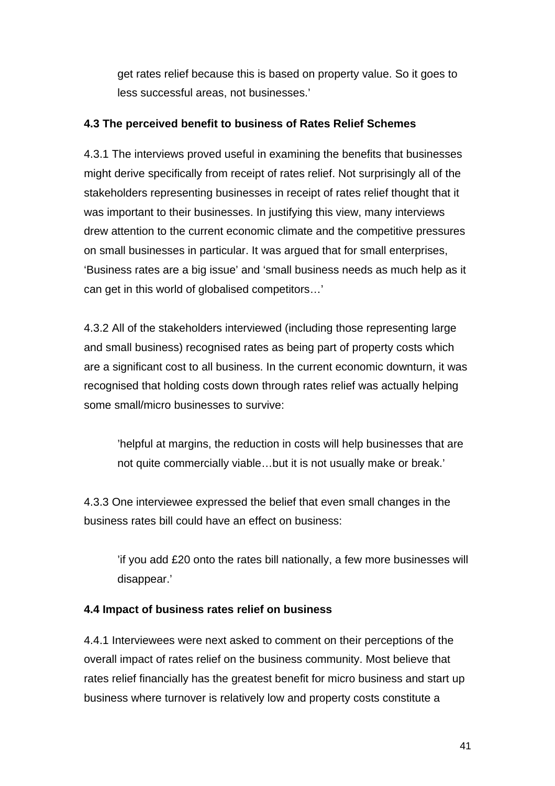get rates relief because this is based on property value. So it goes to less successful areas, not businesses.'

## **4.3 The perceived benefit to business of Rates Relief Schemes**

4.3.1 The interviews proved useful in examining the benefits that businesses might derive specifically from receipt of rates relief. Not surprisingly all of the stakeholders representing businesses in receipt of rates relief thought that it was important to their businesses. In justifying this view, many interviews drew attention to the current economic climate and the competitive pressures on small businesses in particular. It was argued that for small enterprises, 'Business rates are a big issue' and 'small business needs as much help as it can get in this world of globalised competitors…'

4.3.2 All of the stakeholders interviewed (including those representing large and small business) recognised rates as being part of property costs which are a significant cost to all business. In the current economic downturn, it was recognised that holding costs down through rates relief was actually helping some small/micro businesses to survive:

'helpful at margins, the reduction in costs will help businesses that are not quite commercially viable…but it is not usually make or break.'

4.3.3 One interviewee expressed the belief that even small changes in the business rates bill could have an effect on business:

'if you add £20 onto the rates bill nationally, a few more businesses will disappear.'

## **4.4 Impact of business rates relief on business**

4.4.1 Interviewees were next asked to comment on their perceptions of the overall impact of rates relief on the business community. Most believe that rates relief financially has the greatest benefit for micro business and start up business where turnover is relatively low and property costs constitute a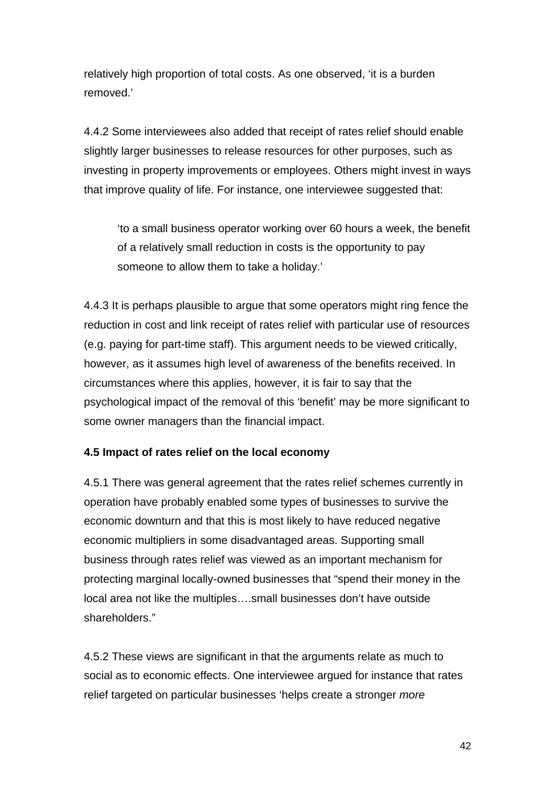relatively high proportion of total costs. As one observed, 'it is a burden removed.'

4.4.2 Some interviewees also added that receipt of rates relief should enable slightly larger businesses to release resources for other purposes, such as investing in property improvements or employees. Others might invest in ways that improve quality of life. For instance, one interviewee suggested that:

'to a small business operator working over 60 hours a week, the benefit of a relatively small reduction in costs is the opportunity to pay someone to allow them to take a holiday.'

4.4.3 It is perhaps plausible to argue that some operators might ring fence the reduction in cost and link receipt of rates relief with particular use of resources (e.g. paying for part-time staff). This argument needs to be viewed critically, however, as it assumes high level of awareness of the benefits received. In circumstances where this applies, however, it is fair to say that the psychological impact of the removal of this 'benefit' may be more significant to some owner managers than the financial impact.

## **4.5 Impact of rates relief on the local economy**

4.5.1 There was general agreement that the rates relief schemes currently in operation have probably enabled some types of businesses to survive the economic downturn and that this is most likely to have reduced negative economic multipliers in some disadvantaged areas. Supporting small business through rates relief was viewed as an important mechanism for protecting marginal locally-owned businesses that "spend their money in the local area not like the multiples….small businesses don't have outside shareholders."

4.5.2 These views are significant in that the arguments relate as much to social as to economic effects. One interviewee argued for instance that rates relief targeted on particular businesses 'helps create a stronger *more*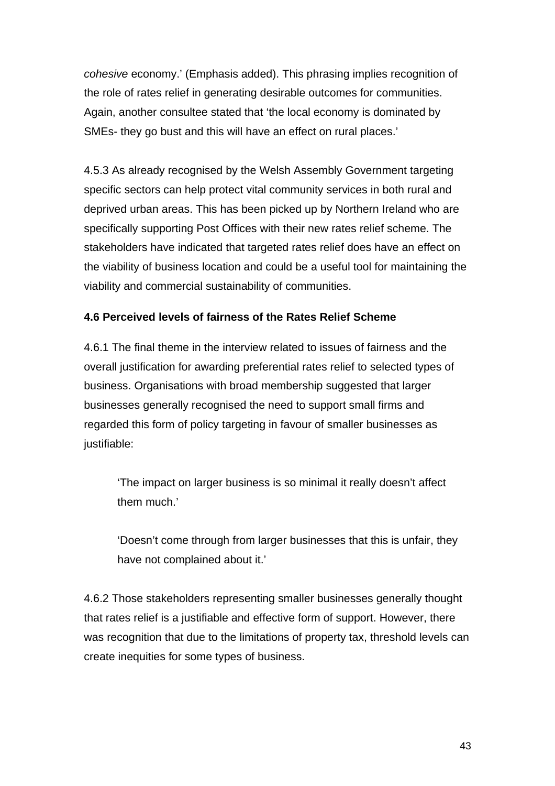*cohesive* economy.' (Emphasis added). This phrasing implies recognition of the role of rates relief in generating desirable outcomes for communities. Again, another consultee stated that 'the local economy is dominated by SMEs- they go bust and this will have an effect on rural places.'

4.5.3 As already recognised by the Welsh Assembly Government targeting specific sectors can help protect vital community services in both rural and deprived urban areas. This has been picked up by Northern Ireland who are specifically supporting Post Offices with their new rates relief scheme. The stakeholders have indicated that targeted rates relief does have an effect on the viability of business location and could be a useful tool for maintaining the viability and commercial sustainability of communities.

## **4.6 Perceived levels of fairness of the Rates Relief Scheme**

4.6.1 The final theme in the interview related to issues of fairness and the overall justification for awarding preferential rates relief to selected types of business. Organisations with broad membership suggested that larger businesses generally recognised the need to support small firms and regarded this form of policy targeting in favour of smaller businesses as justifiable:

'The impact on larger business is so minimal it really doesn't affect them much.'

'Doesn't come through from larger businesses that this is unfair, they have not complained about it.'

4.6.2 Those stakeholders representing smaller businesses generally thought that rates relief is a justifiable and effective form of support. However, there was recognition that due to the limitations of property tax, threshold levels can create inequities for some types of business.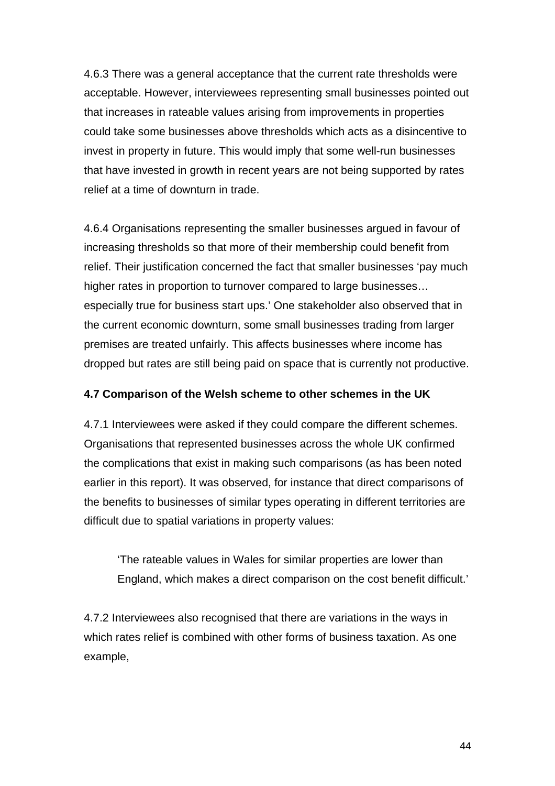4.6.3 There was a general acceptance that the current rate thresholds were acceptable. However, interviewees representing small businesses pointed out that increases in rateable values arising from improvements in properties could take some businesses above thresholds which acts as a disincentive to invest in property in future. This would imply that some well-run businesses that have invested in growth in recent years are not being supported by rates relief at a time of downturn in trade.

4.6.4 Organisations representing the smaller businesses argued in favour of increasing thresholds so that more of their membership could benefit from relief. Their justification concerned the fact that smaller businesses 'pay much higher rates in proportion to turnover compared to large businesses… especially true for business start ups.' One stakeholder also observed that in the current economic downturn, some small businesses trading from larger premises are treated unfairly. This affects businesses where income has dropped but rates are still being paid on space that is currently not productive.

#### **4.7 Comparison of the Welsh scheme to other schemes in the UK**

4.7.1 Interviewees were asked if they could compare the different schemes. Organisations that represented businesses across the whole UK confirmed the complications that exist in making such comparisons (as has been noted earlier in this report). It was observed, for instance that direct comparisons of the benefits to businesses of similar types operating in different territories are difficult due to spatial variations in property values:

'The rateable values in Wales for similar properties are lower than England, which makes a direct comparison on the cost benefit difficult.'

4.7.2 Interviewees also recognised that there are variations in the ways in which rates relief is combined with other forms of business taxation. As one example,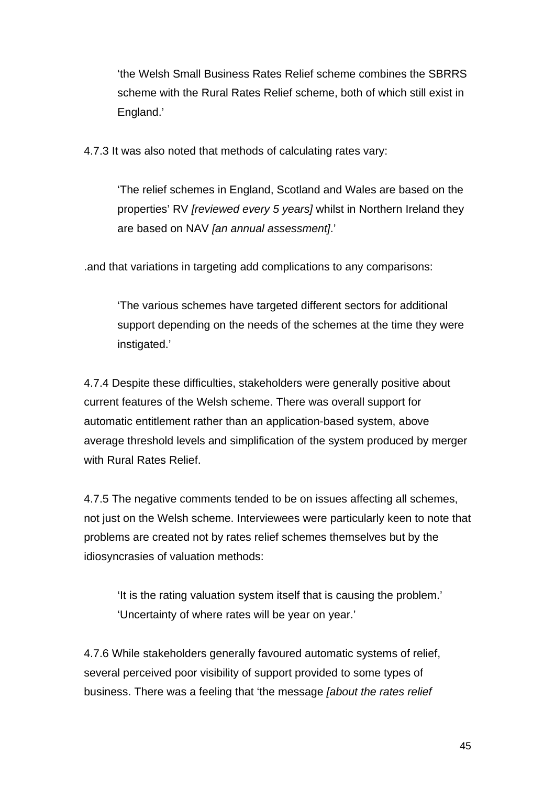'the Welsh Small Business Rates Relief scheme combines the SBRRS scheme with the Rural Rates Relief scheme, both of which still exist in England.'

4.7.3 It was also noted that methods of calculating rates vary:

'The relief schemes in England, Scotland and Wales are based on the properties' RV *[reviewed every 5 years]* whilst in Northern Ireland they are based on NAV *[an annual assessment]*.'

.and that variations in targeting add complications to any comparisons:

'The various schemes have targeted different sectors for additional support depending on the needs of the schemes at the time they were instigated.'

4.7.4 Despite these difficulties, stakeholders were generally positive about current features of the Welsh scheme. There was overall support for automatic entitlement rather than an application-based system, above average threshold levels and simplification of the system produced by merger with Rural Rates Relief.

4.7.5 The negative comments tended to be on issues affecting all schemes, not just on the Welsh scheme. Interviewees were particularly keen to note that problems are created not by rates relief schemes themselves but by the idiosyncrasies of valuation methods:

'It is the rating valuation system itself that is causing the problem.' 'Uncertainty of where rates will be year on year.'

4.7.6 While stakeholders generally favoured automatic systems of relief, several perceived poor visibility of support provided to some types of business. There was a feeling that 'the message *[about the rates relief*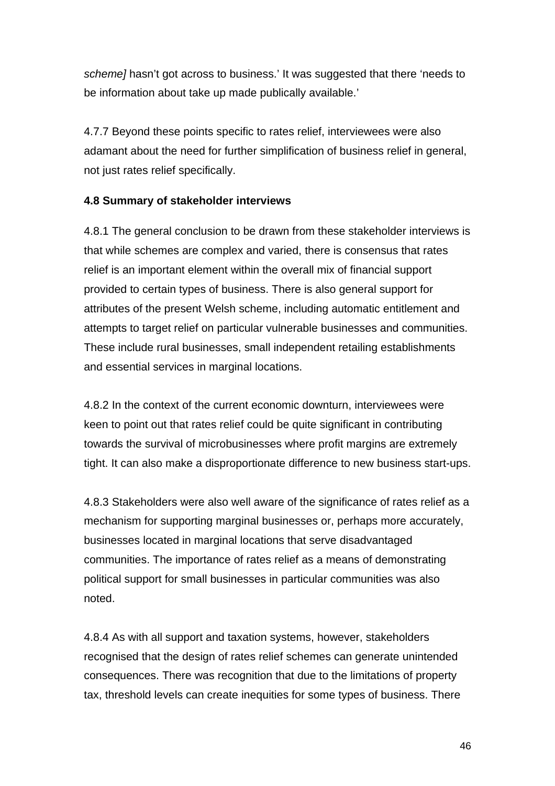*scheme]* hasn't got across to business.' It was suggested that there 'needs to be information about take up made publically available.'

4.7.7 Beyond these points specific to rates relief, interviewees were also adamant about the need for further simplification of business relief in general, not just rates relief specifically.

## **4.8 Summary of stakeholder interviews**

4.8.1 The general conclusion to be drawn from these stakeholder interviews is that while schemes are complex and varied, there is consensus that rates relief is an important element within the overall mix of financial support provided to certain types of business. There is also general support for attributes of the present Welsh scheme, including automatic entitlement and attempts to target relief on particular vulnerable businesses and communities. These include rural businesses, small independent retailing establishments and essential services in marginal locations.

4.8.2 In the context of the current economic downturn, interviewees were keen to point out that rates relief could be quite significant in contributing towards the survival of microbusinesses where profit margins are extremely tight. It can also make a disproportionate difference to new business start-ups.

4.8.3 Stakeholders were also well aware of the significance of rates relief as a mechanism for supporting marginal businesses or, perhaps more accurately, businesses located in marginal locations that serve disadvantaged communities. The importance of rates relief as a means of demonstrating political support for small businesses in particular communities was also noted.

4.8.4 As with all support and taxation systems, however, stakeholders recognised that the design of rates relief schemes can generate unintended consequences. There was recognition that due to the limitations of property tax, threshold levels can create inequities for some types of business. There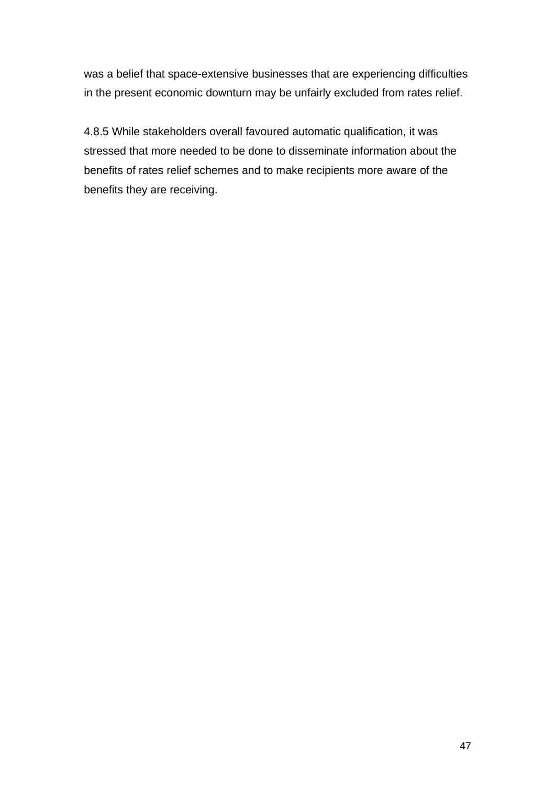was a belief that space-extensive businesses that are experiencing difficulties in the present economic downturn may be unfairly excluded from rates relief.

4.8.5 While stakeholders overall favoured automatic qualification, it was stressed that more needed to be done to disseminate information about the benefits of rates relief schemes and to make recipients more aware of the benefits they are receiving.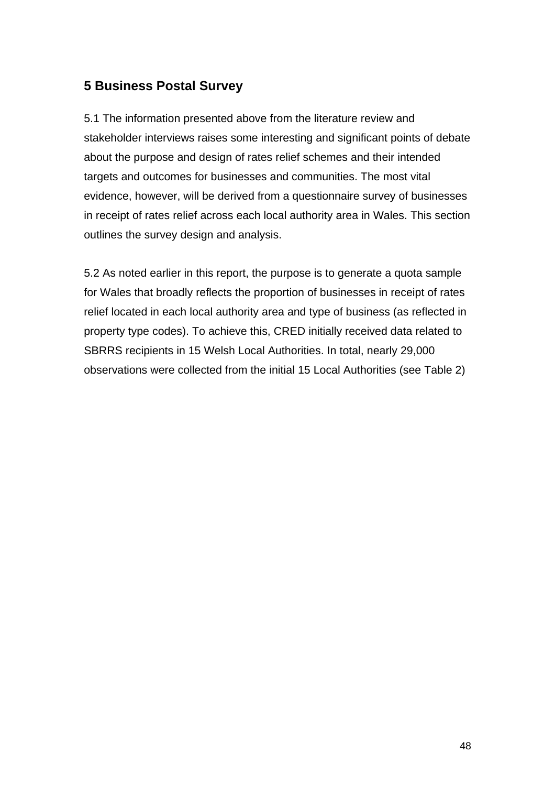# **5 Business Postal Survey**

5.1 The information presented above from the literature review and stakeholder interviews raises some interesting and significant points of debate about the purpose and design of rates relief schemes and their intended targets and outcomes for businesses and communities. The most vital evidence, however, will be derived from a questionnaire survey of businesses in receipt of rates relief across each local authority area in Wales. This section outlines the survey design and analysis.

5.2 As noted earlier in this report, the purpose is to generate a quota sample for Wales that broadly reflects the proportion of businesses in receipt of rates relief located in each local authority area and type of business (as reflected in property type codes). To achieve this, CRED initially received data related to SBRRS recipients in 15 Welsh Local Authorities. In total, nearly 29,000 observations were collected from the initial 15 Local Authorities (see Table 2)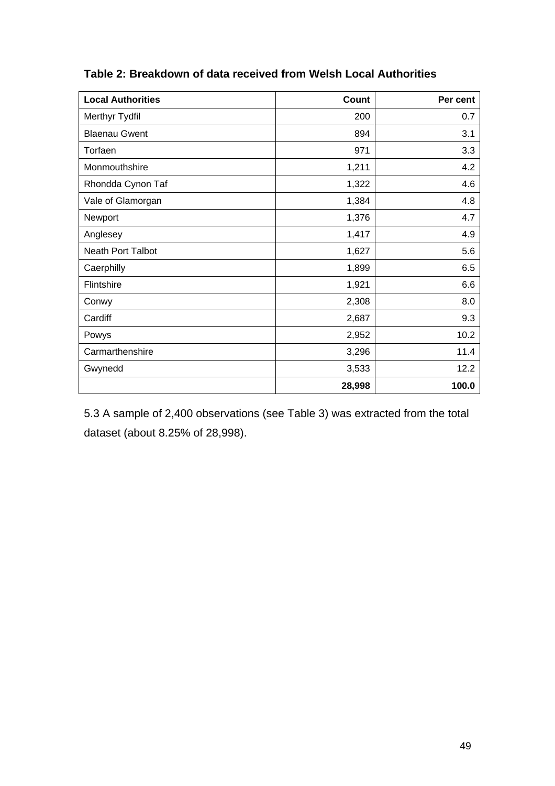| <b>Local Authorities</b> | Count  | Per cent |
|--------------------------|--------|----------|
| Merthyr Tydfil           | 200    | 0.7      |
| <b>Blaenau Gwent</b>     | 894    | 3.1      |
| Torfaen                  | 971    | 3.3      |
| Monmouthshire            | 1,211  | 4.2      |
| Rhondda Cynon Taf        | 1,322  | 4.6      |
| Vale of Glamorgan        | 1,384  | 4.8      |
| Newport                  | 1,376  | 4.7      |
| Anglesey                 | 1,417  | 4.9      |
| Neath Port Talbot        | 1,627  | 5.6      |
| Caerphilly               | 1,899  | 6.5      |
| Flintshire               | 1,921  | 6.6      |
| Conwy                    | 2,308  | 8.0      |
| Cardiff                  | 2,687  | 9.3      |
| Powys                    | 2,952  | 10.2     |
| Carmarthenshire          | 3,296  | 11.4     |
| Gwynedd                  | 3,533  | 12.2     |
|                          | 28,998 | 100.0    |

# **Table 2: Breakdown of data received from Welsh Local Authorities**

5.3 A sample of 2,400 observations (see Table 3) was extracted from the total dataset (about 8.25% of 28,998).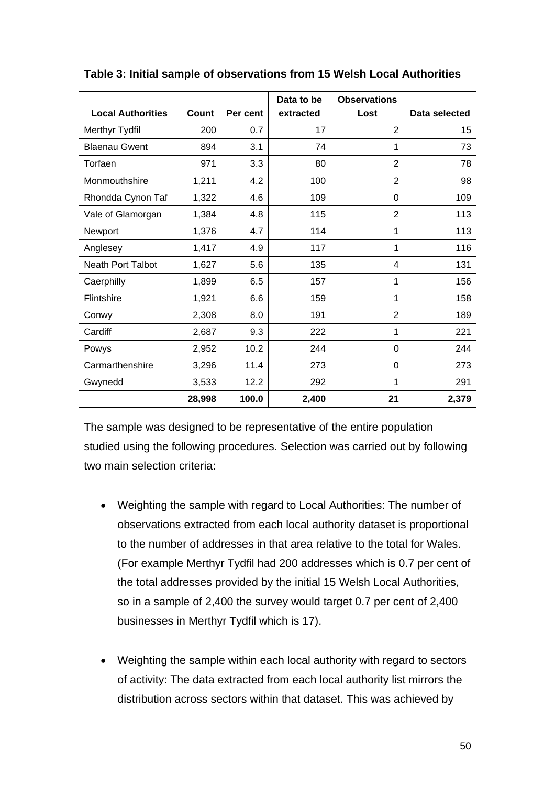|                          |        |          | Data to be | <b>Observations</b> |               |
|--------------------------|--------|----------|------------|---------------------|---------------|
| <b>Local Authorities</b> | Count  | Per cent | extracted  | Lost                | Data selected |
| Merthyr Tydfil           | 200    | 0.7      | 17         | 2                   | 15            |
| <b>Blaenau Gwent</b>     | 894    | 3.1      | 74         | 1                   | 73            |
| Torfaen                  | 971    | 3.3      | 80         | 2                   | 78            |
| Monmouthshire            | 1,211  | 4.2      | 100        | 2                   | 98            |
| Rhondda Cynon Taf        | 1,322  | 4.6      | 109        | 0                   | 109           |
| Vale of Glamorgan        | 1,384  | 4.8      | 115        | $\overline{2}$      | 113           |
| Newport                  | 1,376  | 4.7      | 114        | 1                   | 113           |
| Anglesey                 | 1,417  | 4.9      | 117        | 1                   | 116           |
| <b>Neath Port Talbot</b> | 1,627  | 5.6      | 135        | 4                   | 131           |
| Caerphilly               | 1,899  | 6.5      | 157        | 1                   | 156           |
| Flintshire               | 1,921  | 6.6      | 159        | 1                   | 158           |
| Conwy                    | 2,308  | 8.0      | 191        | $\overline{2}$      | 189           |
| Cardiff                  | 2,687  | 9.3      | 222        | 1                   | 221           |
| Powys                    | 2,952  | 10.2     | 244        | 0                   | 244           |
| Carmarthenshire          | 3,296  | 11.4     | 273        | 0                   | 273           |
| Gwynedd                  | 3,533  | 12.2     | 292        | 1                   | 291           |
|                          | 28,998 | 100.0    | 2,400      | 21                  | 2,379         |

#### **Table 3: Initial sample of observations from 15 Welsh Local Authorities**

The sample was designed to be representative of the entire population studied using the following procedures. Selection was carried out by following two main selection criteria:

- Weighting the sample with regard to Local Authorities: The number of observations extracted from each local authority dataset is proportional to the number of addresses in that area relative to the total for Wales. (For example Merthyr Tydfil had 200 addresses which is 0.7 per cent of the total addresses provided by the initial 15 Welsh Local Authorities, so in a sample of 2,400 the survey would target 0.7 per cent of 2,400 businesses in Merthyr Tydfil which is 17).
- Weighting the sample within each local authority with regard to sectors of activity: The data extracted from each local authority list mirrors the distribution across sectors within that dataset. This was achieved by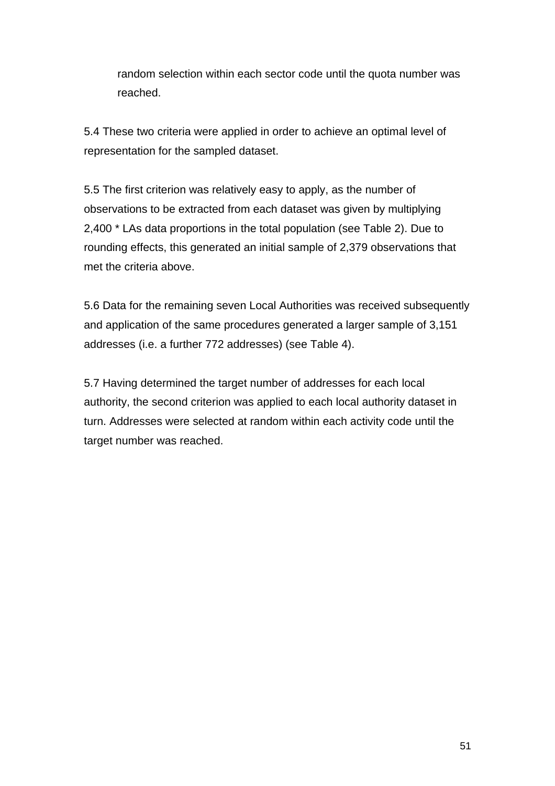random selection within each sector code until the quota number was reached.

5.4 These two criteria were applied in order to achieve an optimal level of representation for the sampled dataset.

5.5 The first criterion was relatively easy to apply, as the number of observations to be extracted from each dataset was given by multiplying 2,400 \* LAs data proportions in the total population (see Table 2). Due to rounding effects, this generated an initial sample of 2,379 observations that met the criteria above.

5.6 Data for the remaining seven Local Authorities was received subsequently and application of the same procedures generated a larger sample of 3,151 addresses (i.e. a further 772 addresses) (see Table 4).

5.7 Having determined the target number of addresses for each local authority, the second criterion was applied to each local authority dataset in turn. Addresses were selected at random within each activity code until the target number was reached.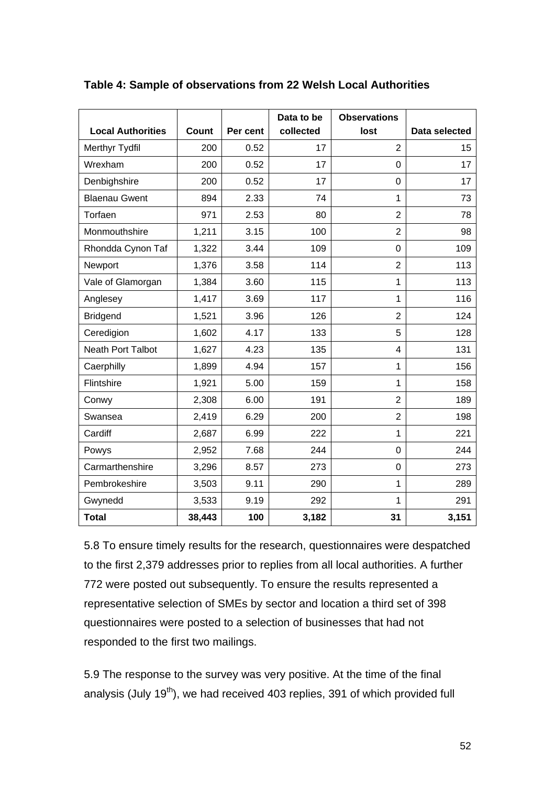|                          |              |          | Data to be | <b>Observations</b> |               |
|--------------------------|--------------|----------|------------|---------------------|---------------|
| <b>Local Authorities</b> | <b>Count</b> | Per cent | collected  | lost                | Data selected |
| Merthyr Tydfil           | 200          | 0.52     | 17         | $\overline{2}$      | 15            |
| Wrexham                  | 200          | 0.52     | 17         | $\Omega$            | 17            |
| Denbighshire             | 200          | 0.52     | 17         | $\mathbf 0$         | 17            |
| <b>Blaenau Gwent</b>     | 894          | 2.33     | 74         | 1                   | 73            |
| Torfaen                  | 971          | 2.53     | 80         | $\overline{2}$      | 78            |
| Monmouthshire            | 1,211        | 3.15     | 100        | $\overline{2}$      | 98            |
| Rhondda Cynon Taf        | 1,322        | 3.44     | 109        | $\mathbf 0$         | 109           |
| Newport                  | 1,376        | 3.58     | 114        | $\overline{2}$      | 113           |
| Vale of Glamorgan        | 1,384        | 3.60     | 115        | 1                   | 113           |
| Anglesey                 | 1,417        | 3.69     | 117        | 1                   | 116           |
| <b>Bridgend</b>          | 1,521        | 3.96     | 126        | $\overline{2}$      | 124           |
| Ceredigion               | 1,602        | 4.17     | 133        | 5                   | 128           |
| <b>Neath Port Talbot</b> | 1,627        | 4.23     | 135        | $\overline{4}$      | 131           |
| Caerphilly               | 1,899        | 4.94     | 157        | 1                   | 156           |
| Flintshire               | 1,921        | 5.00     | 159        | 1                   | 158           |
| Conwy                    | 2,308        | 6.00     | 191        | $\overline{2}$      | 189           |
| Swansea                  | 2,419        | 6.29     | 200        | $\overline{2}$      | 198           |
| Cardiff                  | 2,687        | 6.99     | 222        | 1                   | 221           |
| Powys                    | 2,952        | 7.68     | 244        | 0                   | 244           |
| Carmarthenshire          | 3,296        | 8.57     | 273        | 0                   | 273           |
| Pembrokeshire            | 3,503        | 9.11     | 290        | 1                   | 289           |
| Gwynedd                  | 3,533        | 9.19     | 292        | 1                   | 291           |
| <b>Total</b>             | 38,443       | 100      | 3,182      | 31                  | 3,151         |

**Table 4: Sample of observations from 22 Welsh Local Authorities** 

5.8 To ensure timely results for the research, questionnaires were despatched to the first 2,379 addresses prior to replies from all local authorities. A further 772 were posted out subsequently. To ensure the results represented a representative selection of SMEs by sector and location a third set of 398 questionnaires were posted to a selection of businesses that had not responded to the first two mailings.

5.9 The response to the survey was very positive. At the time of the final analysis (July 19<sup>th</sup>), we had received 403 replies, 391 of which provided full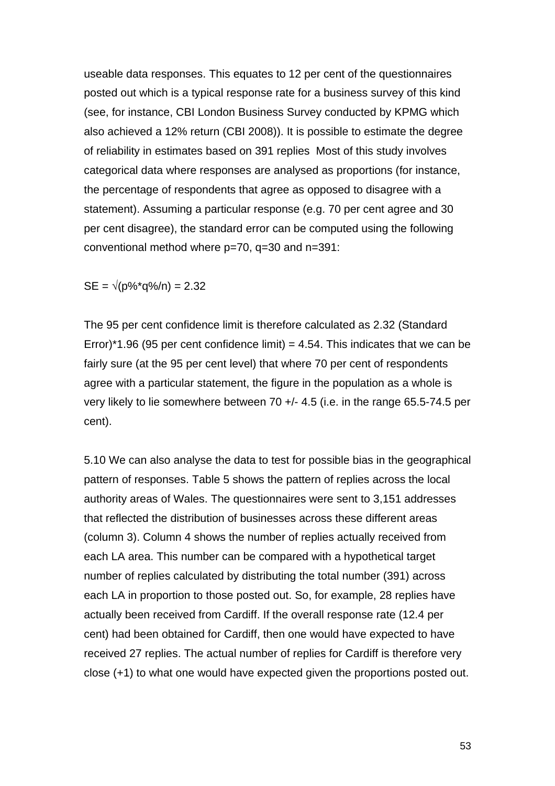useable data responses. This equates to 12 per cent of the questionnaires posted out which is a typical response rate for a business survey of this kind (see, for instance, CBI London Business Survey conducted by KPMG which also achieved a 12% return (CBI 2008)). It is possible to estimate the degree of reliability in estimates based on 391 replies Most of this study involves categorical data where responses are analysed as proportions (for instance, the percentage of respondents that agree as opposed to disagree with a statement). Assuming a particular response (e.g. 70 per cent agree and 30 per cent disagree), the standard error can be computed using the following conventional method where p=70, q=30 and n=391:

$$
SE = \sqrt{(p\% \cdot q\%)} = 2.32
$$

The 95 per cent confidence limit is therefore calculated as 2.32 (Standard Error)\*1.96 (95 per cent confidence limit) = 4.54. This indicates that we can be fairly sure (at the 95 per cent level) that where 70 per cent of respondents agree with a particular statement, the figure in the population as a whole is very likely to lie somewhere between 70 +/- 4.5 (i.e. in the range 65.5-74.5 per cent).

5.10 We can also analyse the data to test for possible bias in the geographical pattern of responses. Table 5 shows the pattern of replies across the local authority areas of Wales. The questionnaires were sent to 3,151 addresses that reflected the distribution of businesses across these different areas (column 3). Column 4 shows the number of replies actually received from each LA area. This number can be compared with a hypothetical target number of replies calculated by distributing the total number (391) across each LA in proportion to those posted out. So, for example, 28 replies have actually been received from Cardiff. If the overall response rate (12.4 per cent) had been obtained for Cardiff, then one would have expected to have received 27 replies. The actual number of replies for Cardiff is therefore very close (+1) to what one would have expected given the proportions posted out.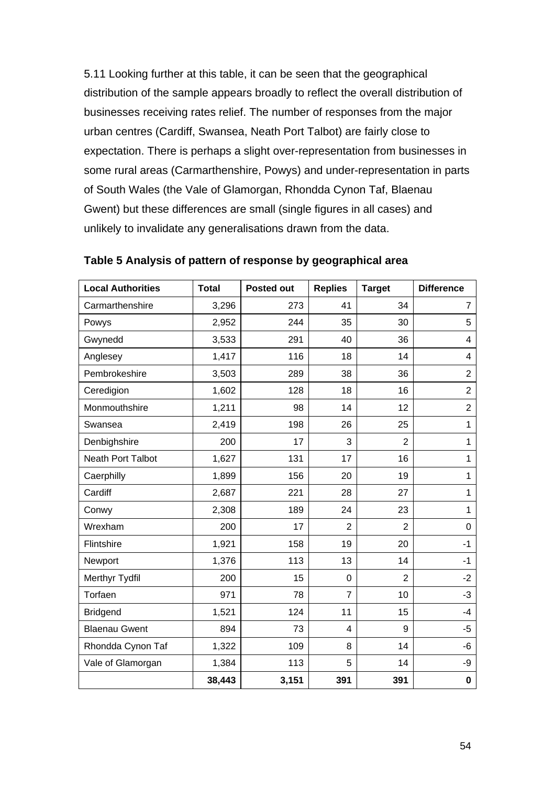5.11 Looking further at this table, it can be seen that the geographical distribution of the sample appears broadly to reflect the overall distribution of businesses receiving rates relief. The number of responses from the major urban centres (Cardiff, Swansea, Neath Port Talbot) are fairly close to expectation. There is perhaps a slight over-representation from businesses in some rural areas (Carmarthenshire, Powys) and under-representation in parts of South Wales (the Vale of Glamorgan, Rhondda Cynon Taf, Blaenau Gwent) but these differences are small (single figures in all cases) and unlikely to invalidate any generalisations drawn from the data.

| <b>Local Authorities</b> | <b>Total</b> | <b>Posted out</b> | <b>Replies</b> | <b>Target</b>  | <b>Difference</b>       |
|--------------------------|--------------|-------------------|----------------|----------------|-------------------------|
| Carmarthenshire          | 3,296        | 273               | 41             | 34             | $\overline{7}$          |
| Powys                    | 2,952        | 244               | 35             | 30             | 5                       |
| Gwynedd                  | 3,533        | 291               | 40             | 36             | $\overline{\mathbf{4}}$ |
| Anglesey                 | 1,417        | 116               | 18             | 14             | $\overline{4}$          |
| Pembrokeshire            | 3,503        | 289               | 38             | 36             | $\overline{2}$          |
| Ceredigion               | 1,602        | 128               | 18             | 16             | $\overline{2}$          |
| Monmouthshire            | 1,211        | 98                | 14             | 12             | $\overline{2}$          |
| Swansea                  | 2,419        | 198               | 26             | 25             | 1                       |
| Denbighshire             | 200          | 17                | 3              | $\overline{2}$ | 1                       |
| <b>Neath Port Talbot</b> | 1,627        | 131               | 17             | 16             | 1                       |
| Caerphilly               | 1,899        | 156               | 20             | 19             | $\mathbf{1}$            |
| Cardiff                  | 2,687        | 221               | 28             | 27             | $\mathbf{1}$            |
| Conwy                    | 2,308        | 189               | 24             | 23             | $\overline{1}$          |
| Wrexham                  | 200          | 17                | $\overline{2}$ | $\overline{2}$ | $\mathbf 0$             |
| Flintshire               | 1,921        | 158               | 19             | 20             | $-1$                    |
| Newport                  | 1,376        | 113               | 13             | 14             | $-1$                    |
| Merthyr Tydfil           | 200          | 15                | 0              | $\overline{2}$ | $-2$                    |
| Torfaen                  | 971          | 78                | 7              | 10             | $-3$                    |
| <b>Bridgend</b>          | 1,521        | 124               | 11             | 15             | $-4$                    |
| <b>Blaenau Gwent</b>     | 894          | 73                | 4              | 9              | $-5$                    |
| Rhondda Cynon Taf        | 1,322        | 109               | 8              | 14             | -6                      |
| Vale of Glamorgan        | 1,384        | 113               | 5              | 14             | -9                      |
|                          | 38,443       | 3,151             | 391            | 391            | $\pmb{0}$               |

**Table 5 Analysis of pattern of response by geographical area**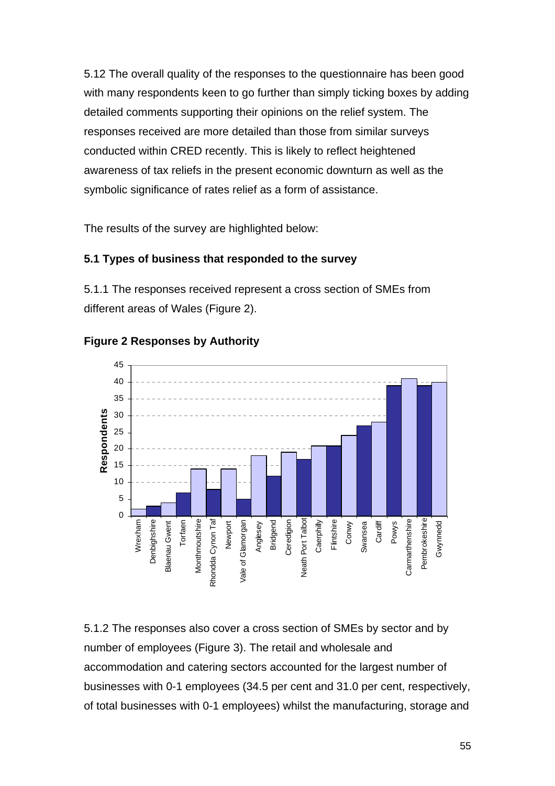5.12 The overall quality of the responses to the questionnaire has been good with many respondents keen to go further than simply ticking boxes by adding detailed comments supporting their opinions on the relief system. The responses received are more detailed than those from similar surveys conducted within CRED recently. This is likely to reflect heightened awareness of tax reliefs in the present economic downturn as well as the symbolic significance of rates relief as a form of assistance.

The results of the survey are highlighted below:

## **5.1 Types of business that responded to the survey**

5.1.1 The responses received represent a cross section of SMEs from different areas of Wales (Figure 2).



### **Figure 2 Responses by Authority**

5.1.2 The responses also cover a cross section of SMEs by sector and by number of employees (Figure 3). The retail and wholesale and accommodation and catering sectors accounted for the largest number of businesses with 0-1 employees (34.5 per cent and 31.0 per cent, respectively, of total businesses with 0-1 employees) whilst the manufacturing, storage and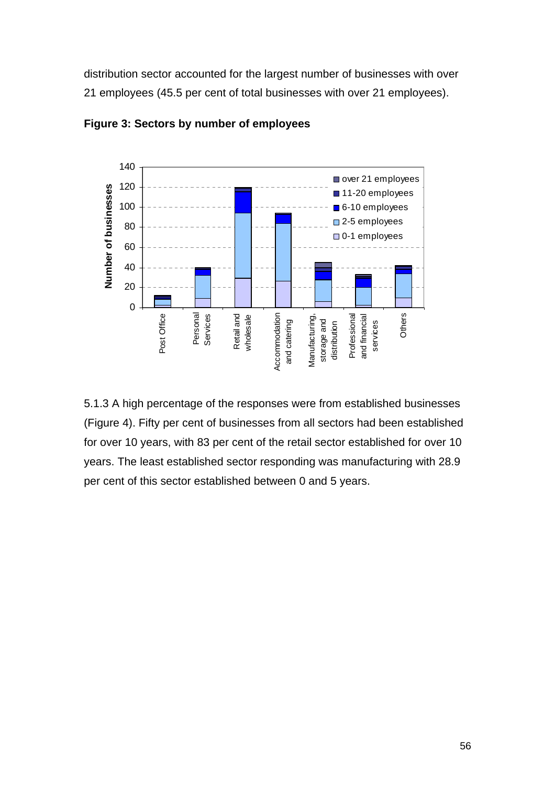distribution sector accounted for the largest number of businesses with over 21 employees (45.5 per cent of total businesses with over 21 employees).



**Figure 3: Sectors by number of employees** 

5.1.3 A high percentage of the responses were from established businesses (Figure 4). Fifty per cent of businesses from all sectors had been established for over 10 years, with 83 per cent of the retail sector established for over 10 years. The least established sector responding was manufacturing with 28.9 per cent of this sector established between 0 and 5 years.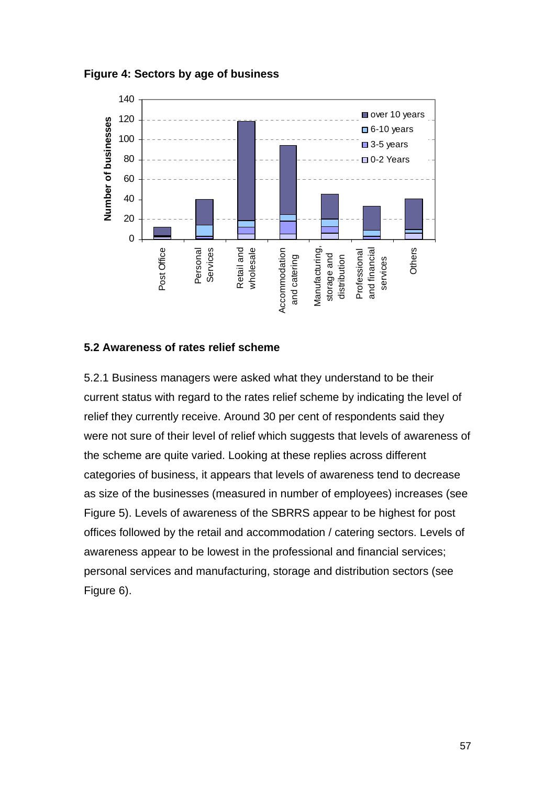



#### **5.2 Awareness of rates relief scheme**

5.2.1 Business managers were asked what they understand to be their current status with regard to the rates relief scheme by indicating the level of relief they currently receive. Around 30 per cent of respondents said they were not sure of their level of relief which suggests that levels of awareness of the scheme are quite varied. Looking at these replies across different categories of business, it appears that levels of awareness tend to decrease as size of the businesses (measured in number of employees) increases (see Figure 5). Levels of awareness of the SBRRS appear to be highest for post offices followed by the retail and accommodation / catering sectors. Levels of awareness appear to be lowest in the professional and financial services; personal services and manufacturing, storage and distribution sectors (see Figure 6).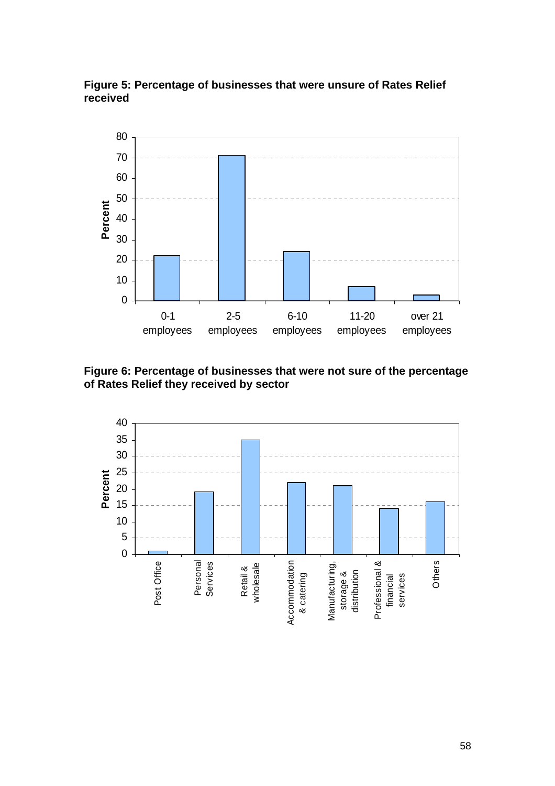



**Figure 6: Percentage of businesses that were not sure of the percentage of Rates Relief they received by sector** 

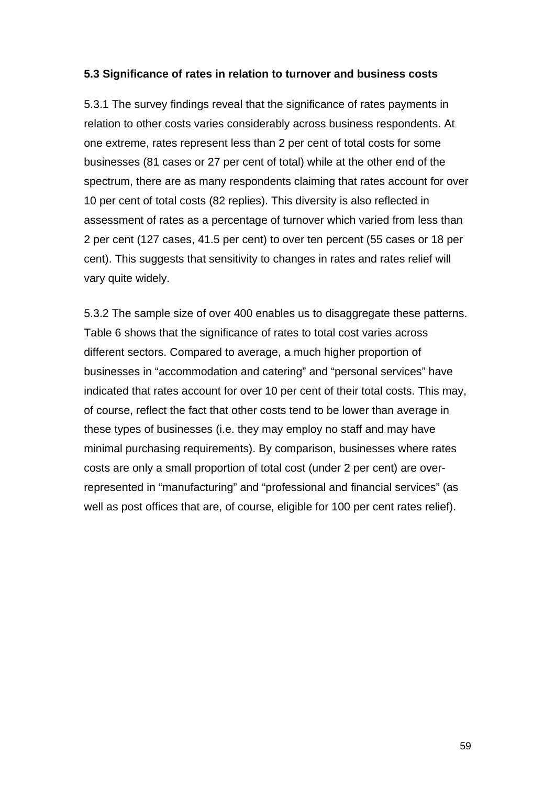#### **5.3 Significance of rates in relation to turnover and business costs**

5.3.1 The survey findings reveal that the significance of rates payments in relation to other costs varies considerably across business respondents. At one extreme, rates represent less than 2 per cent of total costs for some businesses (81 cases or 27 per cent of total) while at the other end of the spectrum, there are as many respondents claiming that rates account for over 10 per cent of total costs (82 replies). This diversity is also reflected in assessment of rates as a percentage of turnover which varied from less than 2 per cent (127 cases, 41.5 per cent) to over ten percent (55 cases or 18 per cent). This suggests that sensitivity to changes in rates and rates relief will vary quite widely.

5.3.2 The sample size of over 400 enables us to disaggregate these patterns. Table 6 shows that the significance of rates to total cost varies across different sectors. Compared to average, a much higher proportion of businesses in "accommodation and catering" and "personal services" have indicated that rates account for over 10 per cent of their total costs. This may, of course, reflect the fact that other costs tend to be lower than average in these types of businesses (i.e. they may employ no staff and may have minimal purchasing requirements). By comparison, businesses where rates costs are only a small proportion of total cost (under 2 per cent) are overrepresented in "manufacturing" and "professional and financial services" (as well as post offices that are, of course, eligible for 100 per cent rates relief).

59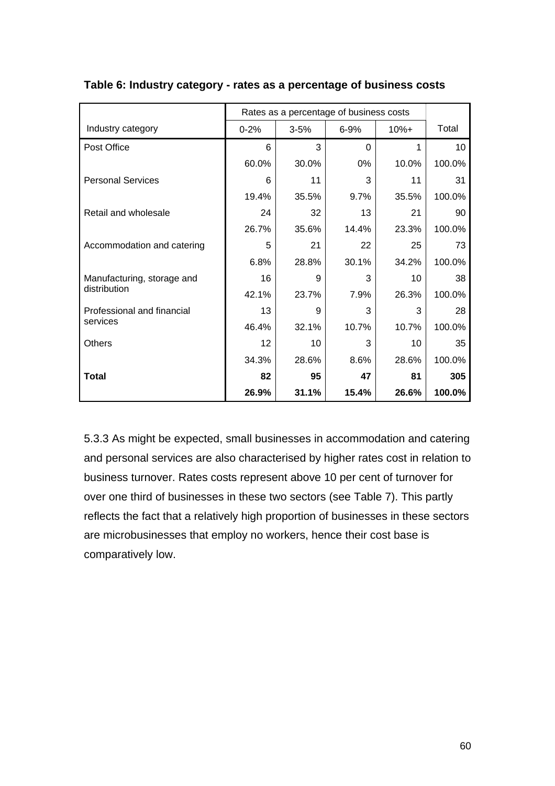|                            |          | Rates as a percentage of business costs |          |         |                 |
|----------------------------|----------|-----------------------------------------|----------|---------|-----------------|
| Industry category          | $0 - 2%$ | $3 - 5%$                                | $6 - 9%$ | $10% +$ | Total           |
| Post Office                | 6        | 3                                       | $\Omega$ | 1       | 10 <sup>°</sup> |
|                            | 60.0%    | 30.0%                                   | 0%       | 10.0%   | 100.0%          |
| <b>Personal Services</b>   | 6        | 11                                      | 3        | 11      | 31              |
|                            | 19.4%    | 35.5%                                   | 9.7%     | 35.5%   | 100.0%          |
| Retail and wholesale       | 24       | 32                                      | 13       | 21      | 90              |
|                            | 26.7%    | 35.6%                                   | 14.4%    | 23.3%   | 100.0%          |
| Accommodation and catering | 5        | 21                                      | 22       | 25      | 73              |
|                            | 6.8%     | 28.8%                                   | 30.1%    | 34.2%   | 100.0%          |
| Manufacturing, storage and | 16       | 9                                       | 3        | 10      | 38              |
| distribution               | 42.1%    | 23.7%                                   | 7.9%     | 26.3%   | 100.0%          |
| Professional and financial | 13       | 9                                       | 3        | 3       | 28              |
| services                   | 46.4%    | 32.1%                                   | 10.7%    | 10.7%   | 100.0%          |
| <b>Others</b>              | 12       | 10                                      | 3        | 10      | 35              |
|                            | 34.3%    | 28.6%                                   | 8.6%     | 28.6%   | 100.0%          |
| <b>Total</b>               | 82       | 95                                      | 47       | 81      | 305             |
|                            | 26.9%    | 31.1%                                   | 15.4%    | 26.6%   | 100.0%          |

#### **Table 6: Industry category - rates as a percentage of business costs**

5.3.3 As might be expected, small businesses in accommodation and catering and personal services are also characterised by higher rates cost in relation to business turnover. Rates costs represent above 10 per cent of turnover for over one third of businesses in these two sectors (see Table 7). This partly reflects the fact that a relatively high proportion of businesses in these sectors are microbusinesses that employ no workers, hence their cost base is comparatively low.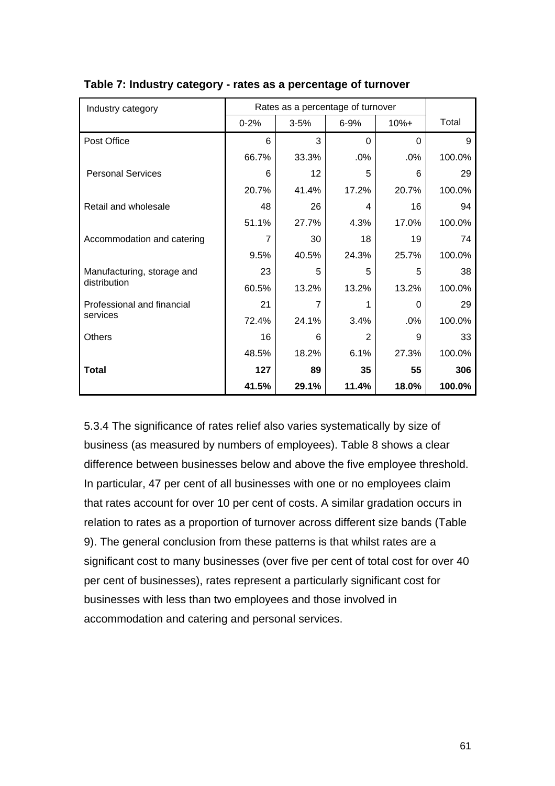| Industry category          |                | Rates as a percentage of turnover |                |          |        |
|----------------------------|----------------|-----------------------------------|----------------|----------|--------|
|                            | $0 - 2%$       | $3 - 5%$                          | $6 - 9%$       | $10% +$  | Total  |
| Post Office                | 6              | 3                                 | $\Omega$       | $\Omega$ | 9      |
|                            | 66.7%          | 33.3%                             | .0%            | .0%      | 100.0% |
| <b>Personal Services</b>   | 6              | 12                                | 5              | 6        | 29     |
|                            | 20.7%          | 41.4%                             | 17.2%          | 20.7%    | 100.0% |
| Retail and wholesale       | 48             | 26                                | 4              | 16       | 94     |
|                            | 51.1%          | 27.7%                             | 4.3%           | 17.0%    | 100.0% |
| Accommodation and catering | $\overline{7}$ | 30                                | 18             | 19       | 74     |
|                            | 9.5%           | 40.5%                             | 24.3%          | 25.7%    | 100.0% |
| Manufacturing, storage and | 23             | 5                                 | 5              | 5        | 38     |
| distribution               | 60.5%          | 13.2%                             | 13.2%          | 13.2%    | 100.0% |
| Professional and financial | 21             | 7                                 | 1              | 0        | 29     |
| services                   | 72.4%          | 24.1%                             | 3.4%           | .0%      | 100.0% |
| <b>Others</b>              | 16             | 6                                 | $\overline{2}$ | 9        | 33     |
|                            | 48.5%          | 18.2%                             | 6.1%           | 27.3%    | 100.0% |
| Total                      | 127            | 89                                | 35             | 55       | 306    |
|                            | 41.5%          | 29.1%                             | 11.4%          | 18.0%    | 100.0% |

#### **Table 7: Industry category - rates as a percentage of turnover**

5.3.4 The significance of rates relief also varies systematically by size of business (as measured by numbers of employees). Table 8 shows a clear difference between businesses below and above the five employee threshold. In particular, 47 per cent of all businesses with one or no employees claim that rates account for over 10 per cent of costs. A similar gradation occurs in relation to rates as a proportion of turnover across different size bands (Table 9). The general conclusion from these patterns is that whilst rates are a significant cost to many businesses (over five per cent of total cost for over 40 per cent of businesses), rates represent a particularly significant cost for businesses with less than two employees and those involved in accommodation and catering and personal services.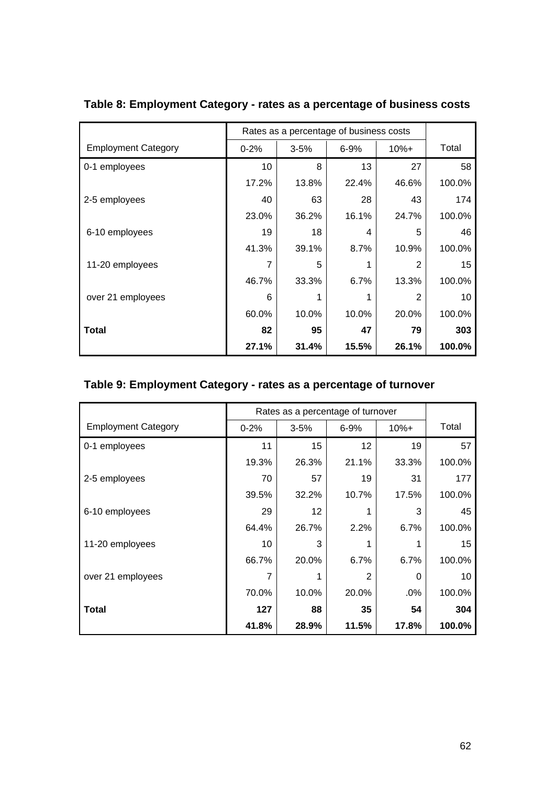|                            | Rates as a percentage of business costs |          |          |         |        |
|----------------------------|-----------------------------------------|----------|----------|---------|--------|
| <b>Employment Category</b> | $0 - 2%$                                | $3 - 5%$ | $6 - 9%$ | $10% +$ | Total  |
| 0-1 employees              | 10                                      | 8        | 13       | 27      | 58     |
|                            | 17.2%                                   | 13.8%    | 22.4%    | 46.6%   | 100.0% |
| 2-5 employees              | 40                                      | 63       | 28       | 43      | 174    |
|                            | 23.0%                                   | 36.2%    | 16.1%    | 24.7%   | 100.0% |
| 6-10 employees             | 19                                      | 18       | 4        | 5       | 46     |
|                            | 41.3%                                   | 39.1%    | 8.7%     | 10.9%   | 100.0% |
| 11-20 employees            |                                         | 5        |          | 2       | 15     |
|                            | 46.7%                                   | 33.3%    | 6.7%     | 13.3%   | 100.0% |
| over 21 employees          | 6                                       | 1        |          | 2       | 10     |
|                            | 60.0%                                   | 10.0%    | 10.0%    | 20.0%   | 100.0% |
| Total                      | 82                                      | 95       | 47       | 79      | 303    |
|                            | 27.1%                                   | 31.4%    | 15.5%    | 26.1%   | 100.0% |

# **Table 8: Employment Category - rates as a percentage of business costs**

# **Table 9: Employment Category - rates as a percentage of turnover**

|                            | Rates as a percentage of turnover |          |                |         |        |
|----------------------------|-----------------------------------|----------|----------------|---------|--------|
| <b>Employment Category</b> | $0 - 2%$                          | $3 - 5%$ | $6 - 9%$       | $10% +$ | Total  |
| 0-1 employees              | 11                                | 15       | 12             | 19      | 57     |
|                            | 19.3%                             | 26.3%    | 21.1%          | 33.3%   | 100.0% |
| 2-5 employees              | 70                                | 57       | 19             | 31      | 177    |
|                            | 39.5%                             | 32.2%    | 10.7%          | 17.5%   | 100.0% |
| 6-10 employees             | 29                                | 12       |                | 3       | 45     |
|                            | 64.4%                             | 26.7%    | 2.2%           | 6.7%    | 100.0% |
| 11-20 employees            | 10                                | 3        |                |         | 15     |
|                            | 66.7%                             | 20.0%    | 6.7%           | 6.7%    | 100.0% |
| over 21 employees          | 7                                 |          | $\overline{2}$ | 0       | 10     |
|                            | 70.0%                             | 10.0%    | 20.0%          | .0%     | 100.0% |
| Total                      | 127                               | 88       | 35             | 54      | 304    |
|                            | 41.8%                             | 28.9%    | 11.5%          | 17.8%   | 100.0% |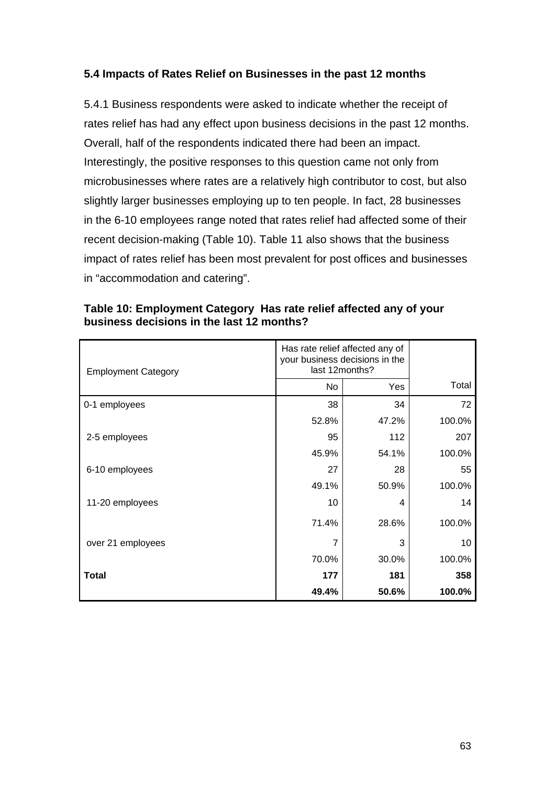## **5.4 Impacts of Rates Relief on Businesses in the past 12 months**

5.4.1 Business respondents were asked to indicate whether the receipt of rates relief has had any effect upon business decisions in the past 12 months. Overall, half of the respondents indicated there had been an impact. Interestingly, the positive responses to this question came not only from microbusinesses where rates are a relatively high contributor to cost, but also slightly larger businesses employing up to ten people. In fact, 28 businesses in the 6-10 employees range noted that rates relief had affected some of their recent decision-making (Table 10). Table 11 also shows that the business impact of rates relief has been most prevalent for post offices and businesses in "accommodation and catering".

| <b>Employment Category</b> | Has rate relief affected any of<br>your business decisions in the<br>last 12months? |       |        |
|----------------------------|-------------------------------------------------------------------------------------|-------|--------|
|                            | <b>No</b>                                                                           | Yes   | Total  |
| 0-1 employees              | 38                                                                                  | 34    | 72     |
|                            | 52.8%                                                                               | 47.2% | 100.0% |
| 2-5 employees              | 95                                                                                  | 112   | 207    |
|                            | 45.9%                                                                               | 54.1% | 100.0% |
| 6-10 employees             | 27                                                                                  | 28    | 55     |
|                            | 49.1%                                                                               | 50.9% | 100.0% |
| 11-20 employees            | 10                                                                                  | 4     | 14     |
|                            | 71.4%                                                                               | 28.6% | 100.0% |
| over 21 employees          | 7                                                                                   | 3     | 10     |
|                            | 70.0%                                                                               | 30.0% | 100.0% |
| Total                      | 177                                                                                 | 181   | 358    |
|                            | 49.4%                                                                               | 50.6% | 100.0% |

**Table 10: Employment Category Has rate relief affected any of your business decisions in the last 12 months?**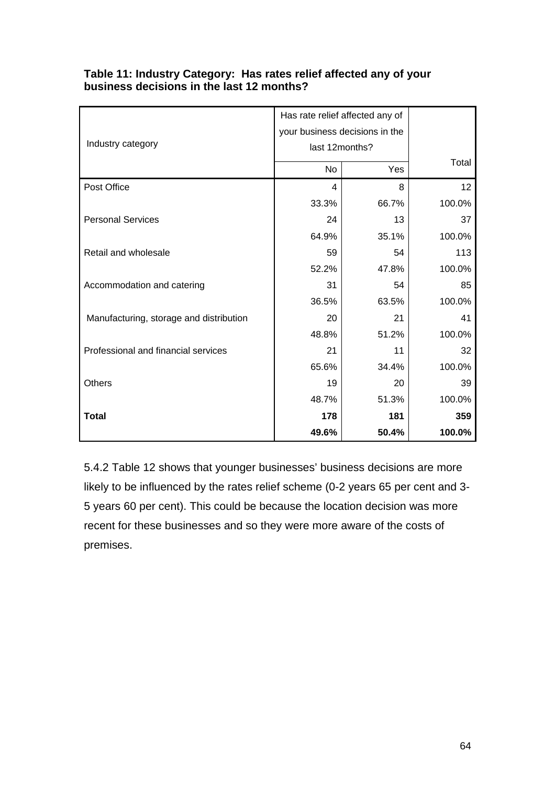|                                         | Has rate relief affected any of |       |        |
|-----------------------------------------|---------------------------------|-------|--------|
|                                         | your business decisions in the  |       |        |
| Industry category                       | last 12months?                  |       |        |
|                                         | No                              | Yes   | Total  |
| Post Office                             | 4                               | 8     | 12     |
|                                         | 33.3%                           | 66.7% | 100.0% |
| <b>Personal Services</b>                | 24                              | 13    | 37     |
|                                         | 64.9%                           | 35.1% | 100.0% |
| Retail and wholesale                    | 59                              | 54    | 113    |
|                                         | 52.2%                           | 47.8% | 100.0% |
| Accommodation and catering              | 31                              | 54    | 85     |
|                                         | 36.5%                           | 63.5% | 100.0% |
| Manufacturing, storage and distribution | 20                              | 21    | 41     |
|                                         | 48.8%                           | 51.2% | 100.0% |
| Professional and financial services     | 21                              | 11    | 32     |
|                                         | 65.6%                           | 34.4% | 100.0% |
| <b>Others</b>                           | 19                              | 20    | 39     |
|                                         | 48.7%                           | 51.3% | 100.0% |
| <b>Total</b>                            | 178                             | 181   | 359    |
|                                         | 49.6%                           | 50.4% | 100.0% |

### **Table 11: Industry Category: Has rates relief affected any of your business decisions in the last 12 months?**

5.4.2 Table 12 shows that younger businesses' business decisions are more likely to be influenced by the rates relief scheme (0-2 years 65 per cent and 3- 5 years 60 per cent). This could be because the location decision was more recent for these businesses and so they were more aware of the costs of premises.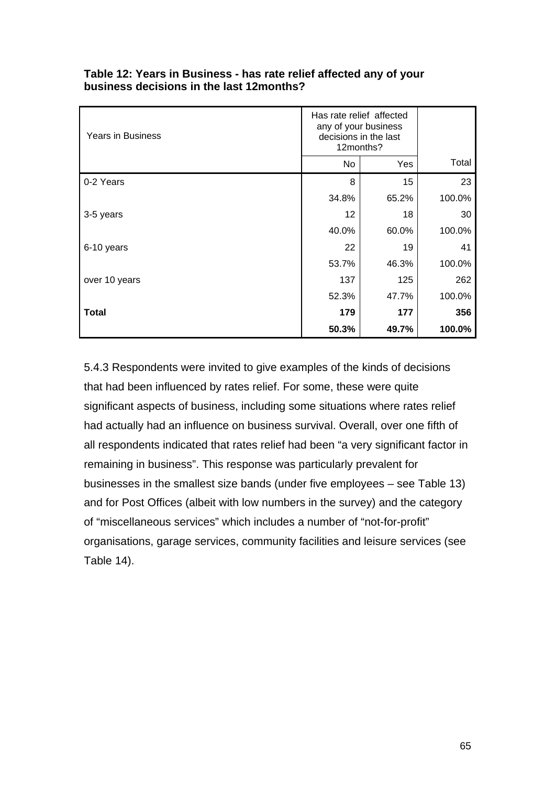| <b>Years in Business</b> | Has rate relief affected<br>any of your business<br>decisions in the last<br>12months? |       |        |
|--------------------------|----------------------------------------------------------------------------------------|-------|--------|
|                          | No                                                                                     | Yes   | Total  |
| 0-2 Years                | 8                                                                                      | 15    | 23     |
|                          | 34.8%                                                                                  | 65.2% | 100.0% |
| 3-5 years                | 12                                                                                     | 18    | 30     |
|                          | 40.0%                                                                                  | 60.0% | 100.0% |
| 6-10 years               | 22                                                                                     | 19    | 41     |
|                          | 53.7%                                                                                  | 46.3% | 100.0% |
| over 10 years            | 137                                                                                    | 125   | 262    |
|                          | 52.3%                                                                                  | 47.7% | 100.0% |
| <b>Total</b>             | 179                                                                                    | 177   | 356    |
|                          | 50.3%                                                                                  | 49.7% | 100.0% |

### **Table 12: Years in Business - has rate relief affected any of your business decisions in the last 12months?**

5.4.3 Respondents were invited to give examples of the kinds of decisions that had been influenced by rates relief. For some, these were quite significant aspects of business, including some situations where rates relief had actually had an influence on business survival. Overall, over one fifth of all respondents indicated that rates relief had been "a very significant factor in remaining in business". This response was particularly prevalent for businesses in the smallest size bands (under five employees – see Table 13) and for Post Offices (albeit with low numbers in the survey) and the category of "miscellaneous services" which includes a number of "not-for-profit" organisations, garage services, community facilities and leisure services (see Table 14).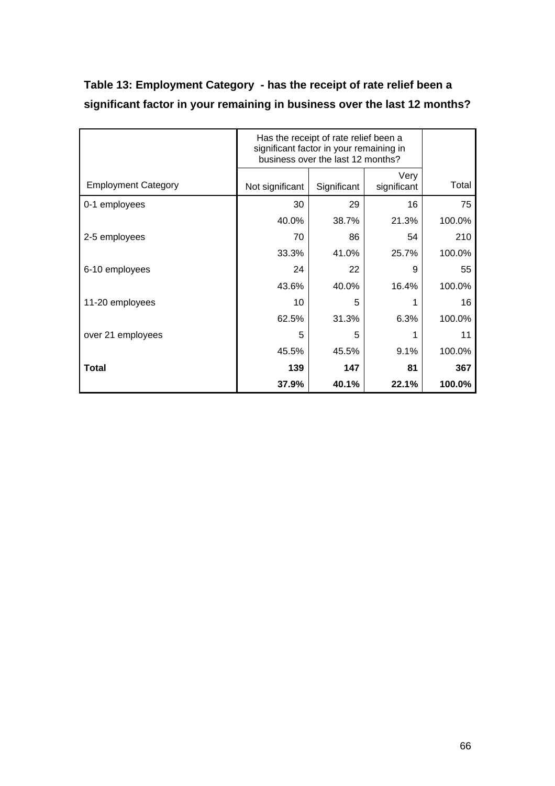| significant factor in your remaining in business over the last 12 months? |  |                                                                                                                       |      |  |  |  |
|---------------------------------------------------------------------------|--|-----------------------------------------------------------------------------------------------------------------------|------|--|--|--|
|                                                                           |  | Has the receipt of rate relief been a<br>significant factor in your remaining in<br>business over the last 12 months? |      |  |  |  |
|                                                                           |  |                                                                                                                       | Verv |  |  |  |

0-1 employees 30 29 16 75

2-5 employees 70 86 54 210

6-10 employees  $24 | 22 | 9 | 55$ 

11-20 employees 10 5 1 16

over 21 employees 5 5 1 11

**Total 139 147 81 367**

Employment Category **Not significant** Significant

| Table 13: Employment Category - has the receipt of rate relief been a     |
|---------------------------------------------------------------------------|
| significant factor in your remaining in business over the last 12 months? |

significant Total

40.0% 38.7% 21.3% 100.0%

33.3% 41.0% 25.7% 100.0%

43.6% 40.0% 16.4% 100.0%

62.5% 31.3% 6.3% 100.0%

45.5% 45.5% 9.1% 100.0%

**37.9% 40.1% 22.1% 100.0%**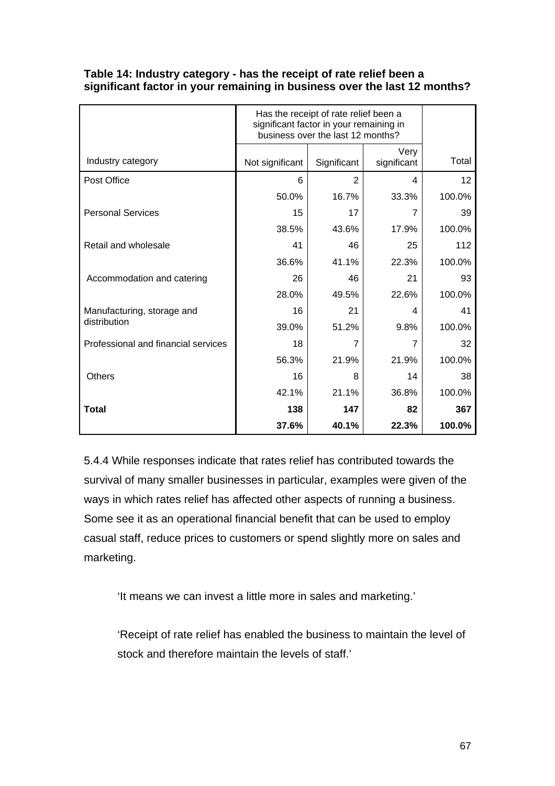|                                            | Has the receipt of rate relief been a<br>significant factor in your remaining in<br>business over the last 12 months? |             |                          |        |
|--------------------------------------------|-----------------------------------------------------------------------------------------------------------------------|-------------|--------------------------|--------|
| Industry category                          | Not significant                                                                                                       | Significant | Very<br>significant      | Total  |
| Post Office                                | 6                                                                                                                     | 2           | $\overline{\mathcal{A}}$ | 12     |
|                                            | 50.0%                                                                                                                 | 16.7%       | 33.3%                    | 100.0% |
| <b>Personal Services</b>                   | 15                                                                                                                    | 17          | 7                        | 39     |
|                                            | 38.5%                                                                                                                 | 43.6%       | 17.9%                    | 100.0% |
| Retail and wholesale                       | 41                                                                                                                    | 46          | 25                       | 112    |
|                                            | 36.6%                                                                                                                 | 41.1%       | 22.3%                    | 100.0% |
| Accommodation and catering                 | 26                                                                                                                    | 46          | 21                       | 93     |
|                                            | 28.0%                                                                                                                 | 49.5%       | 22.6%                    | 100.0% |
| Manufacturing, storage and<br>distribution | 16                                                                                                                    | 21          | 4                        | 41     |
|                                            | 39.0%                                                                                                                 | 51.2%       | 9.8%                     | 100.0% |
| Professional and financial services        | 18                                                                                                                    |             |                          | 32     |
|                                            | 56.3%                                                                                                                 | 21.9%       | 21.9%                    | 100.0% |
| <b>Others</b>                              | 16                                                                                                                    | 8           | 14                       | 38     |
|                                            | 42.1%                                                                                                                 | 21.1%       | 36.8%                    | 100.0% |
| Total                                      | 138                                                                                                                   | 147         | 82                       | 367    |
|                                            | 37.6%                                                                                                                 | 40.1%       | 22.3%                    | 100.0% |

### **Table 14: Industry category - has the receipt of rate relief been a significant factor in your remaining in business over the last 12 months?**

5.4.4 While responses indicate that rates relief has contributed towards the survival of many smaller businesses in particular, examples were given of the ways in which rates relief has affected other aspects of running a business. Some see it as an operational financial benefit that can be used to employ casual staff, reduce prices to customers or spend slightly more on sales and marketing.

'It means we can invest a little more in sales and marketing.'

'Receipt of rate relief has enabled the business to maintain the level of stock and therefore maintain the levels of staff.'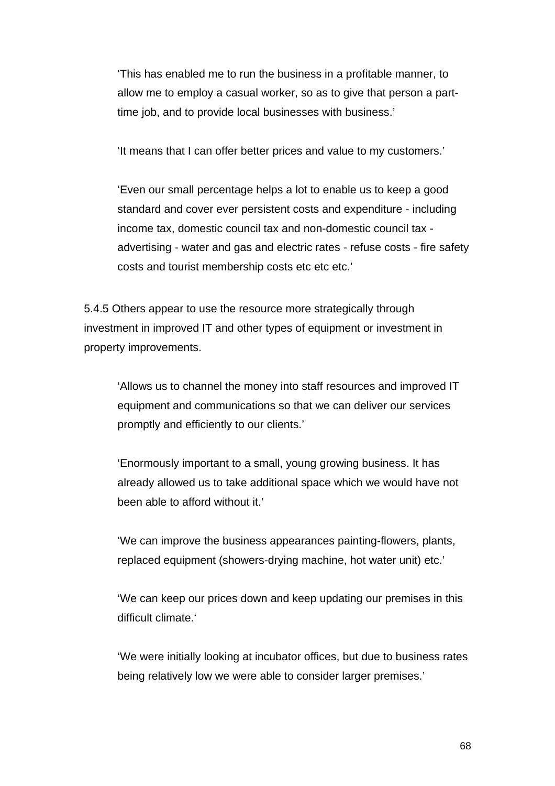'This has enabled me to run the business in a profitable manner, to allow me to employ a casual worker, so as to give that person a parttime job, and to provide local businesses with business.'

'It means that I can offer better prices and value to my customers.'

'Even our small percentage helps a lot to enable us to keep a good standard and cover ever persistent costs and expenditure - including income tax, domestic council tax and non-domestic council tax advertising - water and gas and electric rates - refuse costs - fire safety costs and tourist membership costs etc etc etc.'

5.4.5 Others appear to use the resource more strategically through investment in improved IT and other types of equipment or investment in property improvements.

'Allows us to channel the money into staff resources and improved IT equipment and communications so that we can deliver our services promptly and efficiently to our clients.'

'Enormously important to a small, young growing business. It has already allowed us to take additional space which we would have not been able to afford without it.'

'We can improve the business appearances painting-flowers, plants, replaced equipment (showers-drying machine, hot water unit) etc.'

'We can keep our prices down and keep updating our premises in this difficult climate.'

'We were initially looking at incubator offices, but due to business rates being relatively low we were able to consider larger premises.'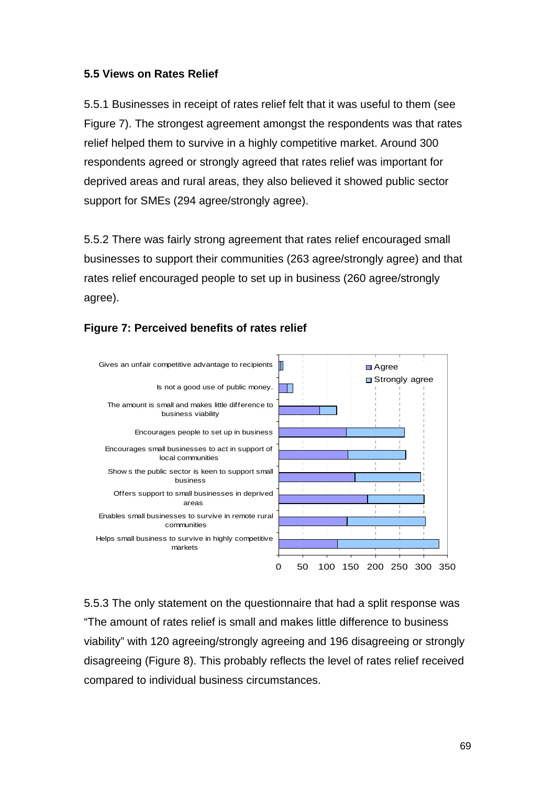### **5.5 Views on Rates Relief**

5.5.1 Businesses in receipt of rates relief felt that it was useful to them (see Figure 7). The strongest agreement amongst the respondents was that rates relief helped them to survive in a highly competitive market. Around 300 respondents agreed or strongly agreed that rates relief was important for deprived areas and rural areas, they also believed it showed public sector support for SMEs (294 agree/strongly agree).

5.5.2 There was fairly strong agreement that rates relief encouraged small businesses to support their communities (263 agree/strongly agree) and that rates relief encouraged people to set up in business (260 agree/strongly agree).



### **Figure 7: Perceived benefits of rates relief**

5.5.3 The only statement on the questionnaire that had a split response was "The amount of rates relief is small and makes little difference to business viability" with 120 agreeing/strongly agreeing and 196 disagreeing or strongly disagreeing (Figure 8). This probably reflects the level of rates relief received compared to individual business circumstances.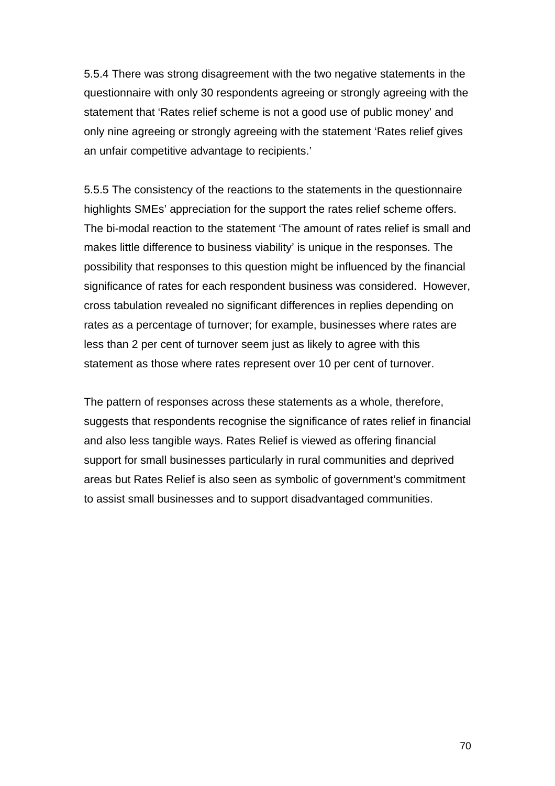5.5.4 There was strong disagreement with the two negative statements in the questionnaire with only 30 respondents agreeing or strongly agreeing with the statement that 'Rates relief scheme is not a good use of public money' and only nine agreeing or strongly agreeing with the statement 'Rates relief gives an unfair competitive advantage to recipients.'

5.5.5 The consistency of the reactions to the statements in the questionnaire highlights SMEs' appreciation for the support the rates relief scheme offers. The bi-modal reaction to the statement 'The amount of rates relief is small and makes little difference to business viability' is unique in the responses. The possibility that responses to this question might be influenced by the financial significance of rates for each respondent business was considered. However, cross tabulation revealed no significant differences in replies depending on rates as a percentage of turnover; for example, businesses where rates are less than 2 per cent of turnover seem just as likely to agree with this statement as those where rates represent over 10 per cent of turnover.

The pattern of responses across these statements as a whole, therefore, suggests that respondents recognise the significance of rates relief in financial and also less tangible ways. Rates Relief is viewed as offering financial support for small businesses particularly in rural communities and deprived areas but Rates Relief is also seen as symbolic of government's commitment to assist small businesses and to support disadvantaged communities.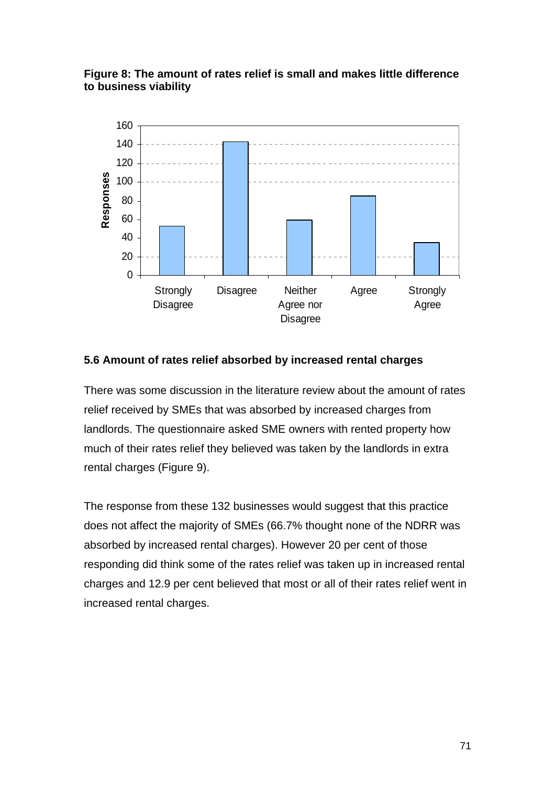### **Figure 8: The amount of rates relief is small and makes little difference to business viability**



### **5.6 Amount of rates relief absorbed by increased rental charges**

There was some discussion in the literature review about the amount of rates relief received by SMEs that was absorbed by increased charges from landlords. The questionnaire asked SME owners with rented property how much of their rates relief they believed was taken by the landlords in extra rental charges (Figure 9).

The response from these 132 businesses would suggest that this practice does not affect the majority of SMEs (66.7% thought none of the NDRR was absorbed by increased rental charges). However 20 per cent of those responding did think some of the rates relief was taken up in increased rental charges and 12.9 per cent believed that most or all of their rates relief went in increased rental charges.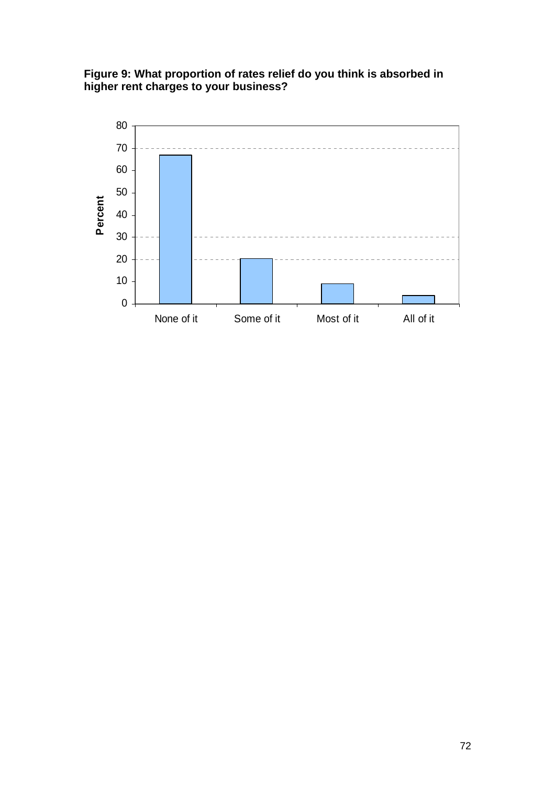**Figure 9: What proportion of rates relief do you think is absorbed in higher rent charges to your business?** 

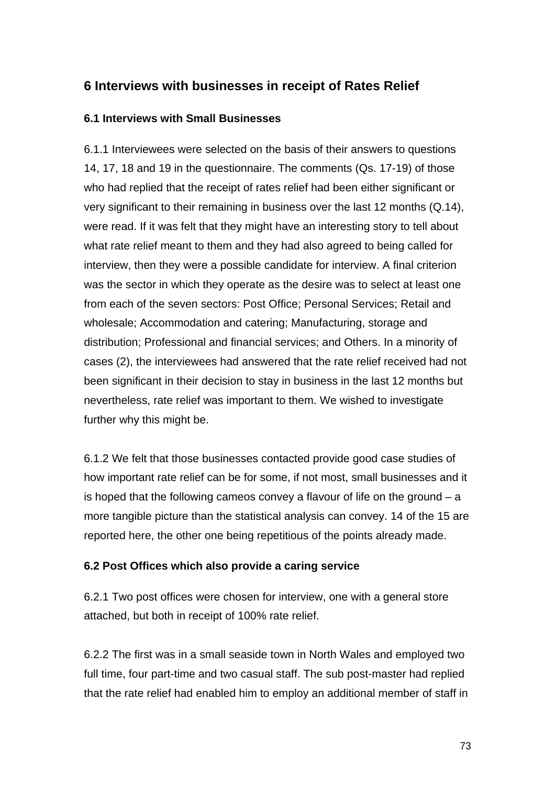# **6 Interviews with businesses in receipt of Rates Relief**

### **6.1 Interviews with Small Businesses**

6.1.1 Interviewees were selected on the basis of their answers to questions 14, 17, 18 and 19 in the questionnaire. The comments (Qs. 17-19) of those who had replied that the receipt of rates relief had been either significant or very significant to their remaining in business over the last 12 months (Q.14), were read. If it was felt that they might have an interesting story to tell about what rate relief meant to them and they had also agreed to being called for interview, then they were a possible candidate for interview. A final criterion was the sector in which they operate as the desire was to select at least one from each of the seven sectors: Post Office; Personal Services; Retail and wholesale; Accommodation and catering; Manufacturing, storage and distribution; Professional and financial services; and Others. In a minority of cases (2), the interviewees had answered that the rate relief received had not been significant in their decision to stay in business in the last 12 months but nevertheless, rate relief was important to them. We wished to investigate further why this might be.

6.1.2 We felt that those businesses contacted provide good case studies of how important rate relief can be for some, if not most, small businesses and it is hoped that the following cameos convey a flavour of life on the ground – a more tangible picture than the statistical analysis can convey. 14 of the 15 are reported here, the other one being repetitious of the points already made.

## **6.2 Post Offices which also provide a caring service**

6.2.1 Two post offices were chosen for interview, one with a general store attached, but both in receipt of 100% rate relief.

6.2.2 The first was in a small seaside town in North Wales and employed two full time, four part-time and two casual staff. The sub post-master had replied that the rate relief had enabled him to employ an additional member of staff in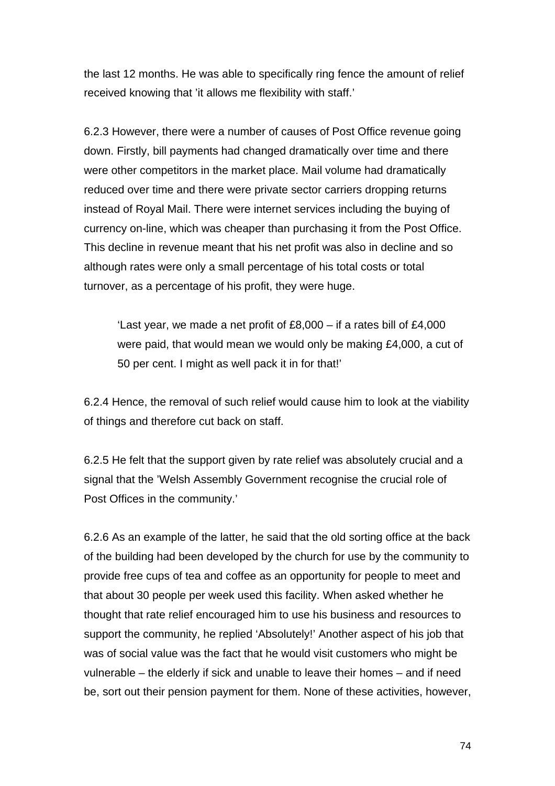the last 12 months. He was able to specifically ring fence the amount of relief received knowing that 'it allows me flexibility with staff.'

6.2.3 However, there were a number of causes of Post Office revenue going down. Firstly, bill payments had changed dramatically over time and there were other competitors in the market place. Mail volume had dramatically reduced over time and there were private sector carriers dropping returns instead of Royal Mail. There were internet services including the buying of currency on-line, which was cheaper than purchasing it from the Post Office. This decline in revenue meant that his net profit was also in decline and so although rates were only a small percentage of his total costs or total turnover, as a percentage of his profit, they were huge.

'Last year, we made a net profit of £8,000 – if a rates bill of £4,000 were paid, that would mean we would only be making £4,000, a cut of 50 per cent. I might as well pack it in for that!'

6.2.4 Hence, the removal of such relief would cause him to look at the viability of things and therefore cut back on staff.

6.2.5 He felt that the support given by rate relief was absolutely crucial and a signal that the 'Welsh Assembly Government recognise the crucial role of Post Offices in the community.'

6.2.6 As an example of the latter, he said that the old sorting office at the back of the building had been developed by the church for use by the community to provide free cups of tea and coffee as an opportunity for people to meet and that about 30 people per week used this facility. When asked whether he thought that rate relief encouraged him to use his business and resources to support the community, he replied 'Absolutely!' Another aspect of his job that was of social value was the fact that he would visit customers who might be vulnerable – the elderly if sick and unable to leave their homes – and if need be, sort out their pension payment for them. None of these activities, however,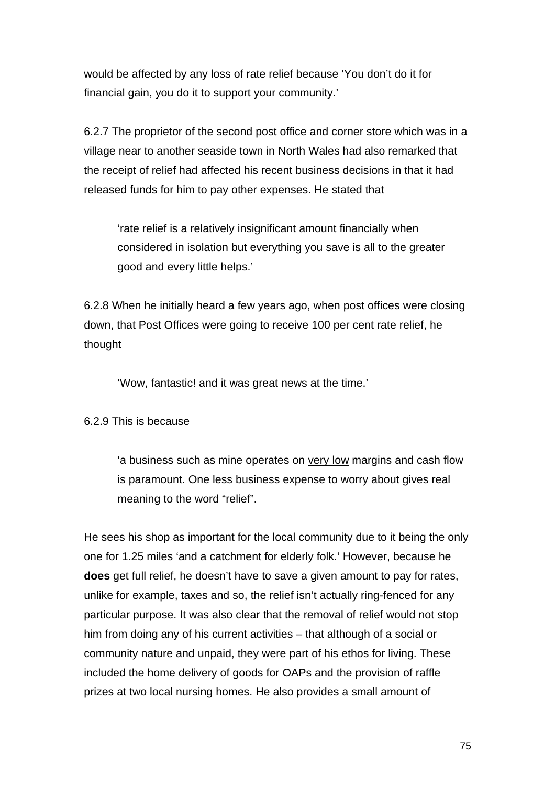would be affected by any loss of rate relief because 'You don't do it for financial gain, you do it to support your community.'

6.2.7 The proprietor of the second post office and corner store which was in a village near to another seaside town in North Wales had also remarked that the receipt of relief had affected his recent business decisions in that it had released funds for him to pay other expenses. He stated that

'rate relief is a relatively insignificant amount financially when considered in isolation but everything you save is all to the greater good and every little helps.'

6.2.8 When he initially heard a few years ago, when post offices were closing down, that Post Offices were going to receive 100 per cent rate relief, he thought

'Wow, fantastic! and it was great news at the time.'

### 6.2.9 This is because

'a business such as mine operates on very low margins and cash flow is paramount. One less business expense to worry about gives real meaning to the word "relief".

He sees his shop as important for the local community due to it being the only one for 1.25 miles 'and a catchment for elderly folk.' However, because he **does** get full relief, he doesn't have to save a given amount to pay for rates, unlike for example, taxes and so, the relief isn't actually ring-fenced for any particular purpose. It was also clear that the removal of relief would not stop him from doing any of his current activities – that although of a social or community nature and unpaid, they were part of his ethos for living. These included the home delivery of goods for OAPs and the provision of raffle prizes at two local nursing homes. He also provides a small amount of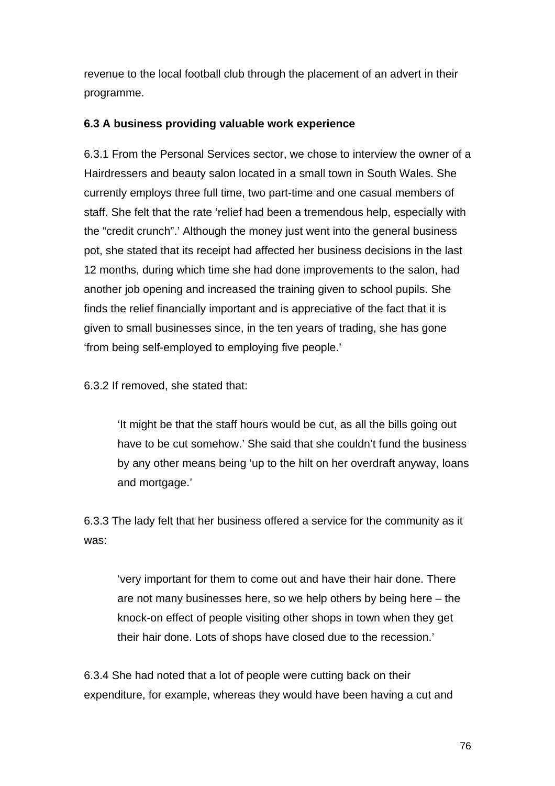revenue to the local football club through the placement of an advert in their programme.

## **6.3 A business providing valuable work experience**

6.3.1 From the Personal Services sector, we chose to interview the owner of a Hairdressers and beauty salon located in a small town in South Wales. She currently employs three full time, two part-time and one casual members of staff. She felt that the rate 'relief had been a tremendous help, especially with the "credit crunch".' Although the money just went into the general business pot, she stated that its receipt had affected her business decisions in the last 12 months, during which time she had done improvements to the salon, had another job opening and increased the training given to school pupils. She finds the relief financially important and is appreciative of the fact that it is given to small businesses since, in the ten years of trading, she has gone 'from being self-employed to employing five people.'

6.3.2 If removed, she stated that:

'It might be that the staff hours would be cut, as all the bills going out have to be cut somehow.' She said that she couldn't fund the business by any other means being 'up to the hilt on her overdraft anyway, loans and mortgage.'

6.3.3 The lady felt that her business offered a service for the community as it was:

'very important for them to come out and have their hair done. There are not many businesses here, so we help others by being here – the knock-on effect of people visiting other shops in town when they get their hair done. Lots of shops have closed due to the recession.'

6.3.4 She had noted that a lot of people were cutting back on their expenditure, for example, whereas they would have been having a cut and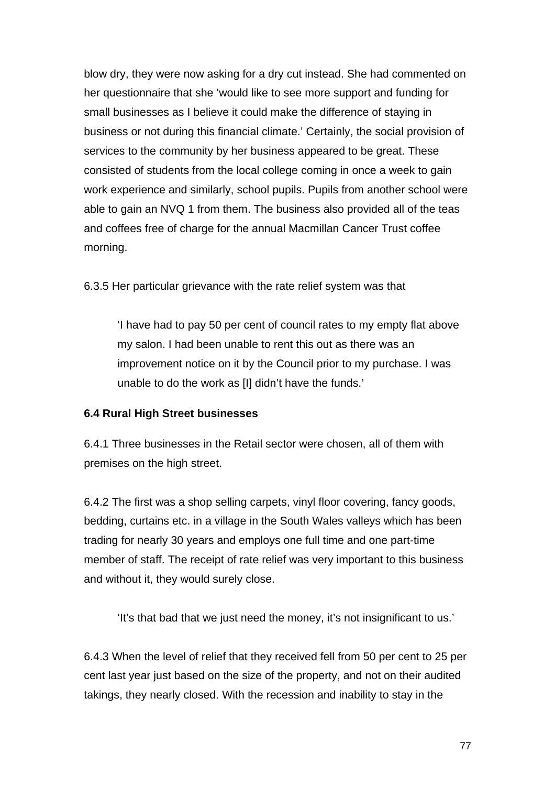blow dry, they were now asking for a dry cut instead. She had commented on her questionnaire that she 'would like to see more support and funding for small businesses as I believe it could make the difference of staying in business or not during this financial climate.' Certainly, the social provision of services to the community by her business appeared to be great. These consisted of students from the local college coming in once a week to gain work experience and similarly, school pupils. Pupils from another school were able to gain an NVQ 1 from them. The business also provided all of the teas and coffees free of charge for the annual Macmillan Cancer Trust coffee morning.

6.3.5 Her particular grievance with the rate relief system was that

'I have had to pay 50 per cent of council rates to my empty flat above my salon. I had been unable to rent this out as there was an improvement notice on it by the Council prior to my purchase. I was unable to do the work as [I] didn't have the funds.'

### **6.4 Rural High Street businesses**

6.4.1 Three businesses in the Retail sector were chosen, all of them with premises on the high street.

6.4.2 The first was a shop selling carpets, vinyl floor covering, fancy goods, bedding, curtains etc. in a village in the South Wales valleys which has been trading for nearly 30 years and employs one full time and one part-time member of staff. The receipt of rate relief was very important to this business and without it, they would surely close.

'It's that bad that we just need the money, it's not insignificant to us.'

6.4.3 When the level of relief that they received fell from 50 per cent to 25 per cent last year just based on the size of the property, and not on their audited takings, they nearly closed. With the recession and inability to stay in the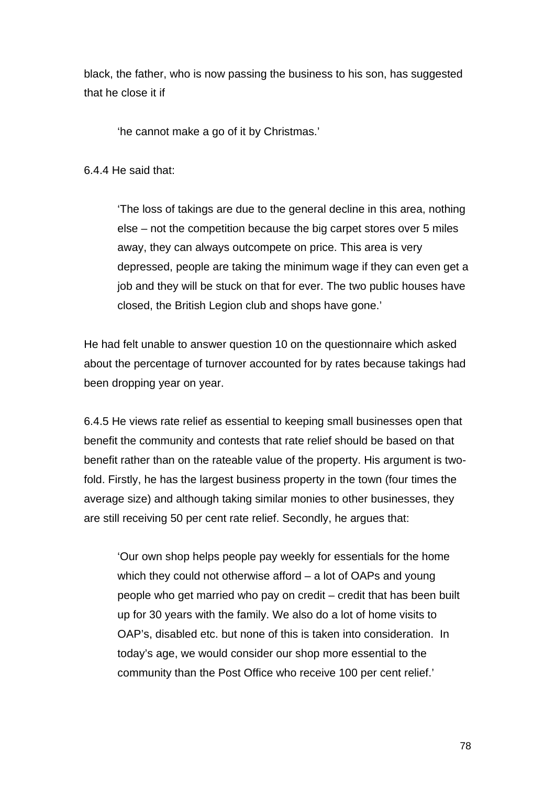black, the father, who is now passing the business to his son, has suggested that he close it if

'he cannot make a go of it by Christmas.'

6.4.4 He said that:

'The loss of takings are due to the general decline in this area, nothing else – not the competition because the big carpet stores over 5 miles away, they can always outcompete on price. This area is very depressed, people are taking the minimum wage if they can even get a job and they will be stuck on that for ever. The two public houses have closed, the British Legion club and shops have gone.'

He had felt unable to answer question 10 on the questionnaire which asked about the percentage of turnover accounted for by rates because takings had been dropping year on year.

6.4.5 He views rate relief as essential to keeping small businesses open that benefit the community and contests that rate relief should be based on that benefit rather than on the rateable value of the property. His argument is twofold. Firstly, he has the largest business property in the town (four times the average size) and although taking similar monies to other businesses, they are still receiving 50 per cent rate relief. Secondly, he argues that:

'Our own shop helps people pay weekly for essentials for the home which they could not otherwise afford – a lot of OAPs and young people who get married who pay on credit – credit that has been built up for 30 years with the family. We also do a lot of home visits to OAP's, disabled etc. but none of this is taken into consideration. In today's age, we would consider our shop more essential to the community than the Post Office who receive 100 per cent relief.'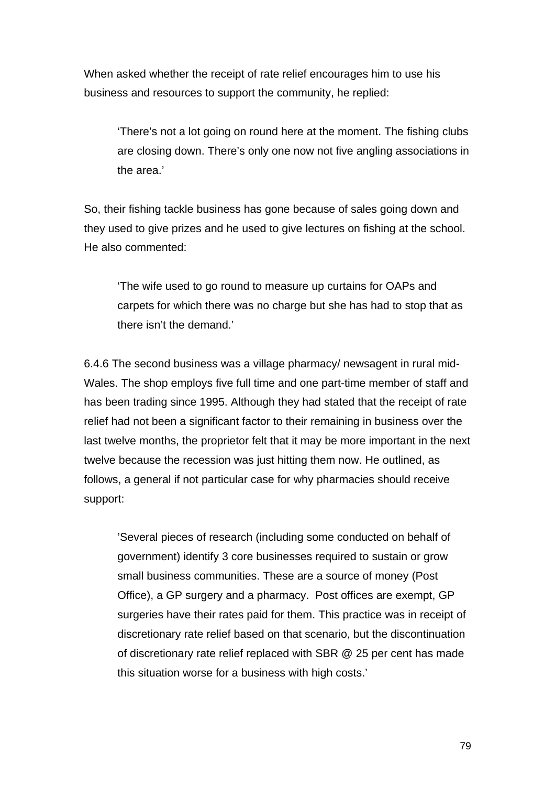When asked whether the receipt of rate relief encourages him to use his business and resources to support the community, he replied:

'There's not a lot going on round here at the moment. The fishing clubs are closing down. There's only one now not five angling associations in the area.'

So, their fishing tackle business has gone because of sales going down and they used to give prizes and he used to give lectures on fishing at the school. He also commented:

'The wife used to go round to measure up curtains for OAPs and carpets for which there was no charge but she has had to stop that as there isn't the demand.'

6.4.6 The second business was a village pharmacy/ newsagent in rural mid-Wales. The shop employs five full time and one part-time member of staff and has been trading since 1995. Although they had stated that the receipt of rate relief had not been a significant factor to their remaining in business over the last twelve months, the proprietor felt that it may be more important in the next twelve because the recession was just hitting them now. He outlined, as follows, a general if not particular case for why pharmacies should receive support:

'Several pieces of research (including some conducted on behalf of government) identify 3 core businesses required to sustain or grow small business communities. These are a source of money (Post Office), a GP surgery and a pharmacy. Post offices are exempt, GP surgeries have their rates paid for them. This practice was in receipt of discretionary rate relief based on that scenario, but the discontinuation of discretionary rate relief replaced with SBR @ 25 per cent has made this situation worse for a business with high costs.'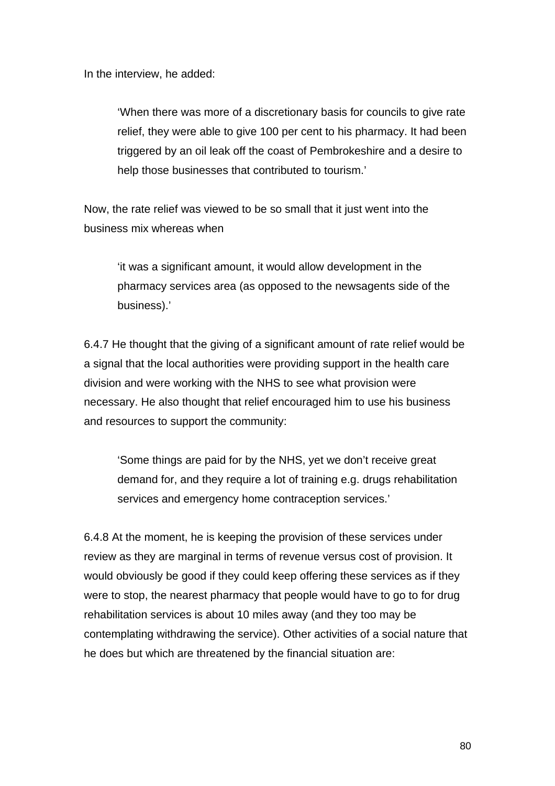In the interview, he added:

'When there was more of a discretionary basis for councils to give rate relief, they were able to give 100 per cent to his pharmacy. It had been triggered by an oil leak off the coast of Pembrokeshire and a desire to help those businesses that contributed to tourism.'

Now, the rate relief was viewed to be so small that it just went into the business mix whereas when

'it was a significant amount, it would allow development in the pharmacy services area (as opposed to the newsagents side of the business).'

6.4.7 He thought that the giving of a significant amount of rate relief would be a signal that the local authorities were providing support in the health care division and were working with the NHS to see what provision were necessary. He also thought that relief encouraged him to use his business and resources to support the community:

'Some things are paid for by the NHS, yet we don't receive great demand for, and they require a lot of training e.g. drugs rehabilitation services and emergency home contraception services.'

6.4.8 At the moment, he is keeping the provision of these services under review as they are marginal in terms of revenue versus cost of provision. It would obviously be good if they could keep offering these services as if they were to stop, the nearest pharmacy that people would have to go to for drug rehabilitation services is about 10 miles away (and they too may be contemplating withdrawing the service). Other activities of a social nature that he does but which are threatened by the financial situation are: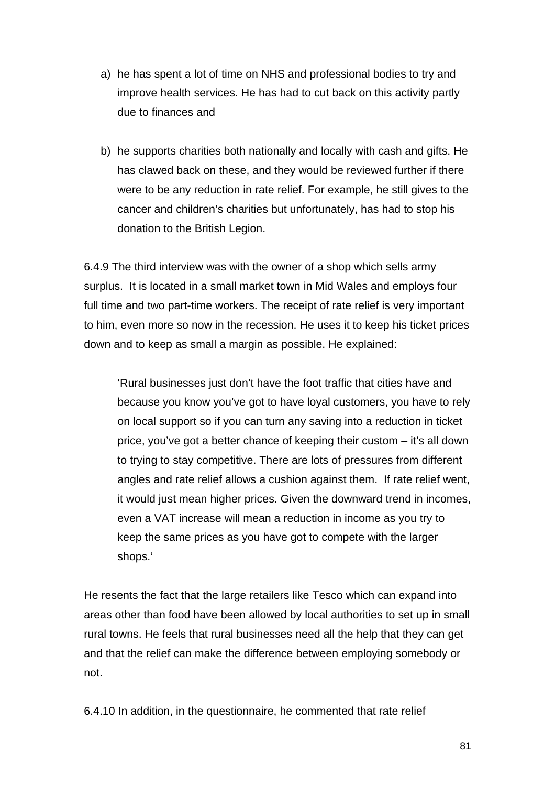- a) he has spent a lot of time on NHS and professional bodies to try and improve health services. He has had to cut back on this activity partly due to finances and
- b) he supports charities both nationally and locally with cash and gifts. He has clawed back on these, and they would be reviewed further if there were to be any reduction in rate relief. For example, he still gives to the cancer and children's charities but unfortunately, has had to stop his donation to the British Legion.

6.4.9 The third interview was with the owner of a shop which sells army surplus. It is located in a small market town in Mid Wales and employs four full time and two part-time workers. The receipt of rate relief is very important to him, even more so now in the recession. He uses it to keep his ticket prices down and to keep as small a margin as possible. He explained:

'Rural businesses just don't have the foot traffic that cities have and because you know you've got to have loyal customers, you have to rely on local support so if you can turn any saving into a reduction in ticket price, you've got a better chance of keeping their custom – it's all down to trying to stay competitive. There are lots of pressures from different angles and rate relief allows a cushion against them. If rate relief went, it would just mean higher prices. Given the downward trend in incomes, even a VAT increase will mean a reduction in income as you try to keep the same prices as you have got to compete with the larger shops.'

He resents the fact that the large retailers like Tesco which can expand into areas other than food have been allowed by local authorities to set up in small rural towns. He feels that rural businesses need all the help that they can get and that the relief can make the difference between employing somebody or not.

6.4.10 In addition, in the questionnaire, he commented that rate relief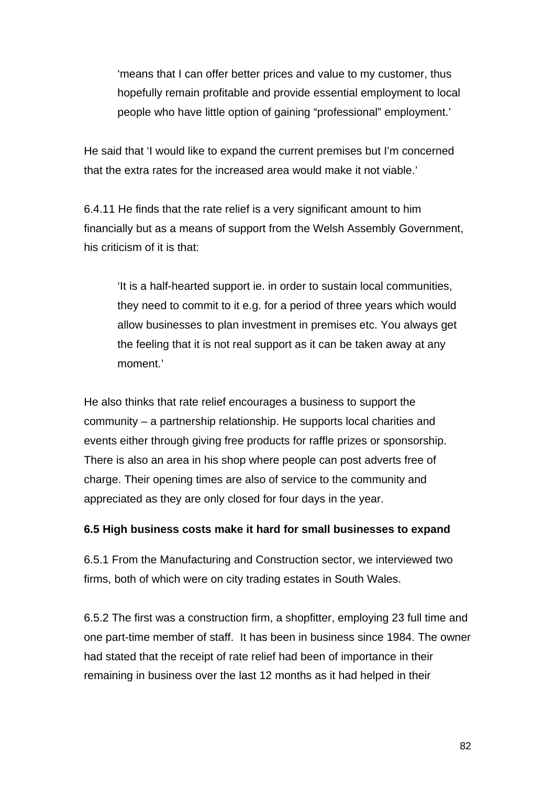'means that I can offer better prices and value to my customer, thus hopefully remain profitable and provide essential employment to local people who have little option of gaining "professional" employment.'

He said that 'I would like to expand the current premises but I'm concerned that the extra rates for the increased area would make it not viable.'

6.4.11 He finds that the rate relief is a very significant amount to him financially but as a means of support from the Welsh Assembly Government, his criticism of it is that:

'It is a half-hearted support ie. in order to sustain local communities, they need to commit to it e.g. for a period of three years which would allow businesses to plan investment in premises etc. You always get the feeling that it is not real support as it can be taken away at any moment.'

He also thinks that rate relief encourages a business to support the community – a partnership relationship. He supports local charities and events either through giving free products for raffle prizes or sponsorship. There is also an area in his shop where people can post adverts free of charge. Their opening times are also of service to the community and appreciated as they are only closed for four days in the year.

### **6.5 High business costs make it hard for small businesses to expand**

6.5.1 From the Manufacturing and Construction sector, we interviewed two firms, both of which were on city trading estates in South Wales.

6.5.2 The first was a construction firm, a shopfitter, employing 23 full time and one part-time member of staff. It has been in business since 1984. The owner had stated that the receipt of rate relief had been of importance in their remaining in business over the last 12 months as it had helped in their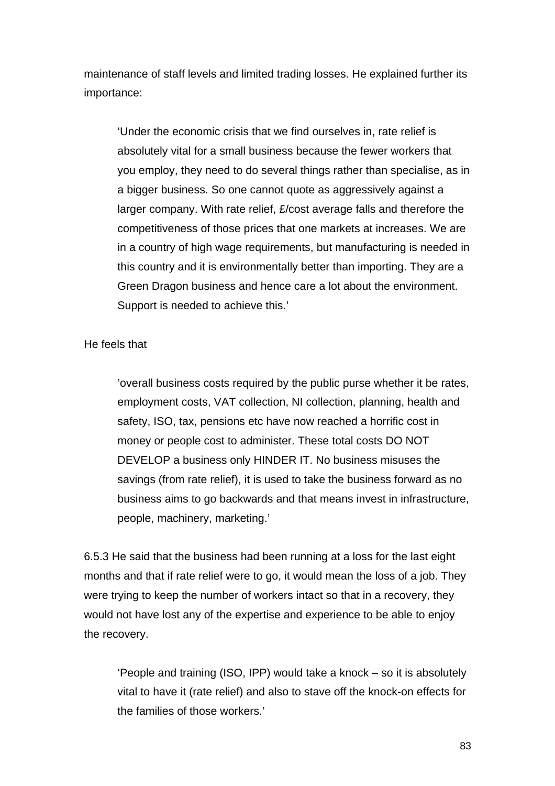maintenance of staff levels and limited trading losses. He explained further its importance:

'Under the economic crisis that we find ourselves in, rate relief is absolutely vital for a small business because the fewer workers that you employ, they need to do several things rather than specialise, as in a bigger business. So one cannot quote as aggressively against a larger company. With rate relief, £/cost average falls and therefore the competitiveness of those prices that one markets at increases. We are in a country of high wage requirements, but manufacturing is needed in this country and it is environmentally better than importing. They are a Green Dragon business and hence care a lot about the environment. Support is needed to achieve this.'

#### He feels that

'overall business costs required by the public purse whether it be rates, employment costs, VAT collection, NI collection, planning, health and safety, ISO, tax, pensions etc have now reached a horrific cost in money or people cost to administer. These total costs DO NOT DEVELOP a business only HINDER IT. No business misuses the savings (from rate relief), it is used to take the business forward as no business aims to go backwards and that means invest in infrastructure, people, machinery, marketing.'

6.5.3 He said that the business had been running at a loss for the last eight months and that if rate relief were to go, it would mean the loss of a job. They were trying to keep the number of workers intact so that in a recovery, they would not have lost any of the expertise and experience to be able to enjoy the recovery.

'People and training (ISO, IPP) would take a knock – so it is absolutely vital to have it (rate relief) and also to stave off the knock-on effects for the families of those workers.'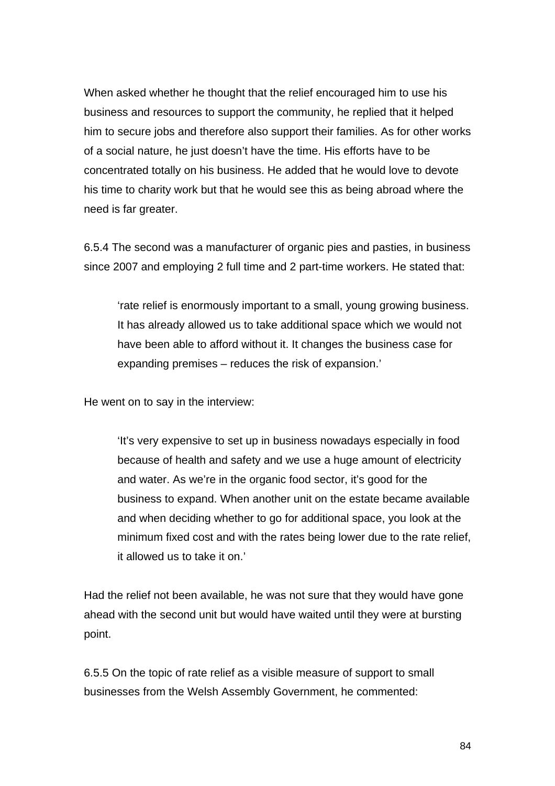When asked whether he thought that the relief encouraged him to use his business and resources to support the community, he replied that it helped him to secure jobs and therefore also support their families. As for other works of a social nature, he just doesn't have the time. His efforts have to be concentrated totally on his business. He added that he would love to devote his time to charity work but that he would see this as being abroad where the need is far greater.

6.5.4 The second was a manufacturer of organic pies and pasties, in business since 2007 and employing 2 full time and 2 part-time workers. He stated that:

'rate relief is enormously important to a small, young growing business. It has already allowed us to take additional space which we would not have been able to afford without it. It changes the business case for expanding premises – reduces the risk of expansion.'

He went on to say in the interview:

'It's very expensive to set up in business nowadays especially in food because of health and safety and we use a huge amount of electricity and water. As we're in the organic food sector, it's good for the business to expand. When another unit on the estate became available and when deciding whether to go for additional space, you look at the minimum fixed cost and with the rates being lower due to the rate relief, it allowed us to take it on.'

Had the relief not been available, he was not sure that they would have gone ahead with the second unit but would have waited until they were at bursting point.

6.5.5 On the topic of rate relief as a visible measure of support to small businesses from the Welsh Assembly Government, he commented: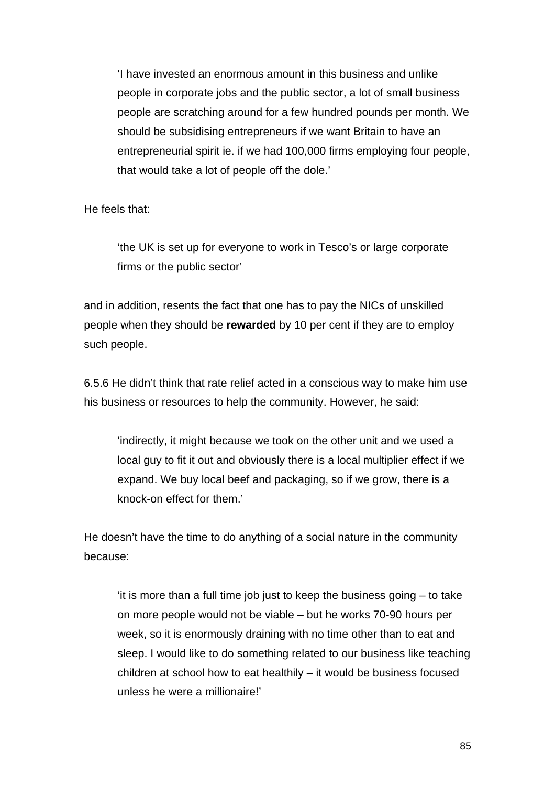'I have invested an enormous amount in this business and unlike people in corporate jobs and the public sector, a lot of small business people are scratching around for a few hundred pounds per month. We should be subsidising entrepreneurs if we want Britain to have an entrepreneurial spirit ie. if we had 100,000 firms employing four people, that would take a lot of people off the dole.'

He feels that:

'the UK is set up for everyone to work in Tesco's or large corporate firms or the public sector'

and in addition, resents the fact that one has to pay the NICs of unskilled people when they should be **rewarded** by 10 per cent if they are to employ such people.

6.5.6 He didn't think that rate relief acted in a conscious way to make him use his business or resources to help the community. However, he said:

'indirectly, it might because we took on the other unit and we used a local guy to fit it out and obviously there is a local multiplier effect if we expand. We buy local beef and packaging, so if we grow, there is a knock-on effect for them.'

He doesn't have the time to do anything of a social nature in the community because:

'it is more than a full time job just to keep the business going – to take on more people would not be viable – but he works 70-90 hours per week, so it is enormously draining with no time other than to eat and sleep. I would like to do something related to our business like teaching children at school how to eat healthily – it would be business focused unless he were a millionaire!'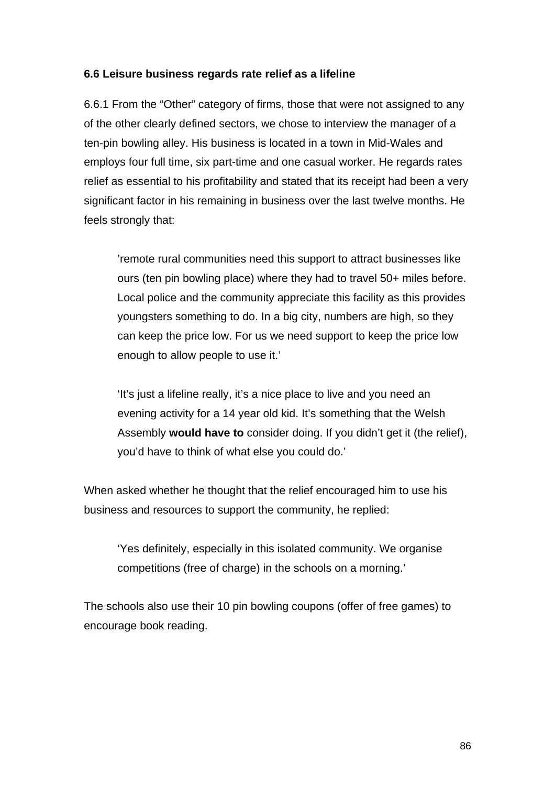### **6.6 Leisure business regards rate relief as a lifeline**

6.6.1 From the "Other" category of firms, those that were not assigned to any of the other clearly defined sectors, we chose to interview the manager of a ten-pin bowling alley. His business is located in a town in Mid-Wales and employs four full time, six part-time and one casual worker. He regards rates relief as essential to his profitability and stated that its receipt had been a very significant factor in his remaining in business over the last twelve months. He feels strongly that:

'remote rural communities need this support to attract businesses like ours (ten pin bowling place) where they had to travel 50+ miles before. Local police and the community appreciate this facility as this provides youngsters something to do. In a big city, numbers are high, so they can keep the price low. For us we need support to keep the price low enough to allow people to use it.'

'It's just a lifeline really, it's a nice place to live and you need an evening activity for a 14 year old kid. It's something that the Welsh Assembly **would have to** consider doing. If you didn't get it (the relief), you'd have to think of what else you could do.'

When asked whether he thought that the relief encouraged him to use his business and resources to support the community, he replied:

'Yes definitely, especially in this isolated community. We organise competitions (free of charge) in the schools on a morning.'

The schools also use their 10 pin bowling coupons (offer of free games) to encourage book reading.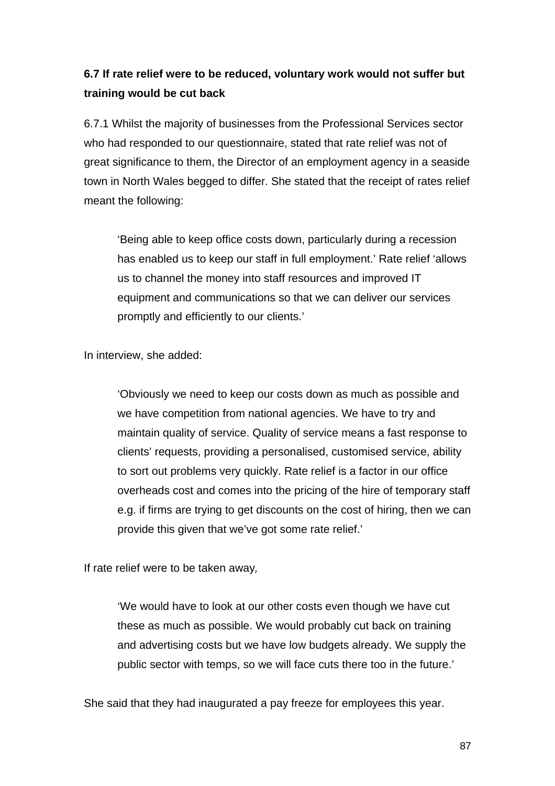# **6.7 If rate relief were to be reduced, voluntary work would not suffer but training would be cut back**

6.7.1 Whilst the majority of businesses from the Professional Services sector who had responded to our questionnaire, stated that rate relief was not of great significance to them, the Director of an employment agency in a seaside town in North Wales begged to differ. She stated that the receipt of rates relief meant the following:

'Being able to keep office costs down, particularly during a recession has enabled us to keep our staff in full employment.' Rate relief 'allows us to channel the money into staff resources and improved IT equipment and communications so that we can deliver our services promptly and efficiently to our clients.'

In interview, she added:

'Obviously we need to keep our costs down as much as possible and we have competition from national agencies. We have to try and maintain quality of service. Quality of service means a fast response to clients' requests, providing a personalised, customised service, ability to sort out problems very quickly. Rate relief is a factor in our office overheads cost and comes into the pricing of the hire of temporary staff e.g. if firms are trying to get discounts on the cost of hiring, then we can provide this given that we've got some rate relief.'

If rate relief were to be taken away*,* 

'We would have to look at our other costs even though we have cut these as much as possible. We would probably cut back on training and advertising costs but we have low budgets already. We supply the public sector with temps, so we will face cuts there too in the future.'

She said that they had inaugurated a pay freeze for employees this year.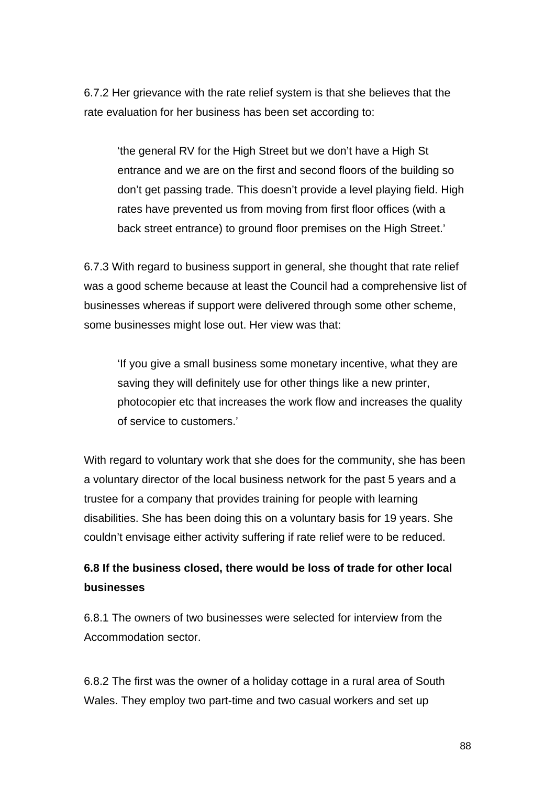6.7.2 Her grievance with the rate relief system is that she believes that the rate evaluation for her business has been set according to:

'the general RV for the High Street but we don't have a High St entrance and we are on the first and second floors of the building so don't get passing trade. This doesn't provide a level playing field. High rates have prevented us from moving from first floor offices (with a back street entrance) to ground floor premises on the High Street.'

6.7.3 With regard to business support in general, she thought that rate relief was a good scheme because at least the Council had a comprehensive list of businesses whereas if support were delivered through some other scheme, some businesses might lose out. Her view was that:

'If you give a small business some monetary incentive, what they are saving they will definitely use for other things like a new printer, photocopier etc that increases the work flow and increases the quality of service to customers.'

With regard to voluntary work that she does for the community, she has been a voluntary director of the local business network for the past 5 years and a trustee for a company that provides training for people with learning disabilities. She has been doing this on a voluntary basis for 19 years. She couldn't envisage either activity suffering if rate relief were to be reduced.

# **6.8 If the business closed, there would be loss of trade for other local businesses**

6.8.1 The owners of two businesses were selected for interview from the Accommodation sector.

6.8.2 The first was the owner of a holiday cottage in a rural area of South Wales. They employ two part-time and two casual workers and set up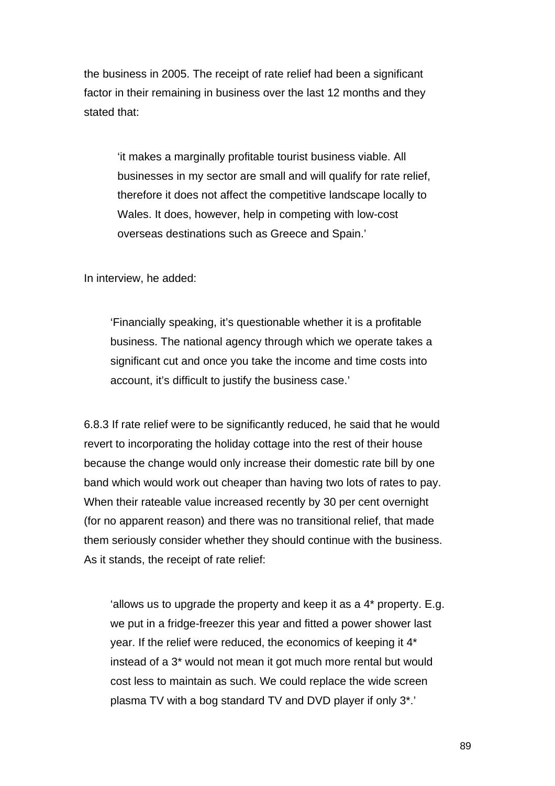the business in 2005. The receipt of rate relief had been a significant factor in their remaining in business over the last 12 months and they stated that:

'it makes a marginally profitable tourist business viable. All businesses in my sector are small and will qualify for rate relief, therefore it does not affect the competitive landscape locally to Wales. It does, however, help in competing with low-cost overseas destinations such as Greece and Spain.'

In interview, he added:

'Financially speaking, it's questionable whether it is a profitable business. The national agency through which we operate takes a significant cut and once you take the income and time costs into account, it's difficult to justify the business case.'

6.8.3 If rate relief were to be significantly reduced, he said that he would revert to incorporating the holiday cottage into the rest of their house because the change would only increase their domestic rate bill by one band which would work out cheaper than having two lots of rates to pay. When their rateable value increased recently by 30 per cent overnight (for no apparent reason) and there was no transitional relief, that made them seriously consider whether they should continue with the business. As it stands, the receipt of rate relief:

'allows us to upgrade the property and keep it as a 4\* property. E.g. we put in a fridge-freezer this year and fitted a power shower last year. If the relief were reduced, the economics of keeping it 4\* instead of a 3\* would not mean it got much more rental but would cost less to maintain as such. We could replace the wide screen plasma TV with a bog standard TV and DVD player if only 3\*.'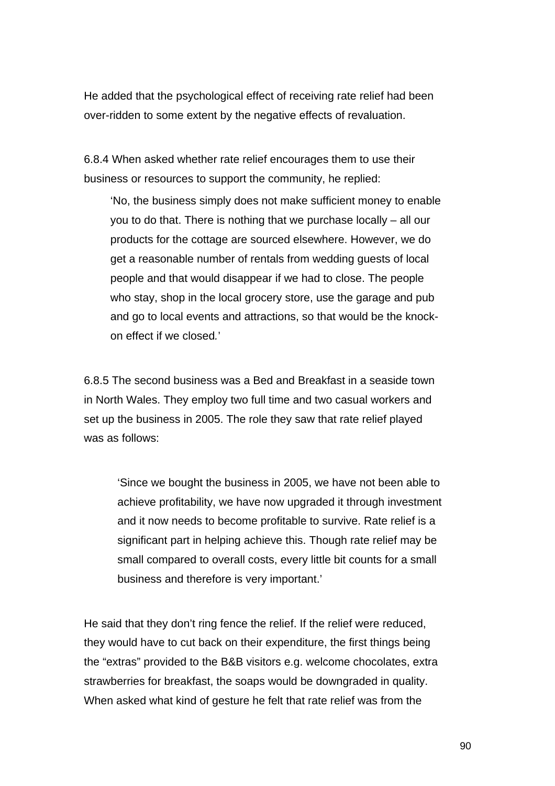He added that the psychological effect of receiving rate relief had been over-ridden to some extent by the negative effects of revaluation.

6.8.4 When asked whether rate relief encourages them to use their business or resources to support the community, he replied:

'No, the business simply does not make sufficient money to enable you to do that. There is nothing that we purchase locally – all our products for the cottage are sourced elsewhere. However, we do get a reasonable number of rentals from wedding guests of local people and that would disappear if we had to close. The people who stay, shop in the local grocery store, use the garage and pub and go to local events and attractions, so that would be the knockon effect if we closed*.*'

6.8.5 The second business was a Bed and Breakfast in a seaside town in North Wales. They employ two full time and two casual workers and set up the business in 2005. The role they saw that rate relief played was as follows:

'Since we bought the business in 2005, we have not been able to achieve profitability, we have now upgraded it through investment and it now needs to become profitable to survive. Rate relief is a significant part in helping achieve this. Though rate relief may be small compared to overall costs, every little bit counts for a small business and therefore is very important.'

He said that they don't ring fence the relief. If the relief were reduced, they would have to cut back on their expenditure, the first things being the "extras" provided to the B&B visitors e.g. welcome chocolates, extra strawberries for breakfast, the soaps would be downgraded in quality. When asked what kind of gesture he felt that rate relief was from the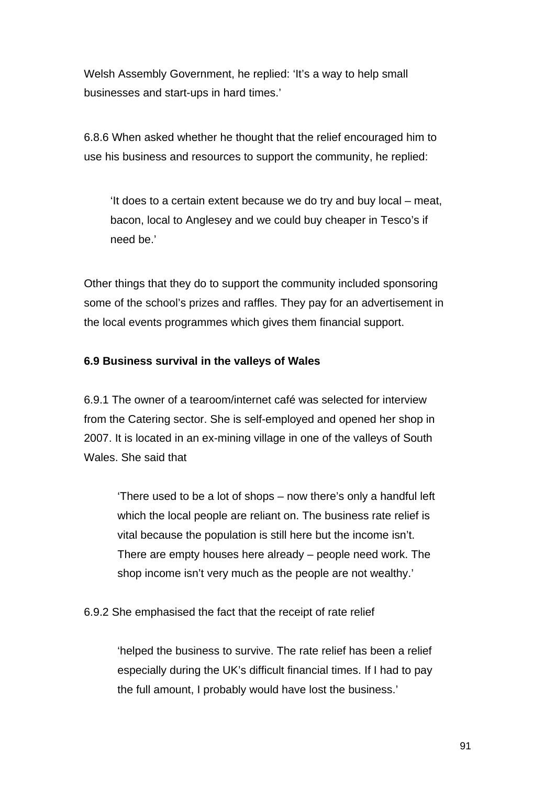Welsh Assembly Government, he replied: 'It's a way to help small businesses and start-ups in hard times.'

6.8.6 When asked whether he thought that the relief encouraged him to use his business and resources to support the community, he replied:

'It does to a certain extent because we do try and buy local – meat, bacon, local to Anglesey and we could buy cheaper in Tesco's if need be.'

Other things that they do to support the community included sponsoring some of the school's prizes and raffles. They pay for an advertisement in the local events programmes which gives them financial support.

## **6.9 Business survival in the valleys of Wales**

6.9.1 The owner of a tearoom/internet café was selected for interview from the Catering sector. She is self-employed and opened her shop in 2007. It is located in an ex-mining village in one of the valleys of South Wales. She said that

'There used to be a lot of shops – now there's only a handful left which the local people are reliant on. The business rate relief is vital because the population is still here but the income isn't. There are empty houses here already – people need work. The shop income isn't very much as the people are not wealthy.'

6.9.2 She emphasised the fact that the receipt of rate relief

'helped the business to survive. The rate relief has been a relief especially during the UK's difficult financial times. If I had to pay the full amount, I probably would have lost the business.'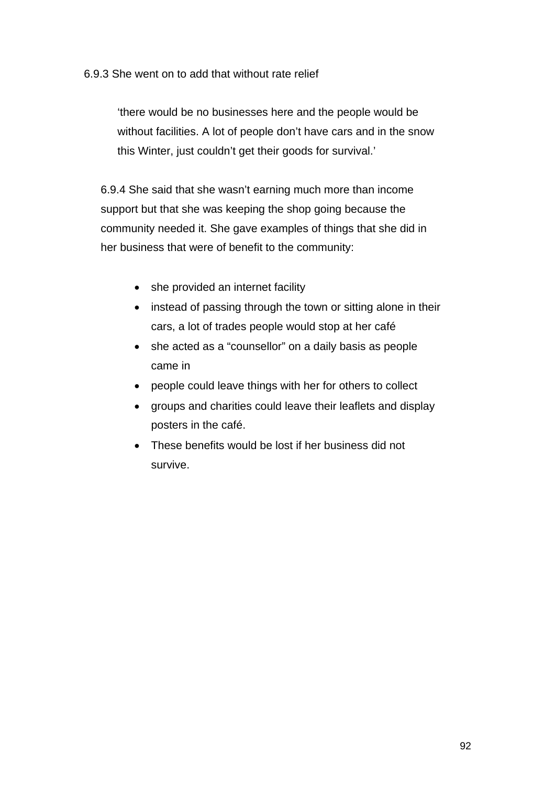### 6.9.3 She went on to add that without rate relief

'there would be no businesses here and the people would be without facilities. A lot of people don't have cars and in the snow this Winter, just couldn't get their goods for survival.'

6.9.4 She said that she wasn't earning much more than income support but that she was keeping the shop going because the community needed it. She gave examples of things that she did in her business that were of benefit to the community:

- she provided an internet facility
- instead of passing through the town or sitting alone in their cars, a lot of trades people would stop at her café
- she acted as a "counsellor" on a daily basis as people came in
- people could leave things with her for others to collect
- groups and charities could leave their leaflets and display posters in the café.
- These benefits would be lost if her business did not survive.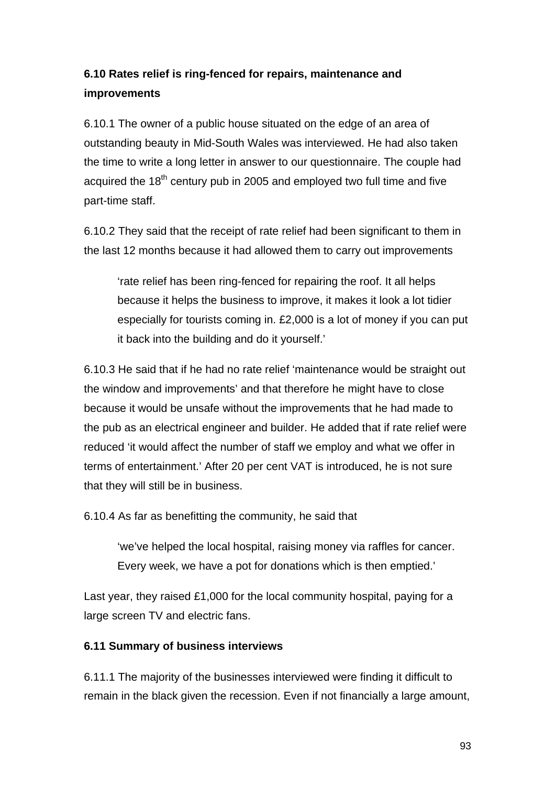# **6.10 Rates relief is ring-fenced for repairs, maintenance and improvements**

6.10.1 The owner of a public house situated on the edge of an area of outstanding beauty in Mid-South Wales was interviewed. He had also taken the time to write a long letter in answer to our questionnaire. The couple had acquired the  $18<sup>th</sup>$  century pub in 2005 and employed two full time and five part-time staff.

6.10.2 They said that the receipt of rate relief had been significant to them in the last 12 months because it had allowed them to carry out improvements

'rate relief has been ring-fenced for repairing the roof. It all helps because it helps the business to improve, it makes it look a lot tidier especially for tourists coming in. £2,000 is a lot of money if you can put it back into the building and do it yourself.'

6.10.3 He said that if he had no rate relief 'maintenance would be straight out the window and improvements' and that therefore he might have to close because it would be unsafe without the improvements that he had made to the pub as an electrical engineer and builder. He added that if rate relief were reduced 'it would affect the number of staff we employ and what we offer in terms of entertainment.' After 20 per cent VAT is introduced, he is not sure that they will still be in business.

6.10.4 As far as benefitting the community, he said that

'we've helped the local hospital, raising money via raffles for cancer. Every week, we have a pot for donations which is then emptied.'

Last year, they raised £1,000 for the local community hospital, paying for a large screen TV and electric fans.

## **6.11 Summary of business interviews**

6.11.1 The majority of the businesses interviewed were finding it difficult to remain in the black given the recession. Even if not financially a large amount,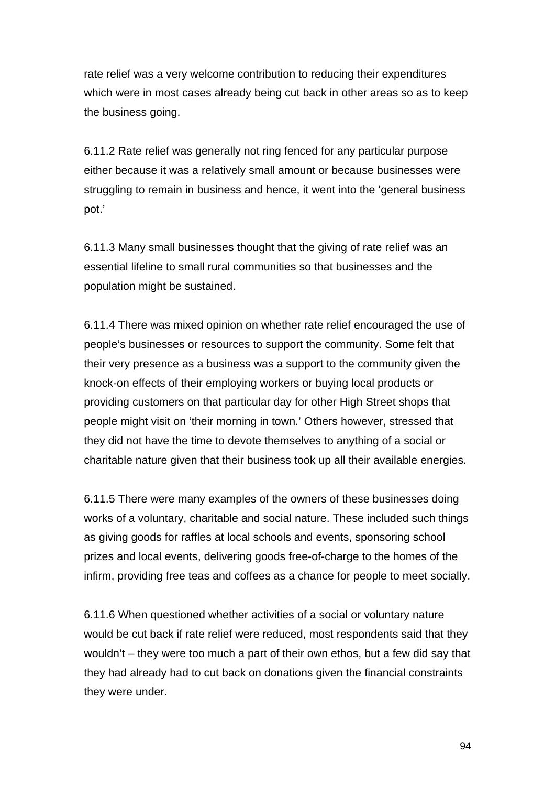rate relief was a very welcome contribution to reducing their expenditures which were in most cases already being cut back in other areas so as to keep the business going.

6.11.2 Rate relief was generally not ring fenced for any particular purpose either because it was a relatively small amount or because businesses were struggling to remain in business and hence, it went into the 'general business pot.'

6.11.3 Many small businesses thought that the giving of rate relief was an essential lifeline to small rural communities so that businesses and the population might be sustained.

6.11.4 There was mixed opinion on whether rate relief encouraged the use of people's businesses or resources to support the community. Some felt that their very presence as a business was a support to the community given the knock-on effects of their employing workers or buying local products or providing customers on that particular day for other High Street shops that people might visit on 'their morning in town.' Others however, stressed that they did not have the time to devote themselves to anything of a social or charitable nature given that their business took up all their available energies.

6.11.5 There were many examples of the owners of these businesses doing works of a voluntary, charitable and social nature. These included such things as giving goods for raffles at local schools and events, sponsoring school prizes and local events, delivering goods free-of-charge to the homes of the infirm, providing free teas and coffees as a chance for people to meet socially.

6.11.6 When questioned whether activities of a social or voluntary nature would be cut back if rate relief were reduced, most respondents said that they wouldn't – they were too much a part of their own ethos, but a few did say that they had already had to cut back on donations given the financial constraints they were under.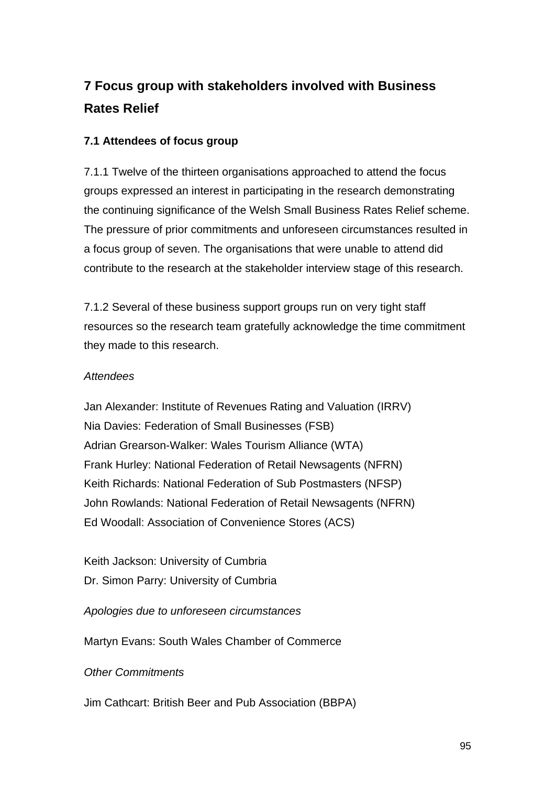# **7 Focus group with stakeholders involved with Business Rates Relief**

## **7.1 Attendees of focus group**

7.1.1 Twelve of the thirteen organisations approached to attend the focus groups expressed an interest in participating in the research demonstrating the continuing significance of the Welsh Small Business Rates Relief scheme. The pressure of prior commitments and unforeseen circumstances resulted in a focus group of seven. The organisations that were unable to attend did contribute to the research at the stakeholder interview stage of this research.

7.1.2 Several of these business support groups run on very tight staff resources so the research team gratefully acknowledge the time commitment they made to this research.

## *Attendees*

Jan Alexander: Institute of Revenues Rating and Valuation (IRRV) Nia Davies: Federation of Small Businesses (FSB) Adrian Grearson-Walker: Wales Tourism Alliance (WTA) Frank Hurley: National Federation of Retail Newsagents (NFRN) Keith Richards: National Federation of Sub Postmasters (NFSP) John Rowlands: National Federation of Retail Newsagents (NFRN) Ed Woodall: Association of Convenience Stores (ACS)

Keith Jackson: University of Cumbria Dr. Simon Parry: University of Cumbria

*Apologies due to unforeseen circumstances* 

Martyn Evans: South Wales Chamber of Commerce

*Other Commitments* 

Jim Cathcart: British Beer and Pub Association (BBPA)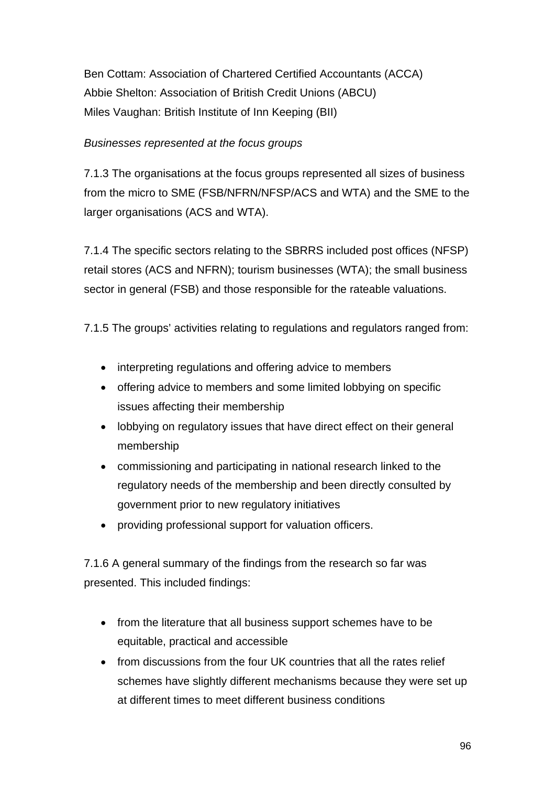Ben Cottam: Association of Chartered Certified Accountants (ACCA) Abbie Shelton: Association of British Credit Unions (ABCU) Miles Vaughan: British Institute of Inn Keeping (BII)

## *Businesses represented at the focus groups*

7.1.3 The organisations at the focus groups represented all sizes of business from the micro to SME (FSB/NFRN/NFSP/ACS and WTA) and the SME to the larger organisations (ACS and WTA).

7.1.4 The specific sectors relating to the SBRRS included post offices (NFSP) retail stores (ACS and NFRN); tourism businesses (WTA); the small business sector in general (FSB) and those responsible for the rateable valuations.

7.1.5 The groups' activities relating to regulations and regulators ranged from:

- interpreting regulations and offering advice to members
- offering advice to members and some limited lobbying on specific issues affecting their membership
- lobbying on regulatory issues that have direct effect on their general membership
- commissioning and participating in national research linked to the regulatory needs of the membership and been directly consulted by government prior to new regulatory initiatives
- providing professional support for valuation officers.

7.1.6 A general summary of the findings from the research so far was presented. This included findings:

- from the literature that all business support schemes have to be equitable, practical and accessible
- from discussions from the four UK countries that all the rates relief schemes have slightly different mechanisms because they were set up at different times to meet different business conditions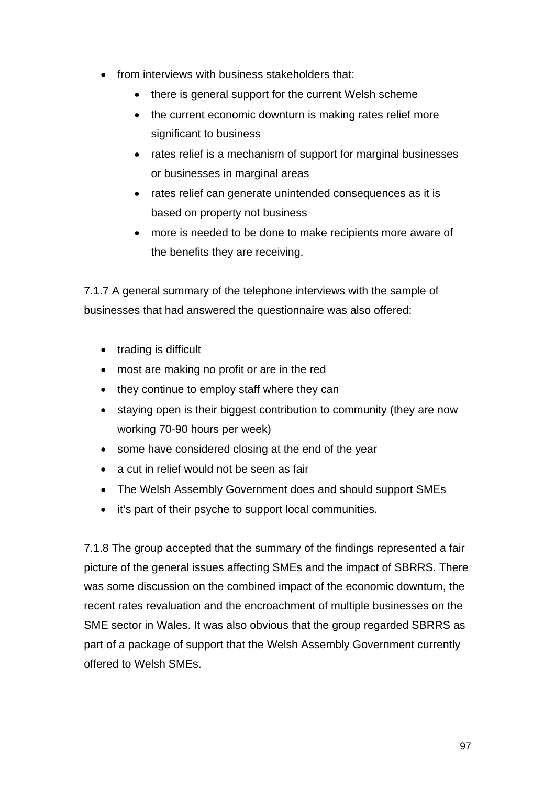- from interviews with business stakeholders that:
	- there is general support for the current Welsh scheme
	- the current economic downturn is making rates relief more significant to business
	- rates relief is a mechanism of support for marginal businesses or businesses in marginal areas
	- rates relief can generate unintended consequences as it is based on property not business
	- more is needed to be done to make recipients more aware of the benefits they are receiving.

7.1.7 A general summary of the telephone interviews with the sample of businesses that had answered the questionnaire was also offered:

- trading is difficult
- most are making no profit or are in the red
- they continue to employ staff where they can
- staying open is their biggest contribution to community (they are now working 70-90 hours per week)
- some have considered closing at the end of the year
- a cut in relief would not be seen as fair
- The Welsh Assembly Government does and should support SMEs
- it's part of their psyche to support local communities.

7.1.8 The group accepted that the summary of the findings represented a fair picture of the general issues affecting SMEs and the impact of SBRRS. There was some discussion on the combined impact of the economic downturn, the recent rates revaluation and the encroachment of multiple businesses on the SME sector in Wales. It was also obvious that the group regarded SBRRS as part of a package of support that the Welsh Assembly Government currently offered to Welsh SMEs.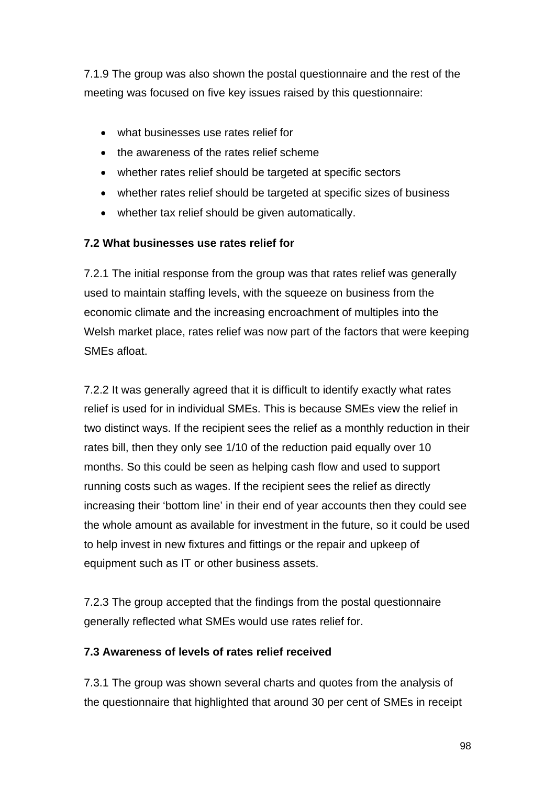7.1.9 The group was also shown the postal questionnaire and the rest of the meeting was focused on five key issues raised by this questionnaire:

- what businesses use rates relief for
- the awareness of the rates relief scheme
- whether rates relief should be targeted at specific sectors
- whether rates relief should be targeted at specific sizes of business
- whether tax relief should be given automatically.

## **7.2 What businesses use rates relief for**

7.2.1 The initial response from the group was that rates relief was generally used to maintain staffing levels, with the squeeze on business from the economic climate and the increasing encroachment of multiples into the Welsh market place, rates relief was now part of the factors that were keeping SMEs afloat.

7.2.2 It was generally agreed that it is difficult to identify exactly what rates relief is used for in individual SMEs. This is because SMEs view the relief in two distinct ways. If the recipient sees the relief as a monthly reduction in their rates bill, then they only see 1/10 of the reduction paid equally over 10 months. So this could be seen as helping cash flow and used to support running costs such as wages. If the recipient sees the relief as directly increasing their 'bottom line' in their end of year accounts then they could see the whole amount as available for investment in the future, so it could be used to help invest in new fixtures and fittings or the repair and upkeep of equipment such as IT or other business assets.

7.2.3 The group accepted that the findings from the postal questionnaire generally reflected what SMEs would use rates relief for.

## **7.3 Awareness of levels of rates relief received**

7.3.1 The group was shown several charts and quotes from the analysis of the questionnaire that highlighted that around 30 per cent of SMEs in receipt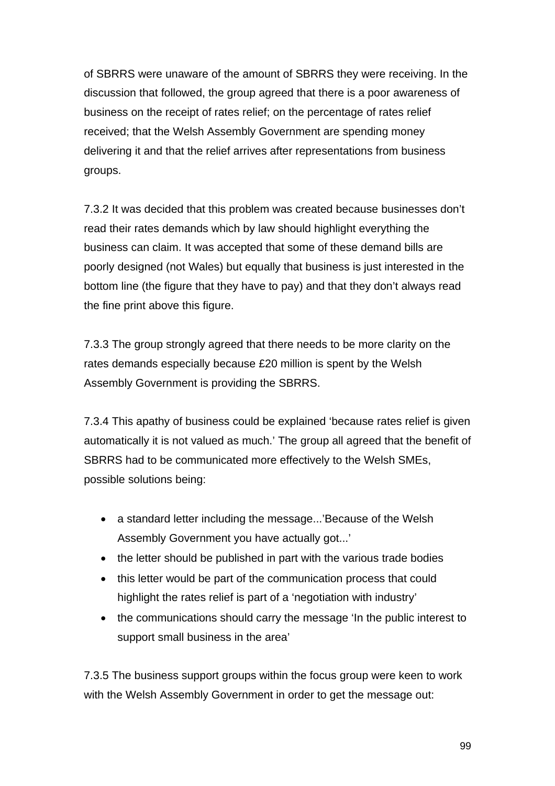of SBRRS were unaware of the amount of SBRRS they were receiving. In the discussion that followed, the group agreed that there is a poor awareness of business on the receipt of rates relief; on the percentage of rates relief received; that the Welsh Assembly Government are spending money delivering it and that the relief arrives after representations from business groups.

7.3.2 It was decided that this problem was created because businesses don't read their rates demands which by law should highlight everything the business can claim. It was accepted that some of these demand bills are poorly designed (not Wales) but equally that business is just interested in the bottom line (the figure that they have to pay) and that they don't always read the fine print above this figure.

7.3.3 The group strongly agreed that there needs to be more clarity on the rates demands especially because £20 million is spent by the Welsh Assembly Government is providing the SBRRS.

7.3.4 This apathy of business could be explained 'because rates relief is given automatically it is not valued as much.' The group all agreed that the benefit of SBRRS had to be communicated more effectively to the Welsh SMEs, possible solutions being:

- a standard letter including the message...'Because of the Welsh Assembly Government you have actually got...'
- the letter should be published in part with the various trade bodies
- this letter would be part of the communication process that could highlight the rates relief is part of a 'negotiation with industry'
- the communications should carry the message 'In the public interest to support small business in the area'

7.3.5 The business support groups within the focus group were keen to work with the Welsh Assembly Government in order to get the message out: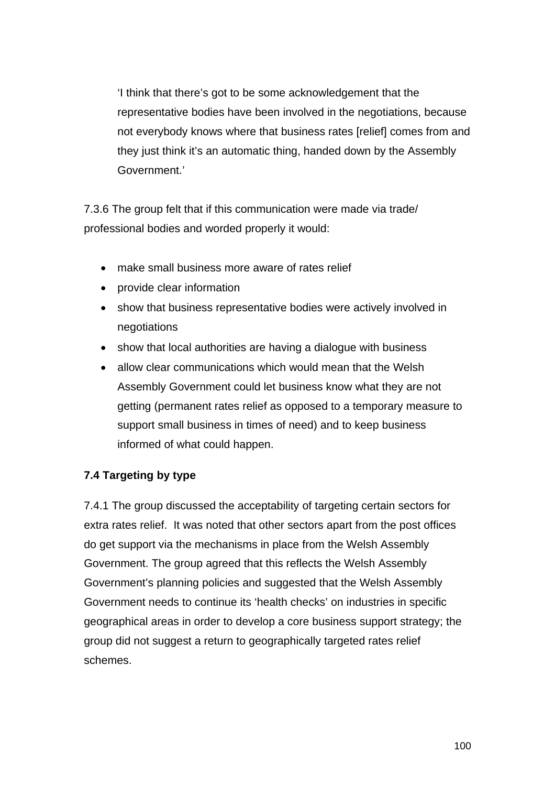'I think that there's got to be some acknowledgement that the representative bodies have been involved in the negotiations, because not everybody knows where that business rates [relief] comes from and they just think it's an automatic thing, handed down by the Assembly Government.'

7.3.6 The group felt that if this communication were made via trade/ professional bodies and worded properly it would:

- make small business more aware of rates relief
- provide clear information
- show that business representative bodies were actively involved in negotiations
- show that local authorities are having a dialogue with business
- allow clear communications which would mean that the Welsh Assembly Government could let business know what they are not getting (permanent rates relief as opposed to a temporary measure to support small business in times of need) and to keep business informed of what could happen.

## **7.4 Targeting by type**

7.4.1 The group discussed the acceptability of targeting certain sectors for extra rates relief. It was noted that other sectors apart from the post offices do get support via the mechanisms in place from the Welsh Assembly Government. The group agreed that this reflects the Welsh Assembly Government's planning policies and suggested that the Welsh Assembly Government needs to continue its 'health checks' on industries in specific geographical areas in order to develop a core business support strategy; the group did not suggest a return to geographically targeted rates relief schemes.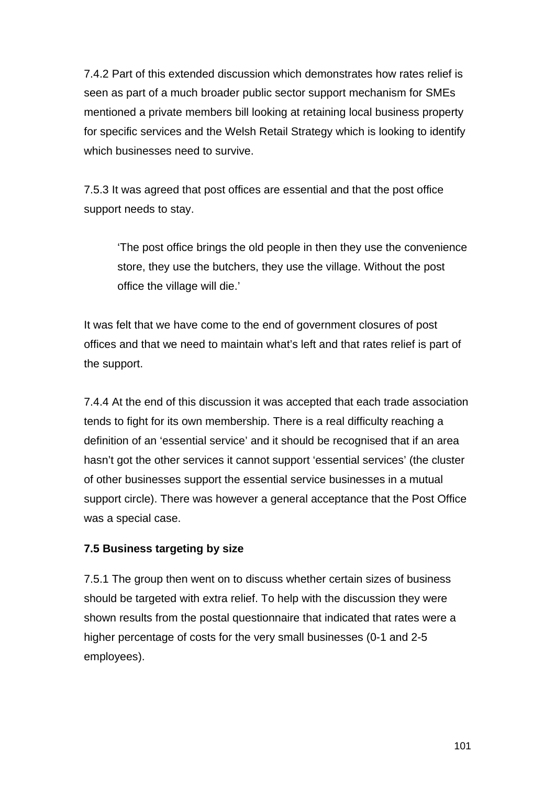7.4.2 Part of this extended discussion which demonstrates how rates relief is seen as part of a much broader public sector support mechanism for SMEs mentioned a private members bill looking at retaining local business property for specific services and the Welsh Retail Strategy which is looking to identify which businesses need to survive.

7.5.3 It was agreed that post offices are essential and that the post office support needs to stay.

'The post office brings the old people in then they use the convenience store, they use the butchers, they use the village. Without the post office the village will die.'

It was felt that we have come to the end of government closures of post offices and that we need to maintain what's left and that rates relief is part of the support.

7.4.4 At the end of this discussion it was accepted that each trade association tends to fight for its own membership. There is a real difficulty reaching a definition of an 'essential service' and it should be recognised that if an area hasn't got the other services it cannot support 'essential services' (the cluster of other businesses support the essential service businesses in a mutual support circle). There was however a general acceptance that the Post Office was a special case.

## **7.5 Business targeting by size**

7.5.1 The group then went on to discuss whether certain sizes of business should be targeted with extra relief. To help with the discussion they were shown results from the postal questionnaire that indicated that rates were a higher percentage of costs for the very small businesses (0-1 and 2-5 employees).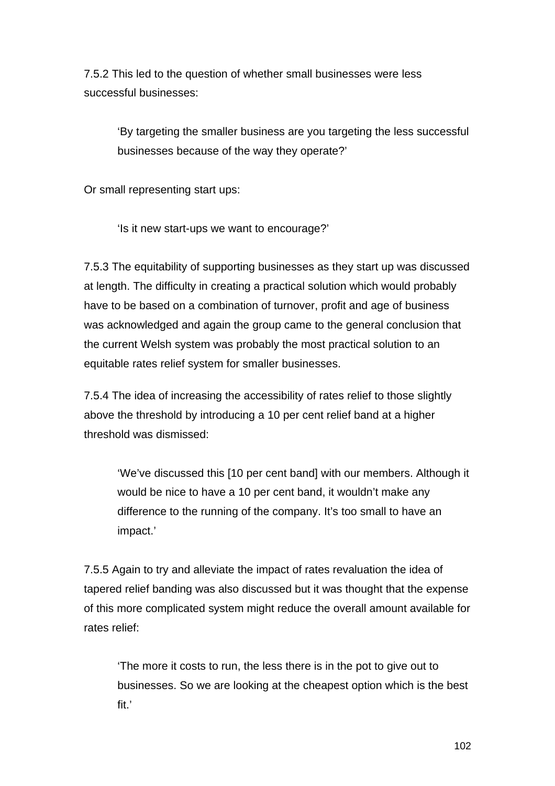7.5.2 This led to the question of whether small businesses were less successful businesses:

'By targeting the smaller business are you targeting the less successful businesses because of the way they operate?'

Or small representing start ups:

'Is it new start-ups we want to encourage?'

7.5.3 The equitability of supporting businesses as they start up was discussed at length. The difficulty in creating a practical solution which would probably have to be based on a combination of turnover, profit and age of business was acknowledged and again the group came to the general conclusion that the current Welsh system was probably the most practical solution to an equitable rates relief system for smaller businesses.

7.5.4 The idea of increasing the accessibility of rates relief to those slightly above the threshold by introducing a 10 per cent relief band at a higher threshold was dismissed:

'We've discussed this [10 per cent band] with our members. Although it would be nice to have a 10 per cent band, it wouldn't make any difference to the running of the company. It's too small to have an impact.'

7.5.5 Again to try and alleviate the impact of rates revaluation the idea of tapered relief banding was also discussed but it was thought that the expense of this more complicated system might reduce the overall amount available for rates relief:

'The more it costs to run, the less there is in the pot to give out to businesses. So we are looking at the cheapest option which is the best fit.'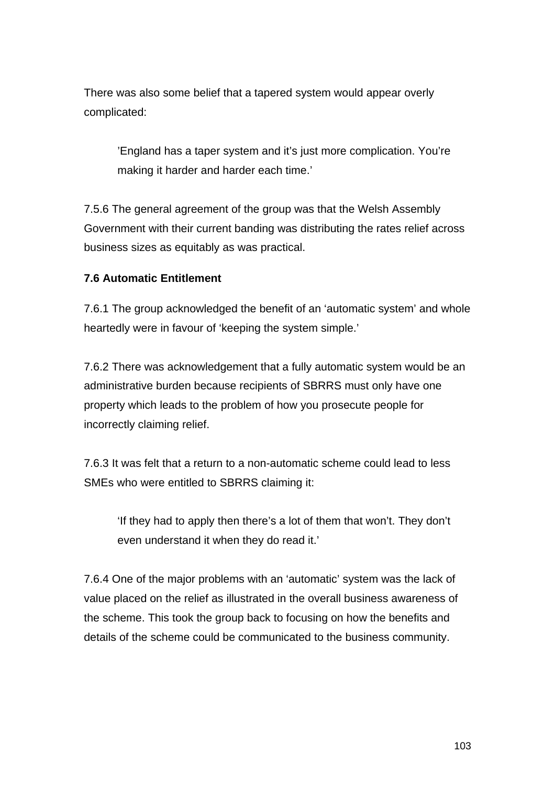There was also some belief that a tapered system would appear overly complicated:

'England has a taper system and it's just more complication. You're making it harder and harder each time.'

7.5.6 The general agreement of the group was that the Welsh Assembly Government with their current banding was distributing the rates relief across business sizes as equitably as was practical.

### **7.6 Automatic Entitlement**

7.6.1 The group acknowledged the benefit of an 'automatic system' and whole heartedly were in favour of 'keeping the system simple.'

7.6.2 There was acknowledgement that a fully automatic system would be an administrative burden because recipients of SBRRS must only have one property which leads to the problem of how you prosecute people for incorrectly claiming relief.

7.6.3 It was felt that a return to a non-automatic scheme could lead to less SMEs who were entitled to SBRRS claiming it:

'If they had to apply then there's a lot of them that won't. They don't even understand it when they do read it.'

7.6.4 One of the major problems with an 'automatic' system was the lack of value placed on the relief as illustrated in the overall business awareness of the scheme. This took the group back to focusing on how the benefits and details of the scheme could be communicated to the business community.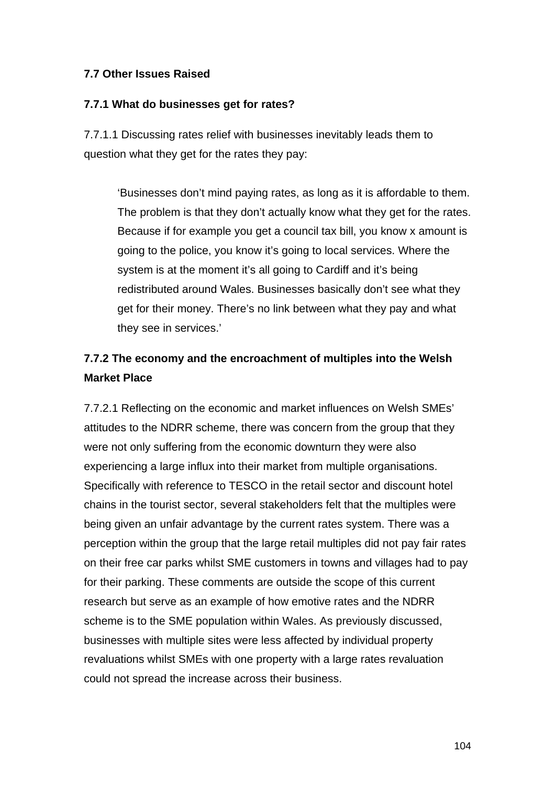## **7.7 Other Issues Raised**

### **7.7.1 What do businesses get for rates?**

7.7.1.1 Discussing rates relief with businesses inevitably leads them to question what they get for the rates they pay:

'Businesses don't mind paying rates, as long as it is affordable to them. The problem is that they don't actually know what they get for the rates. Because if for example you get a council tax bill, you know x amount is going to the police, you know it's going to local services. Where the system is at the moment it's all going to Cardiff and it's being redistributed around Wales. Businesses basically don't see what they get for their money. There's no link between what they pay and what they see in services.'

# **7.7.2 The economy and the encroachment of multiples into the Welsh Market Place**

7.7.2.1 Reflecting on the economic and market influences on Welsh SMEs' attitudes to the NDRR scheme, there was concern from the group that they were not only suffering from the economic downturn they were also experiencing a large influx into their market from multiple organisations. Specifically with reference to TESCO in the retail sector and discount hotel chains in the tourist sector, several stakeholders felt that the multiples were being given an unfair advantage by the current rates system. There was a perception within the group that the large retail multiples did not pay fair rates on their free car parks whilst SME customers in towns and villages had to pay for their parking. These comments are outside the scope of this current research but serve as an example of how emotive rates and the NDRR scheme is to the SME population within Wales. As previously discussed, businesses with multiple sites were less affected by individual property revaluations whilst SMEs with one property with a large rates revaluation could not spread the increase across their business.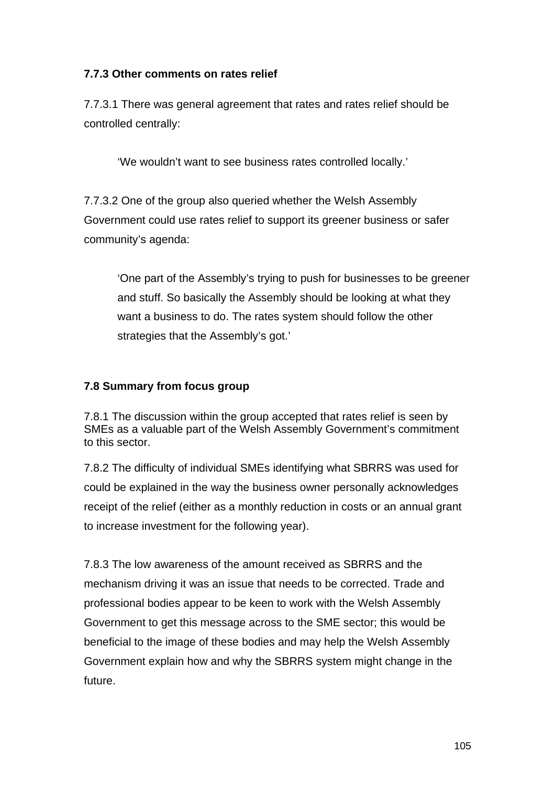## **7.7.3 Other comments on rates relief**

7.7.3.1 There was general agreement that rates and rates relief should be controlled centrally:

'We wouldn't want to see business rates controlled locally.'

7.7.3.2 One of the group also queried whether the Welsh Assembly Government could use rates relief to support its greener business or safer community's agenda:

'One part of the Assembly's trying to push for businesses to be greener and stuff. So basically the Assembly should be looking at what they want a business to do. The rates system should follow the other strategies that the Assembly's got.'

## **7.8 Summary from focus group**

7.8.1 The discussion within the group accepted that rates relief is seen by SMEs as a valuable part of the Welsh Assembly Government's commitment to this sector.

7.8.2 The difficulty of individual SMEs identifying what SBRRS was used for could be explained in the way the business owner personally acknowledges receipt of the relief (either as a monthly reduction in costs or an annual grant to increase investment for the following year).

7.8.3 The low awareness of the amount received as SBRRS and the mechanism driving it was an issue that needs to be corrected. Trade and professional bodies appear to be keen to work with the Welsh Assembly Government to get this message across to the SME sector; this would be beneficial to the image of these bodies and may help the Welsh Assembly Government explain how and why the SBRRS system might change in the future.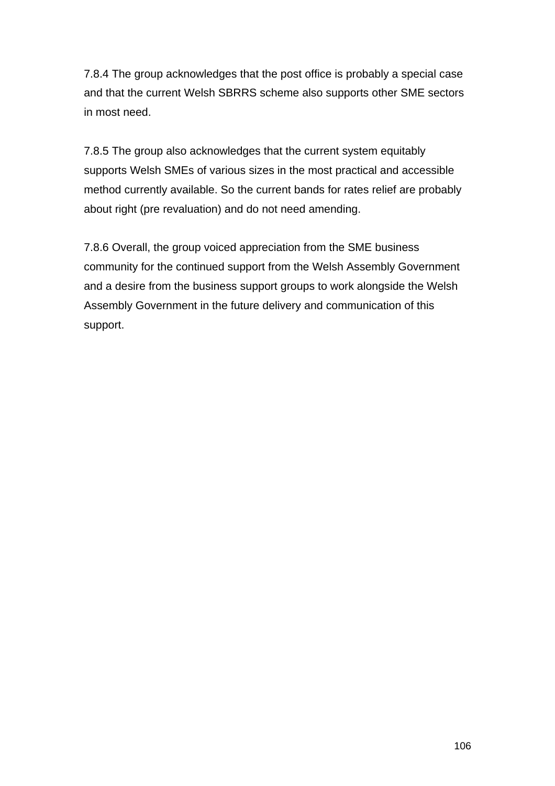7.8.4 The group acknowledges that the post office is probably a special case and that the current Welsh SBRRS scheme also supports other SME sectors in most need.

7.8.5 The group also acknowledges that the current system equitably supports Welsh SMEs of various sizes in the most practical and accessible method currently available. So the current bands for rates relief are probably about right (pre revaluation) and do not need amending.

7.8.6 Overall, the group voiced appreciation from the SME business community for the continued support from the Welsh Assembly Government and a desire from the business support groups to work alongside the Welsh Assembly Government in the future delivery and communication of this support.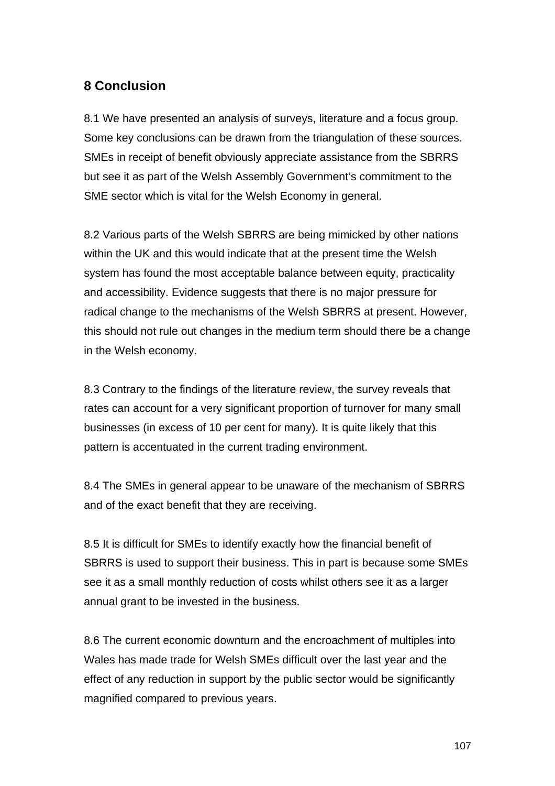# **8 Conclusion**

8.1 We have presented an analysis of surveys, literature and a focus group. Some key conclusions can be drawn from the triangulation of these sources. SMEs in receipt of benefit obviously appreciate assistance from the SBRRS but see it as part of the Welsh Assembly Government's commitment to the SME sector which is vital for the Welsh Economy in general.

8.2 Various parts of the Welsh SBRRS are being mimicked by other nations within the UK and this would indicate that at the present time the Welsh system has found the most acceptable balance between equity, practicality and accessibility. Evidence suggests that there is no major pressure for radical change to the mechanisms of the Welsh SBRRS at present. However, this should not rule out changes in the medium term should there be a change in the Welsh economy.

8.3 Contrary to the findings of the literature review, the survey reveals that rates can account for a very significant proportion of turnover for many small businesses (in excess of 10 per cent for many). It is quite likely that this pattern is accentuated in the current trading environment.

8.4 The SMEs in general appear to be unaware of the mechanism of SBRRS and of the exact benefit that they are receiving.

8.5 It is difficult for SMEs to identify exactly how the financial benefit of SBRRS is used to support their business. This in part is because some SMEs see it as a small monthly reduction of costs whilst others see it as a larger annual grant to be invested in the business.

8.6 The current economic downturn and the encroachment of multiples into Wales has made trade for Welsh SMEs difficult over the last year and the effect of any reduction in support by the public sector would be significantly magnified compared to previous years.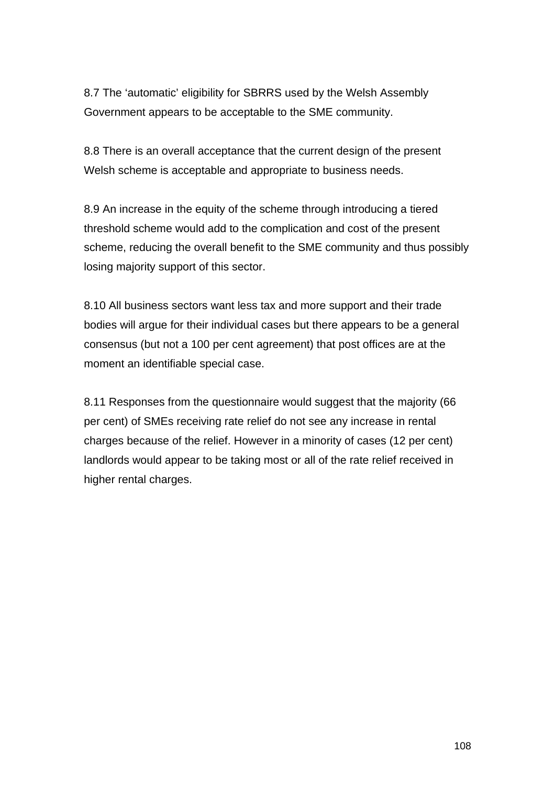8.7 The 'automatic' eligibility for SBRRS used by the Welsh Assembly Government appears to be acceptable to the SME community.

8.8 There is an overall acceptance that the current design of the present Welsh scheme is acceptable and appropriate to business needs.

8.9 An increase in the equity of the scheme through introducing a tiered threshold scheme would add to the complication and cost of the present scheme, reducing the overall benefit to the SME community and thus possibly losing majority support of this sector.

8.10 All business sectors want less tax and more support and their trade bodies will argue for their individual cases but there appears to be a general consensus (but not a 100 per cent agreement) that post offices are at the moment an identifiable special case.

8.11 Responses from the questionnaire would suggest that the majority (66 per cent) of SMEs receiving rate relief do not see any increase in rental charges because of the relief. However in a minority of cases (12 per cent) landlords would appear to be taking most or all of the rate relief received in higher rental charges.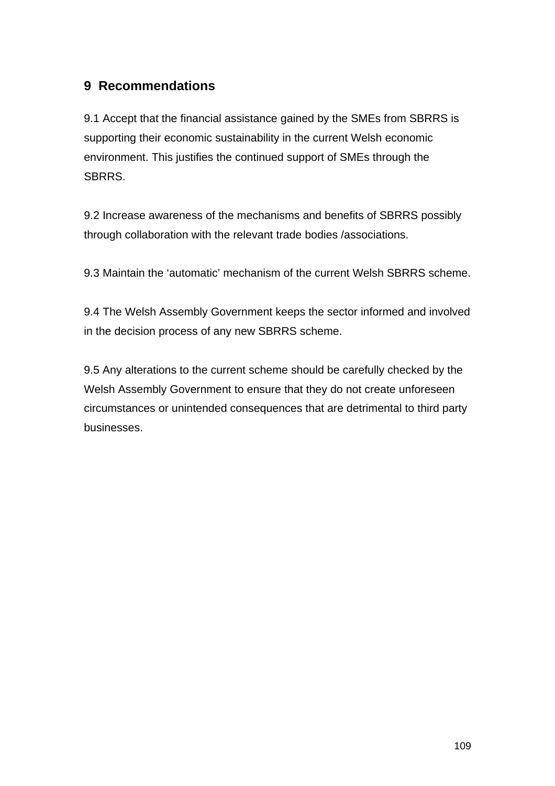# **9 Recommendations**

9.1 Accept that the financial assistance gained by the SMEs from SBRRS is supporting their economic sustainability in the current Welsh economic environment. This justifies the continued support of SMEs through the SBRRS.

9.2 Increase awareness of the mechanisms and benefits of SBRRS possibly through collaboration with the relevant trade bodies /associations.

9.3 Maintain the 'automatic' mechanism of the current Welsh SBRRS scheme.

9.4 The Welsh Assembly Government keeps the sector informed and involved in the decision process of any new SBRRS scheme.

9.5 Any alterations to the current scheme should be carefully checked by the Welsh Assembly Government to ensure that they do not create unforeseen circumstances or unintended consequences that are detrimental to third party businesses.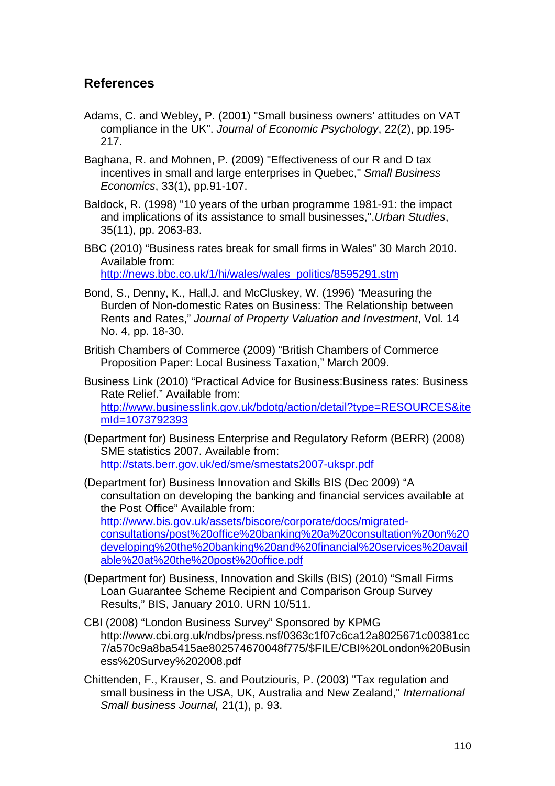## **References**

- Adams, C. and Webley, P. (2001) "Small business owners' attitudes on VAT compliance in the UK". *Journal of Economic Psychology*, 22(2), pp.195- 217.
- Baghana, R. and Mohnen, P. (2009) "Effectiveness of our R and D tax incentives in small and large enterprises in Quebec," *Small Business Economics*, 33(1), pp.91-107.
- Baldock, R. (1998) "10 years of the urban programme 1981-91: the impact and implications of its assistance to small businesses,".*Urban Studies*, 35(11), pp. 2063-83.

BBC (2010) "Business rates break for small firms in Wales" 30 March 2010. Available from: http://news.bbc.co.uk/1/hi/wales/wales\_politics/8595291.stm

- Bond, S., Denny, K., Hall,J. and McCluskey, W. (1996) *"*Measuring the Burden of Non-domestic Rates on Business: The Relationship between Rents and Rates," *Journal of Property Valuation and Investment*, Vol. 14 No. 4, pp. 18-30.
- British Chambers of Commerce (2009) "British Chambers of Commerce Proposition Paper: Local Business Taxation," March 2009.

Business Link (2010) "Practical Advice for Business:Business rates: Business Rate Relief." Available from: http://www.businesslink.gov.uk/bdotg/action/detail?type=RESOURCES&ite mId=1073792393

(Department for) Business Enterprise and Regulatory Reform (BERR) (2008) SME statistics 2007. Available from: http://stats.berr.gov.uk/ed/sme/smestats2007-ukspr.pdf

(Department for) Business Innovation and Skills BIS (Dec 2009) "A consultation on developing the banking and financial services available at the Post Office" Available from: http://www.bis.gov.uk/assets/biscore/corporate/docs/migratedconsultations/post%20office%20banking%20a%20consultation%20on%20 developing%20the%20banking%20and%20financial%20services%20avail able%20at%20the%20post%20office.pdf

- (Department for) Business, Innovation and Skills (BIS) (2010) "Small Firms Loan Guarantee Scheme Recipient and Comparison Group Survey Results," BIS, January 2010. URN 10/511.
- CBI (2008) "London Business Survey" Sponsored by KPMG http://www.cbi.org.uk/ndbs/press.nsf/0363c1f07c6ca12a8025671c00381cc 7/a570c9a8ba5415ae802574670048f775/\$FILE/CBI%20London%20Busin ess%20Survey%202008.pdf
- Chittenden, F., Krauser, S. and Poutziouris, P. (2003) "Tax regulation and small business in the USA, UK, Australia and New Zealand," *International Small business Journal,* 21(1), p. 93.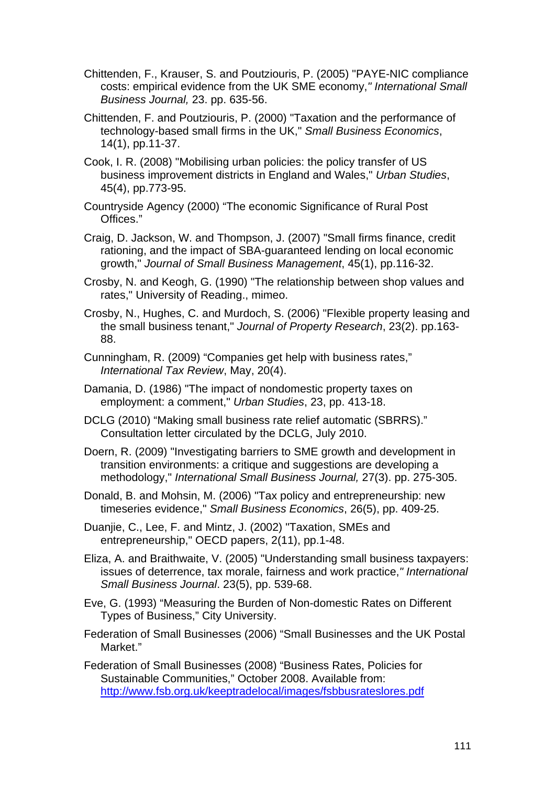- Chittenden, F., Krauser, S. and Poutziouris, P. (2005) "PAYE-NIC compliance costs: empirical evidence from the UK SME economy,*" International Small Business Journal,* 23. pp. 635-56.
- Chittenden, F. and Poutziouris, P. (2000) "Taxation and the performance of technology-based small firms in the UK," *Small Business Economics*, 14(1), pp.11-37.
- Cook, I. R. (2008) "Mobilising urban policies: the policy transfer of US business improvement districts in England and Wales," *Urban Studies*, 45(4), pp.773-95.
- Countryside Agency (2000) "The economic Significance of Rural Post Offices."
- Craig, D. Jackson, W. and Thompson, J. (2007) "Small firms finance, credit rationing, and the impact of SBA-guaranteed lending on local economic growth," *Journal of Small Business Management*, 45(1), pp.116-32.
- Crosby, N. and Keogh, G. (1990) "The relationship between shop values and rates," University of Reading., mimeo.
- Crosby, N., Hughes, C. and Murdoch, S. (2006) "Flexible property leasing and the small business tenant," *Journal of Property Research*, 23(2). pp.163- 88.
- Cunningham, R. (2009) "Companies get help with business rates," *International Tax Review*, May, 20(4).
- Damania, D. (1986) "The impact of nondomestic property taxes on employment: a comment," *Urban Studies*, 23, pp. 413-18.
- DCLG (2010) "Making small business rate relief automatic (SBRRS)." Consultation letter circulated by the DCLG, July 2010.
- Doern, R. (2009) "Investigating barriers to SME growth and development in transition environments: a critique and suggestions are developing a methodology," *International Small Business Journal,* 27(3). pp. 275-305.
- Donald, B. and Mohsin, M. (2006) "Tax policy and entrepreneurship: new timeseries evidence," *Small Business Economics*, 26(5), pp. 409-25.
- Duanjie, C., Lee, F. and Mintz, J. (2002) "Taxation, SMEs and entrepreneurship," OECD papers, 2(11), pp.1-48.
- Eliza, A. and Braithwaite, V. (2005) "Understanding small business taxpayers: issues of deterrence, tax morale, fairness and work practice,*" International Small Business Journal*. 23(5), pp. 539-68.
- Eve, G. (1993) "Measuring the Burden of Non-domestic Rates on Different Types of Business," City University.
- Federation of Small Businesses (2006) "Small Businesses and the UK Postal Market."
- Federation of Small Businesses (2008) "Business Rates, Policies for Sustainable Communities," October 2008. Available from: http://www.fsb.org.uk/keeptradelocal/images/fsbbusrateslores.pdf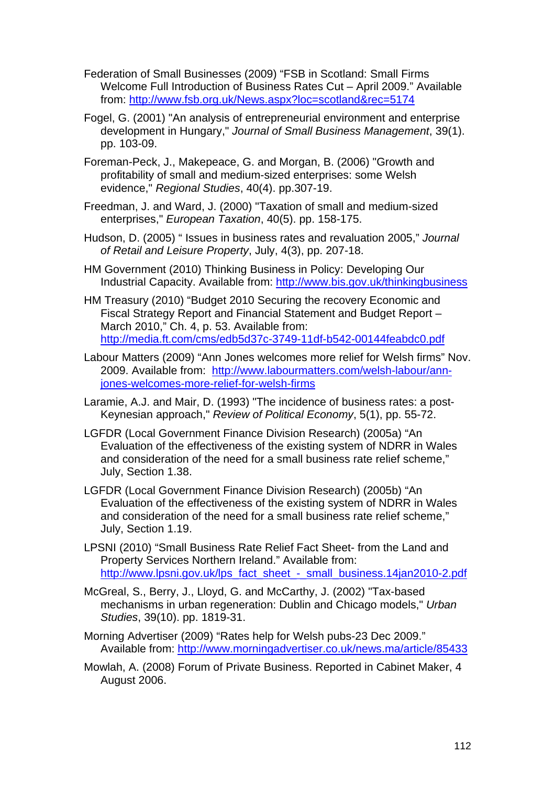- Federation of Small Businesses (2009) "FSB in Scotland: Small Firms Welcome Full Introduction of Business Rates Cut – April 2009." Available from: http://www.fsb.org.uk/News.aspx?loc=scotland&rec=5174
- Fogel, G. (2001) "An analysis of entrepreneurial environment and enterprise development in Hungary," *Journal of Small Business Management*, 39(1). pp. 103-09.
- Foreman-Peck, J., Makepeace, G. and Morgan, B. (2006) "Growth and profitability of small and medium-sized enterprises: some Welsh evidence," *Regional Studies*, 40(4). pp.307-19.
- Freedman, J. and Ward, J. (2000) "Taxation of small and medium-sized enterprises," *European Taxation*, 40(5). pp. 158-175.
- Hudson, D. (2005) " Issues in business rates and revaluation 2005," *Journal of Retail and Leisure Property*, July, 4(3), pp. 207-18.
- HM Government (2010) Thinking Business in Policy: Developing Our Industrial Capacity. Available from: http://www.bis.gov.uk/thinkingbusiness
- HM Treasury (2010) "Budget 2010 Securing the recovery Economic and Fiscal Strategy Report and Financial Statement and Budget Report – March 2010," Ch. 4, p. 53. Available from: http://media.ft.com/cms/edb5d37c-3749-11df-b542-00144feabdc0.pdf
- Labour Matters (2009) "Ann Jones welcomes more relief for Welsh firms" Nov. 2009. Available from: http://www.labourmatters.com/welsh-labour/annjones-welcomes-more-relief-for-welsh-firms
- Laramie, A.J. and Mair, D. (1993) "The incidence of business rates: a post-Keynesian approach," *Review of Political Economy*, 5(1), pp. 55-72.
- LGFDR (Local Government Finance Division Research) (2005a) "An Evaluation of the effectiveness of the existing system of NDRR in Wales and consideration of the need for a small business rate relief scheme," July, Section 1.38.
- LGFDR (Local Government Finance Division Research) (2005b) "An Evaluation of the effectiveness of the existing system of NDRR in Wales and consideration of the need for a small business rate relief scheme," July, Section 1.19.
- LPSNI (2010) "Small Business Rate Relief Fact Sheet- from the Land and Property Services Northern Ireland." Available from: http://www.lpsni.gov.uk/lps\_fact\_sheet\_-\_small\_business.14jan2010-2.pdf
- McGreal, S., Berry, J., Lloyd, G. and McCarthy, J. (2002) "Tax-based mechanisms in urban regeneration: Dublin and Chicago models," *Urban Studies*, 39(10). pp. 1819-31.
- Morning Advertiser (2009) "Rates help for Welsh pubs-23 Dec 2009." Available from: http://www.morningadvertiser.co.uk/news.ma/article/85433
- Mowlah, A. (2008) Forum of Private Business. Reported in Cabinet Maker, 4 August 2006.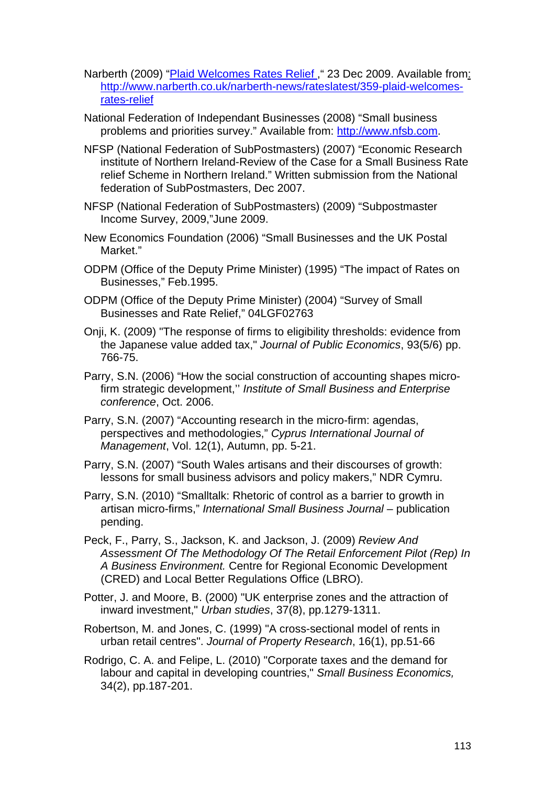- Narberth (2009) "Plaid Welcomes Rates Relief ," 23 Dec 2009. Available from: http://www.narberth.co.uk/narberth-news/rateslatest/359-plaid-welcomesrates-relief
- National Federation of Independant Businesses (2008) "Small business problems and priorities survey." Available from: http://www.nfsb.com.
- NFSP (National Federation of SubPostmasters) (2007) "Economic Research institute of Northern Ireland-Review of the Case for a Small Business Rate relief Scheme in Northern Ireland." Written submission from the National federation of SubPostmasters, Dec 2007.
- NFSP (National Federation of SubPostmasters) (2009) "Subpostmaster Income Survey, 2009,"June 2009.
- New Economics Foundation (2006) "Small Businesses and the UK Postal Market."
- ODPM (Office of the Deputy Prime Minister) (1995) "The impact of Rates on Businesses," Feb.1995.
- ODPM (Office of the Deputy Prime Minister) (2004) "Survey of Small Businesses and Rate Relief," 04LGF02763
- Onji, K. (2009) "The response of firms to eligibility thresholds: evidence from the Japanese value added tax," *Journal of Public Economics*, 93(5/6) pp. 766-75.
- Parry, S.N. (2006) "How the social construction of accounting shapes microfirm strategic development,'' *Institute of Small Business and Enterprise conference*, Oct. 2006.
- Parry, S.N. (2007) "Accounting research in the micro-firm: agendas, perspectives and methodologies," *Cyprus International Journal of Management*, Vol. 12(1), Autumn, pp. 5-21.
- Parry, S.N. (2007) "South Wales artisans and their discourses of growth: lessons for small business advisors and policy makers," NDR Cymru.
- Parry, S.N. (2010) "Smalltalk: Rhetoric of control as a barrier to growth in artisan micro-firms," *International Small Business Journal* – publication pending.
- Peck, F., Parry, S., Jackson, K. and Jackson, J. (2009) *Review And Assessment Of The Methodology Of The Retail Enforcement Pilot (Rep) In A Business Environment.* Centre for Regional Economic Development (CRED) and Local Better Regulations Office (LBRO).
- Potter, J. and Moore, B. (2000) "UK enterprise zones and the attraction of inward investment," *Urban studies*, 37(8), pp.1279-1311.
- Robertson, M. and Jones, C. (1999) "A cross-sectional model of rents in urban retail centres". *Journal of Property Research*, 16(1), pp.51-66
- Rodrigo, C. A. and Felipe, L. (2010) "Corporate taxes and the demand for labour and capital in developing countries," *Small Business Economics,* 34(2), pp.187-201.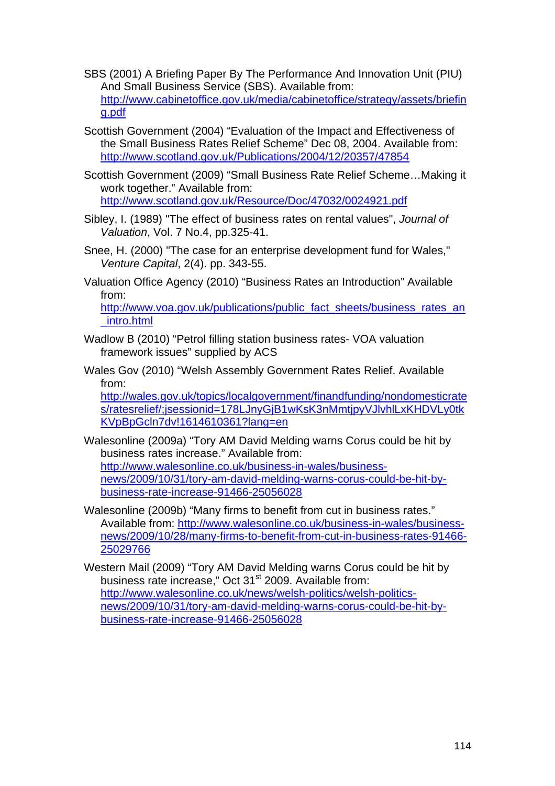- SBS (2001) A Briefing Paper By The Performance And Innovation Unit (PIU) And Small Business Service (SBS). Available from: http://www.cabinetoffice.gov.uk/media/cabinetoffice/strategy/assets/briefin g.pdf
- Scottish Government (2004) "Evaluation of the Impact and Effectiveness of the Small Business Rates Relief Scheme" Dec 08, 2004. Available from: http://www.scotland.gov.uk/Publications/2004/12/20357/47854
- Scottish Government (2009) "Small Business Rate Relief Scheme…Making it work together." Available from: http://www.scotland.gov.uk/Resource/Doc/47032/0024921.pdf
- Sibley, I. (1989) "The effect of business rates on rental values", *Journal of Valuation*, Vol. 7 No.4, pp.325-41.
- Snee, H. (2000) "The case for an enterprise development fund for Wales," *Venture Capital*, 2(4). pp. 343-55.
- Valuation Office Agency (2010) "Business Rates an Introduction" Available from:

http://www.voa.gov.uk/publications/public\_fact\_sheets/business\_rates\_an \_intro.html

- Wadlow B (2010) "Petrol filling station business rates- VOA valuation framework issues" supplied by ACS
- Wales Gov (2010) "Welsh Assembly Government Rates Relief. Available from:

http://wales.gov.uk/topics/localgovernment/finandfunding/nondomesticrate s/ratesrelief/;jsessionid=178LJnyGjB1wKsK3nMmtjpyVJlvhlLxKHDVLy0tk KVpBpGcln7dv!1614610361?lang=en

- Walesonline (2009a) "Tory AM David Melding warns Corus could be hit by business rates increase." Available from: http://www.walesonline.co.uk/business-in-wales/businessnews/2009/10/31/tory-am-david-melding-warns-corus-could-be-hit-bybusiness-rate-increase-91466-25056028
- Walesonline (2009b) "Many firms to benefit from cut in business rates." Available from: http://www.walesonline.co.uk/business-in-wales/businessnews/2009/10/28/many-firms-to-benefit-from-cut-in-business-rates-91466- 25029766

Western Mail (2009) "Tory AM David Melding warns Corus could be hit by business rate increase," Oct 31<sup>st</sup> 2009. Available from: http://www.walesonline.co.uk/news/welsh-politics/welsh-politicsnews/2009/10/31/tory-am-david-melding-warns-corus-could-be-hit-bybusiness-rate-increase-91466-25056028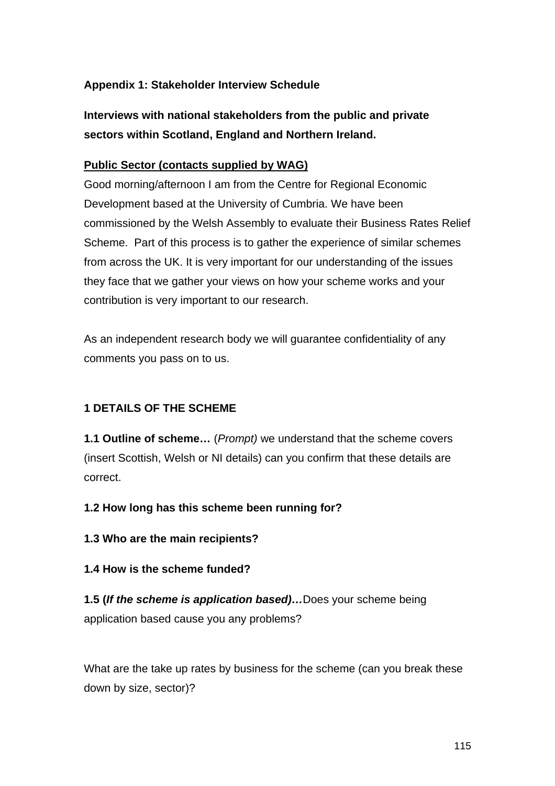## **Appendix 1: Stakeholder Interview Schedule**

**Interviews with national stakeholders from the public and private sectors within Scotland, England and Northern Ireland.** 

#### **Public Sector (contacts supplied by WAG)**

Good morning/afternoon I am from the Centre for Regional Economic Development based at the University of Cumbria. We have been commissioned by the Welsh Assembly to evaluate their Business Rates Relief Scheme. Part of this process is to gather the experience of similar schemes from across the UK. It is very important for our understanding of the issues they face that we gather your views on how your scheme works and your contribution is very important to our research.

As an independent research body we will guarantee confidentiality of any comments you pass on to us.

## **1 DETAILS OF THE SCHEME**

**1.1 Outline of scheme…** (*Prompt)* we understand that the scheme covers (insert Scottish, Welsh or NI details) can you confirm that these details are correct.

**1.2 How long has this scheme been running for?** 

**1.3 Who are the main recipients?** 

#### **1.4 How is the scheme funded?**

**1.5 (***If the scheme is application based)…*Does your scheme being application based cause you any problems?

What are the take up rates by business for the scheme (can you break these down by size, sector)?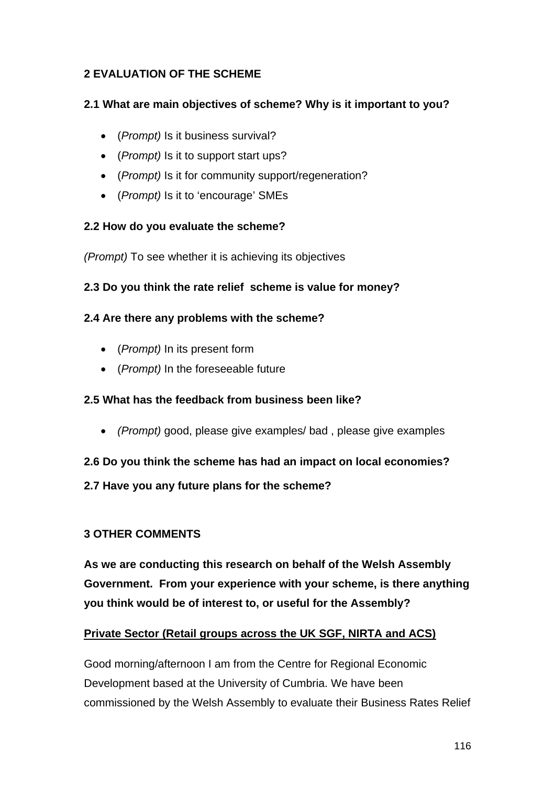## **2 EVALUATION OF THE SCHEME**

## **2.1 What are main objectives of scheme? Why is it important to you?**

- (*Prompt)* Is it business survival?
- (*Prompt)* Is it to support start ups?
- (*Prompt)* Is it for community support/regeneration?
- (*Prompt)* Is it to 'encourage' SMEs

## **2.2 How do you evaluate the scheme?**

*(Prompt)* To see whether it is achieving its objectives

## **2.3 Do you think the rate relief scheme is value for money?**

## **2.4 Are there any problems with the scheme?**

- (*Prompt)* In its present form
- (*Prompt)* In the foreseeable future

## **2.5 What has the feedback from business been like?**

• *(Prompt)* good, please give examples/ bad , please give examples

## **2.6 Do you think the scheme has had an impact on local economies?**

## **2.7 Have you any future plans for the scheme?**

## **3 OTHER COMMENTS**

**As we are conducting this research on behalf of the Welsh Assembly Government. From your experience with your scheme, is there anything you think would be of interest to, or useful for the Assembly?** 

## **Private Sector (Retail groups across the UK SGF, NIRTA and ACS)**

Good morning/afternoon I am from the Centre for Regional Economic Development based at the University of Cumbria. We have been commissioned by the Welsh Assembly to evaluate their Business Rates Relief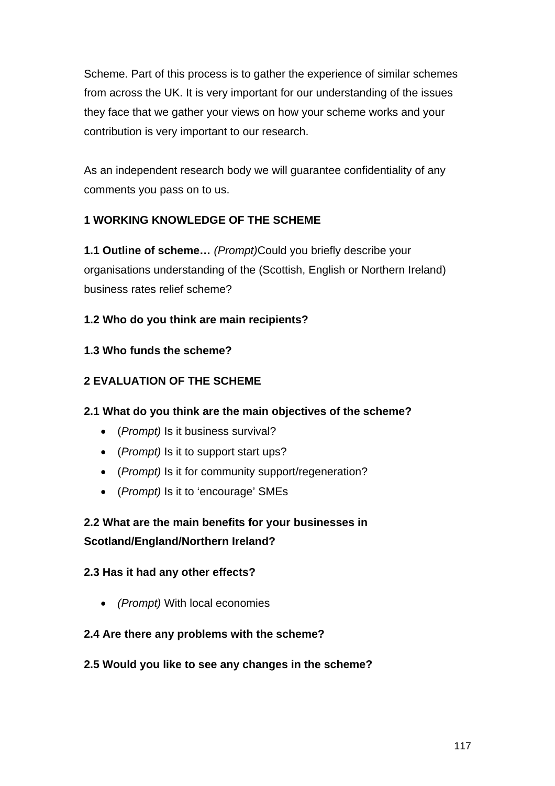Scheme. Part of this process is to gather the experience of similar schemes from across the UK. It is very important for our understanding of the issues they face that we gather your views on how your scheme works and your contribution is very important to our research.

As an independent research body we will guarantee confidentiality of any comments you pass on to us.

## **1 WORKING KNOWLEDGE OF THE SCHEME**

**1.1 Outline of scheme…** *(Prompt)*Could you briefly describe your organisations understanding of the (Scottish, English or Northern Ireland) business rates relief scheme?

## **1.2 Who do you think are main recipients?**

## **1.3 Who funds the scheme?**

## **2 EVALUATION OF THE SCHEME**

## **2.1 What do you think are the main objectives of the scheme?**

- (*Prompt)* Is it business survival?
- (*Prompt)* Is it to support start ups?
- (*Prompt)* Is it for community support/regeneration?
- (*Prompt)* Is it to 'encourage' SMEs

# **2.2 What are the main benefits for your businesses in Scotland/England/Northern Ireland?**

## **2.3 Has it had any other effects?**

• *(Prompt)* With local economies

## **2.4 Are there any problems with the scheme?**

## **2.5 Would you like to see any changes in the scheme?**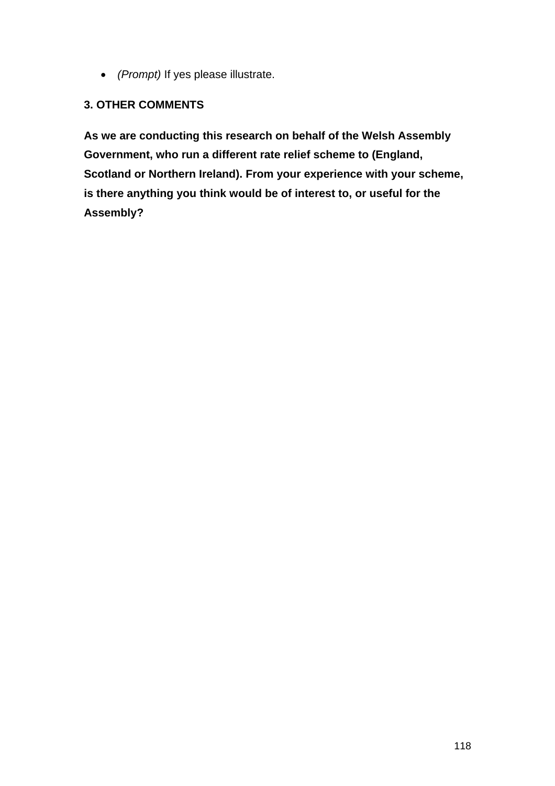• *(Prompt)* If yes please illustrate.

## **3. OTHER COMMENTS**

**As we are conducting this research on behalf of the Welsh Assembly Government, who run a different rate relief scheme to (England, Scotland or Northern Ireland). From your experience with your scheme, is there anything you think would be of interest to, or useful for the Assembly?**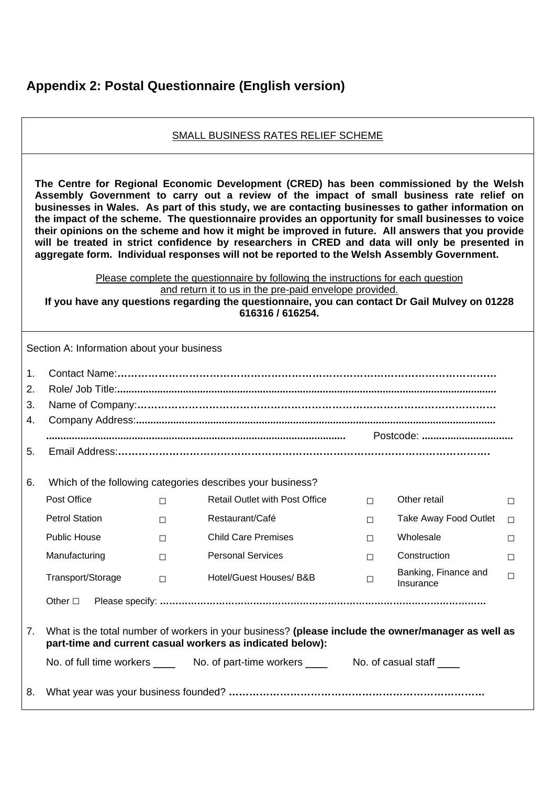## **Appendix 2: Postal Questionnaire (English version)**

#### SMALL BUSINESS RATES RELIEF SCHEME

**The Centre for Regional Economic Development (CRED) has been commissioned by the Welsh Assembly Government to carry out a review of the impact of small business rate relief on businesses in Wales. As part of this study, we are contacting businesses to gather information on the impact of the scheme. The questionnaire provides an opportunity for small businesses to voice their opinions on the scheme and how it might be improved in future. All answers that you provide will be treated in strict confidence by researchers in CRED and data will only be presented in aggregate form. Individual responses will not be reported to the Welsh Assembly Government.** 

> Please complete the questionnaire by following the instructions for each question and return it to us in the pre-paid envelope provided.

**If you have any questions regarding the questionnaire, you can contact Dr Gail Mulvey on 01228 616316 / 616254.** 

| Section A: Information about your business |                                                                                                                                                                 |        |                                       |        |                                   |        |  |  |  |
|--------------------------------------------|-----------------------------------------------------------------------------------------------------------------------------------------------------------------|--------|---------------------------------------|--------|-----------------------------------|--------|--|--|--|
| $\mathbf{1}$ .                             |                                                                                                                                                                 |        |                                       |        |                                   |        |  |  |  |
| 2.                                         |                                                                                                                                                                 |        |                                       |        |                                   |        |  |  |  |
| 3.                                         |                                                                                                                                                                 |        |                                       |        |                                   |        |  |  |  |
| 4.                                         |                                                                                                                                                                 |        |                                       |        |                                   |        |  |  |  |
|                                            |                                                                                                                                                                 |        |                                       |        | Postcode:                         |        |  |  |  |
| 5.                                         |                                                                                                                                                                 |        |                                       |        |                                   |        |  |  |  |
|                                            |                                                                                                                                                                 |        |                                       |        |                                   |        |  |  |  |
| 6.                                         | Which of the following categories describes your business?                                                                                                      |        |                                       |        |                                   |        |  |  |  |
|                                            | Post Office                                                                                                                                                     | $\Box$ | <b>Retail Outlet with Post Office</b> | $\Box$ | Other retail                      | $\Box$ |  |  |  |
|                                            | <b>Petrol Station</b>                                                                                                                                           | $\Box$ | Restaurant/Café                       | $\Box$ | Take Away Food Outlet             | П      |  |  |  |
|                                            | <b>Public House</b>                                                                                                                                             | $\Box$ | <b>Child Care Premises</b>            | $\Box$ | Wholesale                         | $\Box$ |  |  |  |
|                                            | Manufacturing                                                                                                                                                   | $\Box$ | <b>Personal Services</b>              | $\Box$ | Construction                      | $\Box$ |  |  |  |
|                                            | Transport/Storage                                                                                                                                               | $\Box$ | Hotel/Guest Houses/ B&B               | $\Box$ | Banking, Finance and<br>Insurance | $\Box$ |  |  |  |
|                                            | Other $\square$                                                                                                                                                 |        |                                       |        |                                   |        |  |  |  |
|                                            |                                                                                                                                                                 |        |                                       |        |                                   |        |  |  |  |
| 7.                                         | What is the total number of workers in your business? (please include the owner/manager as well as<br>part-time and current casual workers as indicated below): |        |                                       |        |                                   |        |  |  |  |
|                                            | No. of full time workers ______ No. of part-time workers ______ No. of casual staff ____                                                                        |        |                                       |        |                                   |        |  |  |  |
| 8.                                         |                                                                                                                                                                 |        |                                       |        |                                   |        |  |  |  |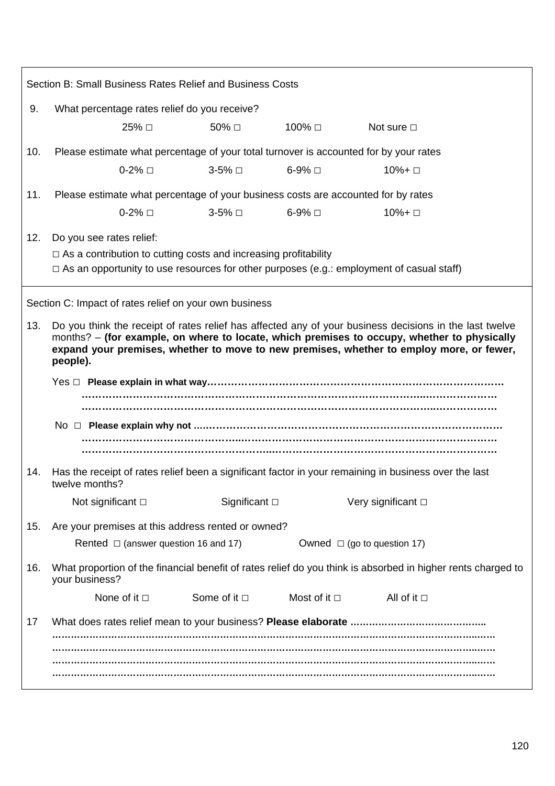| Section B: Small Business Rates Relief and Business Costs |                                                                                                                                                                                                                                                                                                                |                                                                               |                   |                     |  |  |  |  |  |  |
|-----------------------------------------------------------|----------------------------------------------------------------------------------------------------------------------------------------------------------------------------------------------------------------------------------------------------------------------------------------------------------------|-------------------------------------------------------------------------------|-------------------|---------------------|--|--|--|--|--|--|
| 9.                                                        | What percentage rates relief do you receive?                                                                                                                                                                                                                                                                   |                                                                               |                   |                     |  |  |  |  |  |  |
|                                                           | 25% □                                                                                                                                                                                                                                                                                                          | 50% □                                                                         | 100% □            | Not sure $\Box$     |  |  |  |  |  |  |
| 10.                                                       | Please estimate what percentage of your total turnover is accounted for by your rates                                                                                                                                                                                                                          |                                                                               |                   |                     |  |  |  |  |  |  |
|                                                           | $0-2\%$ $\square$                                                                                                                                                                                                                                                                                              | 3-5% □                                                                        | $6-9\%$ $\Box$    | 10%+ □              |  |  |  |  |  |  |
| 11.                                                       | Please estimate what percentage of your business costs are accounted for by rates                                                                                                                                                                                                                              |                                                                               |                   |                     |  |  |  |  |  |  |
|                                                           | 0-2% □                                                                                                                                                                                                                                                                                                         | 3-5% □                                                                        | 6-9% □            | 10%+ □              |  |  |  |  |  |  |
| 12.                                                       | Do you see rates relief:                                                                                                                                                                                                                                                                                       |                                                                               |                   |                     |  |  |  |  |  |  |
|                                                           | $\Box$ As a contribution to cutting costs and increasing profitability                                                                                                                                                                                                                                         |                                                                               |                   |                     |  |  |  |  |  |  |
|                                                           | $\Box$ As an opportunity to use resources for other purposes (e.g.: employment of casual staff)                                                                                                                                                                                                                |                                                                               |                   |                     |  |  |  |  |  |  |
| Section C: Impact of rates relief on your own business    |                                                                                                                                                                                                                                                                                                                |                                                                               |                   |                     |  |  |  |  |  |  |
| 13.                                                       | Do you think the receipt of rates relief has affected any of your business decisions in the last twelve<br>months? - (for example, on where to locate, which premises to occupy, whether to physically<br>expand your premises, whether to move to new premises, whether to employ more, or fewer,<br>people). |                                                                               |                   |                     |  |  |  |  |  |  |
|                                                           |                                                                                                                                                                                                                                                                                                                |                                                                               |                   |                     |  |  |  |  |  |  |
| 14.                                                       | Has the receipt of rates relief been a significant factor in your remaining in business over the last<br>twelve months?                                                                                                                                                                                        |                                                                               |                   |                     |  |  |  |  |  |  |
|                                                           | Not significant $\square$                                                                                                                                                                                                                                                                                      | Significant $\square$                                                         |                   | Very significant □  |  |  |  |  |  |  |
| 15.                                                       | Are your premises at this address rented or owned?                                                                                                                                                                                                                                                             |                                                                               |                   |                     |  |  |  |  |  |  |
|                                                           |                                                                                                                                                                                                                                                                                                                | Rented $\Box$ (answer question 16 and 17)<br>Owned $\Box$ (go to question 17) |                   |                     |  |  |  |  |  |  |
| 16.                                                       | What proportion of the financial benefit of rates relief do you think is absorbed in higher rents charged to<br>your business?                                                                                                                                                                                 |                                                                               |                   |                     |  |  |  |  |  |  |
|                                                           | None of it $\square$                                                                                                                                                                                                                                                                                           | Some of it $\Box$                                                             | Most of it $\Box$ | All of it $\square$ |  |  |  |  |  |  |
| 17                                                        |                                                                                                                                                                                                                                                                                                                |                                                                               |                   |                     |  |  |  |  |  |  |
|                                                           |                                                                                                                                                                                                                                                                                                                |                                                                               |                   |                     |  |  |  |  |  |  |
|                                                           |                                                                                                                                                                                                                                                                                                                |                                                                               |                   |                     |  |  |  |  |  |  |
|                                                           |                                                                                                                                                                                                                                                                                                                |                                                                               |                   |                     |  |  |  |  |  |  |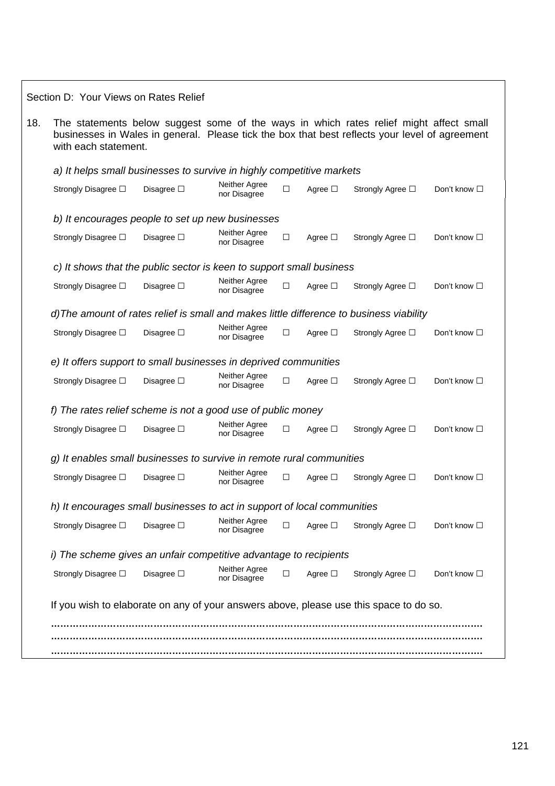Section D: Your Views on Rates Relief 18. The statements below suggest some of the ways in which rates relief might affect small businesses in Wales in general. Please tick the box that best reflects your level of agreement with each statement. *a) It helps small businesses to survive in highly competitive markets*  Strongly Disagree □ Disagree □ Neither Agree □ Agree □ Strongly Agree □ Don't know □ *b) It encourages people to set up new businesses*  Strongly Disagree □ Disagree □ Neither Agree □ Agree □ Strongly Agree □ Don't know □  *c) It shows that the public sector is keen to support small business*  Strongly Disagree □ Disagree □ Neither Agree □ Agree □ Strongly Agree □ Don't know □ *d)The amount of rates relief is small and makes little difference to business viability*  Strongly Disagree □ Disagree □ Neither Agree □ Agree □ Strongly Agree □ Don't know □ *e) It offers support to small businesses in deprived communities*  Strongly Disagree □ Disagree □ Neither Agree □ Agree □ Strongly Agree □ Don't know □ *f) The rates relief scheme is not a good use of public money*  Strongly Disagree □ Disagree □ Neither Agree □ Agree □ Strongly Agree □ Don't know □ *g) It enables small businesses to survive in remote rural communities*  Strongly Disagree □ Disagree □ Neither Agree □ Agree □ Strongly Agree □ Don't know □  *h) It encourages small businesses to act in support of local communities*  Strongly Disagree □ Disagree □ Neither Agree □ Agree □ Strongly Agree □ Don't know □  *i) The scheme gives an unfair competitive advantage to recipients*  Strongly Disagree □ Disagree □ Neither Agree □ Agree □ Strongly Agree □ Don't know □ If you wish to elaborate on any of your answers above, please use this space to do so.  **…………………………………………………………………………………………………………………………. …………………………………………………………………………………………………………………………. ………………………………………………………………………………………………………………………….**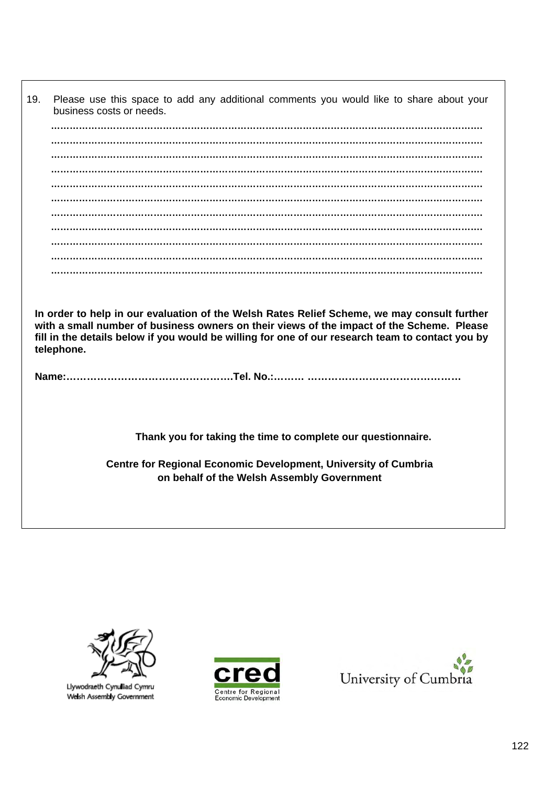19. Please use this space to add any additional comments you would like to share about your business costs or needs.  **…………………………………………………………………………………………………………………………. …………………………………………………………………………………………………………………………. …………………………………………………………………………………………………………………………. …………………………………………………………………………………………………………………………. …………………………………………………………………………………………………………………………. …………………………………………………………………………………………………………………………. …………………………………………………………………………………………………………………………. …………………………………………………………………………………………………………………………. …………………………………………………………………………………………………………………………. …………………………………………………………………………………………………………………………. In order to help in our evaluation of the Welsh Rates Relief Scheme, we may consult further with a small number of business owners on their views of the impact of the Scheme. Please fill in the details below if you would be willing for one of our research team to contact you by telephone. Name:………………………………………….Tel. No.:……… ……………………………………… Thank you for taking the time to complete our questionnaire. Centre for Regional Economic Development, University of Cumbria on behalf of the Welsh Assembly Government** 



Llywodraeth Cynulliad Cymru Welsh Assembly Government



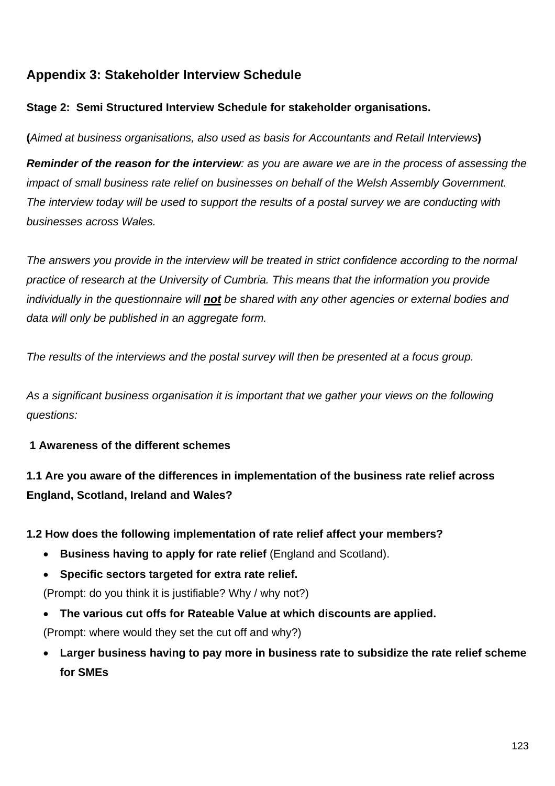# **Appendix 3: Stakeholder Interview Schedule**

## **Stage 2: Semi Structured Interview Schedule for stakeholder organisations.**

**(***Aimed at business organisations, also used as basis for Accountants and Retail Interviews***)** 

*Reminder of the reason for the interview: as you are aware we are in the process of assessing the impact of small business rate relief on businesses on behalf of the Welsh Assembly Government. The interview today will be used to support the results of a postal survey we are conducting with businesses across Wales.* 

*The answers you provide in the interview will be treated in strict confidence according to the normal practice of research at the University of Cumbria. This means that the information you provide individually in the questionnaire will not be shared with any other agencies or external bodies and data will only be published in an aggregate form.* 

*The results of the interviews and the postal survey will then be presented at a focus group.* 

*As a significant business organisation it is important that we gather your views on the following questions:* 

## **1 Awareness of the different schemes**

**1.1 Are you aware of the differences in implementation of the business rate relief across England, Scotland, Ireland and Wales?** 

## **1.2 How does the following implementation of rate relief affect your members?**

- **Business having to apply for rate relief** (England and Scotland).
- **Specific sectors targeted for extra rate relief.**

(Prompt: do you think it is justifiable? Why / why not?)

• **The various cut offs for Rateable Value at which discounts are applied.** 

(Prompt: where would they set the cut off and why?)

• **Larger business having to pay more in business rate to subsidize the rate relief scheme for SMEs**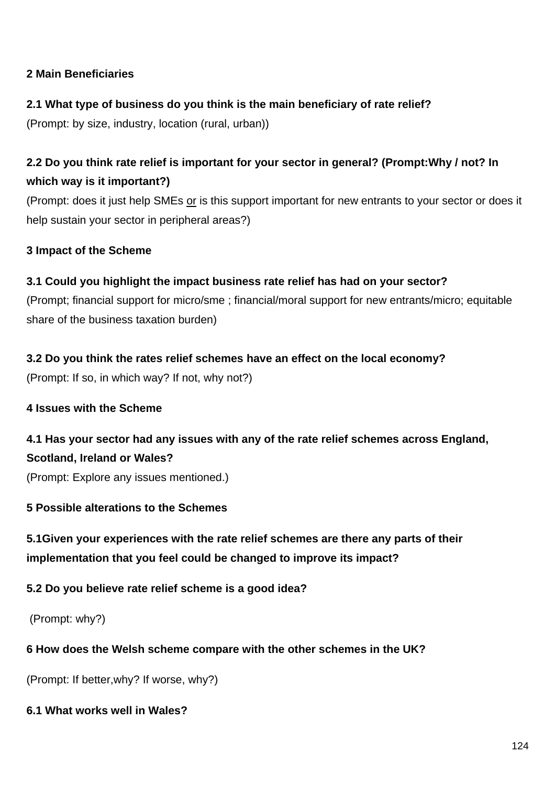## **2 Main Beneficiaries**

## **2.1 What type of business do you think is the main beneficiary of rate relief?**

(Prompt: by size, industry, location (rural, urban))

# **2.2 Do you think rate relief is important for your sector in general? (Prompt:Why / not? In which way is it important?)**

(Prompt: does it just help SMEs or is this support important for new entrants to your sector or does it help sustain your sector in peripheral areas?)

## **3 Impact of the Scheme**

## **3.1 Could you highlight the impact business rate relief has had on your sector?**

(Prompt; financial support for micro/sme ; financial/moral support for new entrants/micro; equitable share of the business taxation burden)

## **3.2 Do you think the rates relief schemes have an effect on the local economy?**

(Prompt: If so, in which way? If not, why not?)

## **4 Issues with the Scheme**

# **4.1 Has your sector had any issues with any of the rate relief schemes across England, Scotland, Ireland or Wales?**

(Prompt: Explore any issues mentioned.)

## **5 Possible alterations to the Schemes**

**5.1Given your experiences with the rate relief schemes are there any parts of their implementation that you feel could be changed to improve its impact?** 

## **5.2 Do you believe rate relief scheme is a good idea?**

(Prompt: why?)

## **6 How does the Welsh scheme compare with the other schemes in the UK?**

(Prompt: If better,why? If worse, why?)

## **6.1 What works well in Wales?**